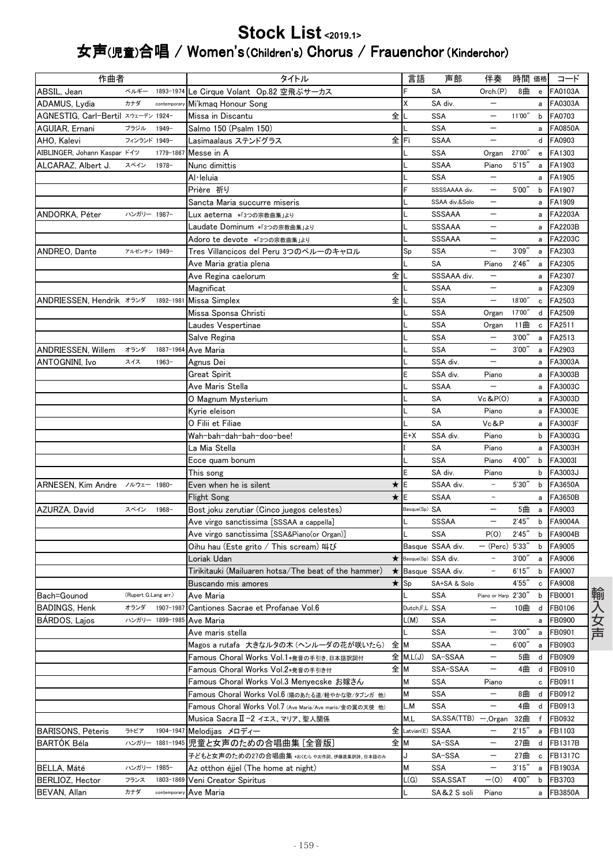## Stock List<2019.1> 女声(児童)合唱 / Women's (Children's) Chorus / Frauenchor (Kinderchor)

| 作曲者                                |                      |                 | タイトル                                                                          | 言語                  | 声部                  | 伴奏                       | 時間 価格  |              | コード            |
|------------------------------------|----------------------|-----------------|-------------------------------------------------------------------------------|---------------------|---------------------|--------------------------|--------|--------------|----------------|
| ABSIL, Jean                        | ベルギー                 | 1893-1974       | Le Cirque Volant Op.82 空飛ぶサーカス                                                |                     | SA                  | Orch.(P)                 | 8曲     | $\mathbf{e}$ | FA0103A        |
| ADAMUS, Lydia                      | カナダ                  | contemporar     | Mi'kmaq Honour Song                                                           | Χ                   | SA div.             | $\overline{\phantom{m}}$ |        | a            | FA0303A        |
| AGNESTIG, Carl-Bertil スウェーデン 1924- |                      |                 | 全<br>Missa in Discantu                                                        |                     | SSA                 | $\qquad \qquad -$        | 11'00" | b            | FA0703         |
| AGUIAR, Ernani                     | ブラジル                 | $1949 -$        | Salmo 150 (Psalm 150)                                                         |                     | SSA                 |                          |        | a            | <b>FA0850A</b> |
| AHO. Kalevi                        | フィンランド 1949-         |                 | Lasimaalaus ステンドグラス                                                           | 全lFi                | <b>SSAA</b>         | $\overline{\phantom{m}}$ |        | d            | FA0903         |
| AIBLINGER, Johann Kaspar ドイツ       |                      | 1779-1867       | Messe in A                                                                    |                     | <b>SSA</b>          | Organ                    | 27'00" | e            | FA1303         |
| ALCARAZ, Albert J.                 | スペイン                 | 1978-           | Nunc dimittis                                                                 |                     | <b>SSAA</b>         | Piano                    | 5'15'' | a            | FA1903         |
|                                    |                      |                 | Al·leluia                                                                     |                     | <b>SSA</b>          |                          |        | a            | FA1905         |
|                                    |                      |                 | Prière 祈り                                                                     |                     | SSSSAAAA div.       | $\overline{\phantom{0}}$ | 5'00"  | b            | FA1907         |
|                                    |                      |                 | Sancta Maria succurre miseris                                                 |                     | SSAA div.&Solo      | $\qquad \qquad -$        |        | a            | FA1909         |
| ANDORKA, Péter                     | ハンガリー 1987-          |                 | Lux aeterna *「3つの宗教曲集」より                                                      |                     | <b>SSSAAA</b>       | $\overline{\phantom{0}}$ |        | a            | FA2203A        |
|                                    |                      |                 | Laudate Dominum *「3つの宗教曲集」より                                                  |                     | SSSAAA              | $\overline{\phantom{0}}$ |        | a            | FA2203B        |
|                                    |                      |                 | Adoro te devote *「3つの宗教曲集」より                                                  |                     | <b>SSSAAA</b>       |                          |        | a            | FA2203C        |
| ANDREO, Dante                      | アルゼンチン 1949-         |                 | Tres Villancicos del Peru 3つのペルーのキャロル                                         | Sp                  | <b>SSA</b>          |                          | 3'09'' | a            | FA2303         |
|                                    |                      |                 | Ave Maria gratia plena                                                        |                     | SA                  | Piano                    | 2'46'' | a            | FA2305         |
|                                    |                      |                 | 全<br>Ave Regina caelorum                                                      |                     | SSSAAA div.         | $\qquad \qquad -$        |        | a            | FA2307         |
|                                    |                      |                 | Magnificat                                                                    |                     | <b>SSAA</b>         | $\overline{\phantom{m}}$ |        | a            | FA2309         |
| ANDRIESSEN, Hendrik オランダ           |                      | 1892-1981       | 全<br>Missa Simplex                                                            |                     | <b>SSA</b>          | $\qquad \qquad -$        | 18'00" | c            | FA2503         |
|                                    |                      |                 | Missa Sponsa Christi                                                          |                     | <b>SSA</b>          | Organ                    | 17'00" | d            | FA2509         |
|                                    |                      |                 | Laudes Vespertinae                                                            |                     | <b>SSA</b>          | Organ                    | 11曲    | c            | FA2511         |
|                                    |                      |                 | Salve Regina                                                                  |                     | SSA                 | $\overline{\phantom{m}}$ | 3'00'' | a            | FA2513         |
| ANDRIESSEN, Willem                 | オランダ                 | 1887-1964       | Ave Maria                                                                     |                     | <b>SSA</b>          |                          | 3'00'' | a            | FA2903         |
| ANTOGNINI, Ivo                     | スイス                  | $1963 -$        | Agnus Dei                                                                     |                     | SSA div.            | $\overline{\phantom{m}}$ |        | a            | FA3003A        |
|                                    |                      |                 | Great Spirit                                                                  | E                   | SSA div.            | Piano                    |        | a            | FA3003B        |
|                                    |                      |                 | Ave Maris Stella                                                              |                     | <b>SSAA</b>         |                          |        | a            | FA3003C        |
|                                    |                      |                 | O Magnum Mysterium                                                            |                     | SA                  | Vc & P(0)                |        | a            | FA3003D        |
|                                    |                      |                 | Kyrie eleison                                                                 |                     | SA                  | Piano                    |        | a            | FA3003E        |
|                                    |                      |                 | O Filii et Filiae                                                             |                     | SA                  | Vc&P                     |        | a            | FA3003F        |
|                                    |                      |                 | Wah-bah-dah-bah-doo-bee!                                                      | $E+X$               | SSA div.            | Piano                    |        | b            | FA3003G        |
|                                    |                      |                 | La Mia Stella                                                                 |                     | <b>SA</b>           | Piano                    |        | a            | FA3003H        |
|                                    |                      |                 | Ecce quam bonum                                                               |                     | <b>SSA</b>          | Piano                    | 4'00"  | b            | FA3003I        |
|                                    |                      |                 | This song                                                                     | E                   | SA div.             | Piano                    |        | b            | FA3003J        |
| ARNESEN, Kim Andre /ルウェー 1980-     |                      |                 | ★lE<br>Even when he is silent                                                 |                     | SSAA div.           | $\overline{\phantom{m}}$ | 5'30'' | b            | <b>FA3650A</b> |
|                                    |                      |                 | $\star$<br>Flight Song                                                        | IΕ                  | <b>SSAA</b>         | $\equiv$                 |        | a            | FA3650B        |
| AZURZA, David                      | スペイン                 | $1968 -$        | Bost joku zerutiar (Cinco juegos celestes)                                    | Basque(Sp) SA       |                     | $\overline{\phantom{m}}$ | 5曲     | a            | FA9003         |
|                                    |                      |                 | Ave virgo sanctissima [SSSAA a cappella]                                      |                     | <b>SSSAA</b>        | $\overline{\phantom{m}}$ | 2'45'' | b            | <b>FA9004A</b> |
|                                    |                      |                 | Ave virgo sanctissima [SSA&Piano(or Organ)]                                   |                     | <b>SSA</b>          | P(O)                     | 2'45'' | b            | FA9004B        |
|                                    |                      |                 | Oihu hau (Este grito / This scream) 叫び                                        |                     | Basque SSAA div.    | - (Perc) 5'33"           |        | b            | FA9005         |
|                                    |                      |                 | $\star$<br>Loriak Udan                                                        |                     | Basque(Sp) SSA div. |                          | 3'00'  | a            | FA9006         |
|                                    |                      |                 | Tirikitauki (Mailuaren hotsa/The beat of the hammer)<br>$\star$               |                     | Basque SSAA div.    | $\overline{\phantom{a}}$ | 6'15'' | b            | FA9007         |
|                                    |                      |                 | <b>Buscando mis amores</b>                                                    | $\star$ Sp          | SA+SA & Solo        |                          | 4'55'  | c            | FA9008         |
| Bach=Gounod                        | (Rupert G.Lang arr.) |                 | Ave Maria                                                                     |                     | <b>SSA</b>          | Piano or Harp 2'30"      |        | b            | FB0001         |
| BADINGS, Henk                      | オランダ                 |                 | 1907-1987 Cantiones Sacrae et Profanae Vol.6                                  | Dutch,F,L SSA       |                     | $\qquad \qquad -$        | 10曲    | d            | <b>FB0106</b>  |
| BARDOS, Lajos                      |                      |                 | ハンガリー 1899-1985 Ave Maria                                                     | L(M)                | SSA                 | $\overline{\phantom{m}}$ |        | a            | FB0900         |
|                                    |                      |                 | Ave maris stella                                                              |                     | <b>SSA</b>          | $\qquad \qquad -$        | 3'00'' | a            | FB0901         |
|                                    |                      |                 | 全 M<br>Magos a rutafa 大きなルタの木 (ヘンルーダの花が咲いたら)                                  |                     | <b>SSAA</b>         | $\qquad \qquad -$        | 6'00'' | a            | FB0903         |
|                                    |                      |                 | Famous Choral Works Vol.1*発音の手引き、日本語訳詞付                                       | $\hat{\Xi}$ M, L(J) | SA-SSAA             | —                        | 5曲     | d            | FB0909         |
|                                    |                      |                 | 全M                                                                            |                     | SSA-SSAA            | -                        | 4曲     | d            | FB0910         |
|                                    |                      |                 | Famous Choral Works Vol.2*発音の手引き付<br>Famous Choral Works Vol.3 Menvecske お嫁さん |                     |                     |                          |        |              |                |
|                                    |                      |                 |                                                                               | М                   | SSA                 | Piano                    |        | c            | FB0911         |
|                                    |                      |                 | Famous Choral Works Vol.6 (陽のあたる道/軽やかな歌/タブンガ 他)                               | М                   | <b>SSA</b>          |                          | 8曲     | d            | FB0912         |
|                                    |                      |                 | Famous Choral Works Vol.7 (Ave Maria/Ave maris/金の翼の天使 他)                      | L,M                 | SSA                 | —                        | 4曲     | d            | FB0913         |
|                                    |                      | 1904-1947       | Musica SacraⅡ-2 イエス、マリア、聖人関係                                                  | M,L                 | SA, SSA (TTB)       | — ,Organ                 | 32曲    | f            | FB0932         |
| <b>BARISONS, Pēteris</b>           | ラトビア                 |                 | Melodijas メロディー                                                               | 全 Latvian(E) SSAA   |                     | $\overline{\phantom{m}}$ | 2'15'' | a            | FB1103         |
| <b>BARTÓK Béla</b>                 |                      | ハンガリー 1881-1945 | 児童と女声のための合唱曲集 [全音版]                                                           | 全М                  | SA-SSA              | $\qquad \qquad -$        | 27曲    | d            | FB1317B        |
|                                    |                      |                 | 子どもと女声のための27の合唱曲集 *おくむら やお作詞、伊藤直美訳詩、日本語のみ                                     | J                   | SA-SSA              |                          | 27曲    | c            | FB1317C        |
| BELLA, Máté                        | ハンガリー 1985-          |                 | Az otthon éjjel (The home at night)                                           | м                   | SSA                 | $\overline{\phantom{m}}$ | 3'15'' | a            | FB1903A        |
| BERLIOZ, Hector                    | フランス                 | 1803-1869       | Veni Creator Spiritus                                                         | L(G)                | SSA, SSAT           | $-(0)$                   | 4'00"  | b            | FB3703         |
| BEVAN, Allan                       | カナダ                  | contemporary    | Ave Maria                                                                     |                     | SA&2 S soli         | Piano                    |        | a            | <b>FB3850A</b> |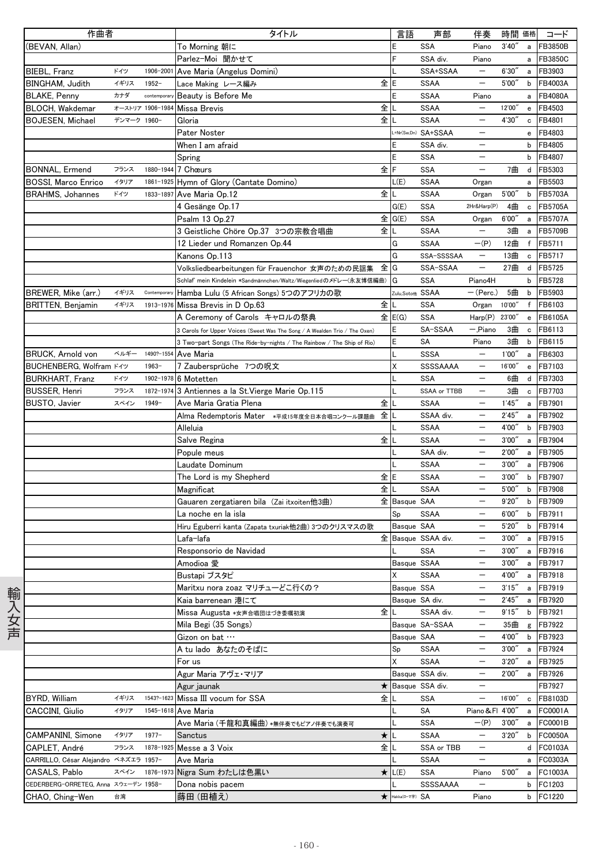| 作曲者                                   |             |                  | タイトル                                                                       | 言語              | 声部                  | 伴奏                       | 時間 価格  |              | コード            |
|---------------------------------------|-------------|------------------|----------------------------------------------------------------------------|-----------------|---------------------|--------------------------|--------|--------------|----------------|
| (BEVAN, Allan)                        |             |                  | To Morning 朝に                                                              | E               | <b>SSA</b>          | Piano                    | 3'40'  | a            | FB3850B        |
|                                       |             |                  | Parlez-Moi 聞かせて                                                            |                 | SSA div.            | Piano                    |        | a            | FB3850C        |
| BIEBL, Franz                          | ドイツ         | 1906-2001        | Ave Maria (Angelus Domini)                                                 |                 | SSA+SSAA            | $\overline{\phantom{0}}$ | 6'30'  | a            | FB3903         |
| <b>BINGHAM. Judith</b>                | イギリス        | $1952 -$         | 全IE<br>Lace Making レース編み                                                   |                 | <b>SSAA</b>         | $\overline{\phantom{0}}$ | 5'00'' | b            | FB4003A        |
|                                       | カナダ         |                  |                                                                            |                 |                     |                          |        |              | <b>FB4080A</b> |
| <b>BLAKE, Penny</b>                   |             | contemporar      | Beauty is Before Me                                                        |                 | <b>SSAA</b>         | Piano                    |        | a            |                |
| BLOCH, Wakdemar                       |             | オーストリア 1906-1984 | 全<br><b>Missa Brevis</b>                                                   |                 | <b>SSAA</b>         |                          | 12'00" | e            | FB4503         |
| <b>BOJESEN, Michael</b>               | デンマーク 1960- |                  | 全<br>Gloria                                                                |                 | <b>SSAA</b>         |                          | 4'30'' | c            | FB4801         |
|                                       |             |                  | Pater Noster                                                               |                 | -*Nr(Sw,Dn) SA+SSAA | $\overline{\phantom{0}}$ |        | $\mathbf{e}$ | FB4803         |
|                                       |             |                  | When I am afraid                                                           | E               | SSA div.            |                          |        | b            | FB4805         |
|                                       |             |                  | Spring                                                                     | E               | <b>SSA</b>          |                          |        | b            | FB4807         |
| BONNAL, Ermend                        | フランス        |                  | 全<br>1880-1944 7 Chœurs                                                    | F               | SSA                 |                          | 7曲     |              | d FB5303       |
| <b>BOSSI, Marco Enrico</b>            | イタリア        |                  | 1861-1925 Hymn of Glory (Cantate Domino)                                   | L(E)            | SSAA                | Organ                    |        | a            | FB5503         |
| <b>BRAHMS, Johannes</b>               | ドイツ         | 1833-1897        | 全<br>Ave Maria Op.12                                                       |                 | <b>SSAA</b>         | Organ                    | 5'00'' | b            | FB5703A        |
|                                       |             |                  | 4 Gesänge Op.17                                                            | G(E)            | <b>SSA</b>          | 2Hr&Harp(P)              | 4曲     | c            | <b>FB5705A</b> |
|                                       |             |                  | Psalm 13 Op.27                                                             | 全 G(E)          | <b>SSA</b>          | Organ                    | 6'00'' | a            | <b>FB5707A</b> |
|                                       |             |                  | 3 Geistliche Chöre Op.37 3つの宗教合唱曲<br>全儿                                    |                 | <b>SSAA</b>         | $\overline{\phantom{m}}$ | 3曲     |              | FB5709B        |
|                                       |             |                  |                                                                            |                 |                     |                          |        | a            |                |
|                                       |             |                  | 12 Lieder und Romanzen Op.44                                               | G               | <b>SSAA</b>         | $-(P)$                   | 12曲    | f            | FB5711         |
|                                       |             |                  | Kanons Op.113                                                              | G               | SSA-SSSSAA          | $\overline{\phantom{m}}$ | 13曲    | c            | FB5717         |
|                                       |             |                  | Volksliedbearbeitungen für Frauenchor 女声のための民謡集<br>全lG                     |                 | SSA-SSAA            | $\overline{\phantom{0}}$ | 27曲    | d            | FB5725         |
|                                       |             |                  | Schlaf' mein Kindelein *Sandmännchen/Waltz/Wiegenliedのメドレー(永友博信編曲)         | G               | <b>SSA</b>          | Piano4H                  |        | b            | FB5728         |
| BREWER, Mike (arr.)                   | イギリス        | Contemporary     | Hamba Lulu (5 African Songs) 5つのアフリカの歌                                     | Zulu,Soto他 SSAA |                     | — (Perc.)                | 5曲     | b            | FB5903         |
| <b>BRITTEN, Benjamin</b>              | イギリス        | 1913-1976        | 全<br>Missa Brevis in D Op.63                                               |                 | SSA                 | Organ                    | 10'00" | f            | FB6103         |
|                                       |             |                  | A Ceremony of Carols キャロルの祭典                                               | E(G)            | <b>SSA</b>          | Harp(P)                  | 23'00" | e            | FB6105A        |
|                                       |             |                  | 3 Carols for Upper Voices (Sweet Was The Song / A Wealden Trio / The Oxen) | Ε               | SA-SSAA             | - Piano                  | 3曲     | c            | FB6113         |
|                                       |             |                  | 3 Two-part Songs (The Ride-by-nights / The Rainbow / The Ship of Rio)      | Е               | SA                  | Piano                    | 3曲     | b            | FB6115         |
| <b>BRUCK, Arnold von</b>              | ベルギー        | 1490?-1554       | Ave Maria                                                                  |                 | <b>SSSA</b>         |                          | 1'00'' | a            | FB6303         |
| BUCHENBERG, Wolfram ドイツ               |             | $1963-$          | 7 Zaubersprüche 7つの呪文                                                      | Χ               | SSSSAAAA            | $\overline{\phantom{m}}$ | 16'00" | $\mathbf{e}$ | FB7103         |
|                                       | ドイツ         |                  |                                                                            |                 |                     |                          |        |              |                |
| <b>BURKHART, Franz</b>                |             | 1902-1978        | 6 Motetten                                                                 |                 | <b>SSA</b>          |                          | 6曲     | d            | FB7303         |
| <b>BUSSER, Henri</b>                  | フランス        |                  | 1872-1974 3 Antiennes a la St. Vierge Marie Op.115                         |                 | SSAA or TTBB        |                          | 3曲     | c            | FB7703         |
| BUSTO, Javier                         | スペイン        | $1949 -$         | 全<br>Ave Maria Gratia Plena                                                |                 | <b>SSAA</b>         | $\overline{\phantom{0}}$ | 1'45'' | a            | FB7901         |
|                                       |             |                  | 全<br>Alma Redemptoris Mater *平成15年度全日本合唱コンクール課題曲                           |                 | SSAA div.           | $\overline{\phantom{m}}$ | 2'45'' | a            | FB7902         |
|                                       |             |                  | Alleluia                                                                   |                 | <b>SSAA</b>         |                          | 4'00"  | b            | FB7903         |
|                                       |             |                  | 全∥<br>Salve Regina                                                         |                 | <b>SSAA</b>         |                          | 3'00'' | a            | FB7904         |
|                                       |             |                  | Popule meus                                                                |                 | SAA div.            | $\overline{\phantom{m}}$ | 2'00'' | a            | FB7905         |
|                                       |             |                  | Laudate Dominum                                                            |                 | <b>SSAA</b>         | $\overline{\phantom{m}}$ | 3'00'' | a            | FB7906         |
|                                       |             |                  | 全E<br>The Lord is my Shepherd                                              |                 | <b>SSAA</b>         |                          | 3'00'' | b            | FB7907         |
|                                       |             |                  | 全<br>Magnificat                                                            |                 | <b>SSAA</b>         | $\overline{\phantom{0}}$ | 5'00'' | b            | FB7908         |
|                                       |             |                  | Gauaren zergatiaren bila (Zai itxoiten他3曲)                                 | 全 Basque SAA    |                     | $\overline{\phantom{m}}$ | 9'20'  | b            | FB7909         |
|                                       |             |                  | La noche en la isla                                                        | Sp              | <b>SSAA</b>         |                          | 6'00'' | b            | FB7911         |
|                                       |             |                  | Hiru Eguberri kanta (Zapata txuriak他2曲) 3つのクリスマスの歌                         | Basque SAA      |                     |                          | 5'20'' | b            | FB7914         |
|                                       |             |                  | Lafa−lafa                                                                  |                 | 全 Basque SSAA div.  | $\overline{\phantom{0}}$ | 3'00'' | a            | FB7915         |
|                                       |             |                  | Responsorio de Navidad                                                     |                 | SSA                 | $\overline{\phantom{0}}$ | 3'00'' | a            | FB7916         |
|                                       |             |                  |                                                                            |                 |                     |                          |        |              |                |
|                                       |             |                  | Amodioa 愛                                                                  | Basque SSAA     |                     | $\overline{\phantom{m}}$ | 3,00   |              | a FB7917       |
|                                       |             |                  | Bustapi ブスタピ                                                               | Χ               | <b>SSAA</b>         |                          | 4'00"  |              | a FB7918       |
|                                       |             |                  | Maritxu nora zoaz マリチューどこ行くの?                                              | Basque SSA      |                     | $\qquad \qquad -$        | 3'15'' |              | a FB7919       |
|                                       |             |                  | Kaia barrenean 港にて                                                         |                 | Basque SA div.      | $\overline{\phantom{m}}$ | 2'45'' | a            | FB7920         |
|                                       |             |                  | 全<br>Missa Augusta *女声合唱団はづき委嘱初演                                           | L               | SSAA div.           |                          | 9'15'' | b            | FB7921         |
|                                       |             |                  | Mila Begi (35 Songs)                                                       |                 | Basque SA-SSAA      | $\overline{\phantom{0}}$ | 35曲    | g            | FB7922         |
|                                       |             |                  | Gizon on bat                                                               | Basque SAA      |                     | $\qquad \qquad -$        | 4'00"  | b            | FB7923         |
|                                       |             |                  | A tu lado あなたのそばに                                                          | Sp              | <b>SSAA</b>         | $\overline{\phantom{m}}$ | 3'00'' | a            | FB7924         |
|                                       |             |                  | For us                                                                     | X               | <b>SSAA</b>         |                          | 3'20'' | $\mathsf{a}$ | FB7925         |
|                                       |             |                  | Agur Maria アヴェ・マリア                                                         |                 | Basque SSA div.     | $\overline{\phantom{0}}$ | 2'00'' | a            | FB7926         |
|                                       |             |                  | Agur jaunak<br>$\star$                                                     |                 | Basque SSA div.     | $\qquad \qquad -$        |        |              | FB7927         |
| BYRD, William                         | イギリス        | 1543?-1623       | 全儿<br>Missa III vocum for SSA                                              |                 | <b>SSA</b>          | $\overline{\phantom{m}}$ | 16'00" | c            | FB8103D        |
| CACCINI, Giulio                       | イタリア        |                  |                                                                            |                 | SA                  |                          |        |              | a FC0001A      |
|                                       |             | 1545-1618        | Ave Maria                                                                  |                 |                     | Piano & FI 4'00"         |        |              |                |
|                                       |             |                  | Ave Maria (千龍和真編曲) *無伴奏でもピアノ伴奏でも演奏可                                        |                 | <b>SSA</b>          | $-(P)$                   | 3'00'' |              | a FC0001B      |
| CAMPANINI, Simone                     | イタリア        | $1977-$          | $\star$<br>Sanctus                                                         |                 | <b>SSAA</b>         | $\overline{\phantom{m}}$ | 3'20'' |              | b FC0050A      |
| CAPLET, André                         | フランス        |                  | 全儿<br>1878-1925 Messe a 3 Voix                                             |                 | SSA or TBB          |                          |        |              | d FC0103A      |
| CARRILLO, César Alejandro ベネズエラ 1957- |             |                  | Ave Maria                                                                  |                 | <b>SSAA</b>         | $\qquad \qquad -$        |        |              | a FC0303A      |
| CASALS, Pablo                         | スペイン        | 1876-1973        | Nigra Sum わたしは色黒い                                                          | $\star$ L(E)    | SSA                 | Piano                    | 5'00'' |              | a FC1003A      |
| CEDERBERG-ORRETEG, Anna スウェーデン 1958-  |             |                  | Dona nobis pacem                                                           |                 | SSSSAAAA            |                          |        |              | b FC1203       |
| CHAO, Ching-Wen                       | 台湾          |                  | $\star$<br>蒔田(田植え)                                                         | Hakka(ローマ字) SA  |                     | Piano                    |        |              | b FC1220       |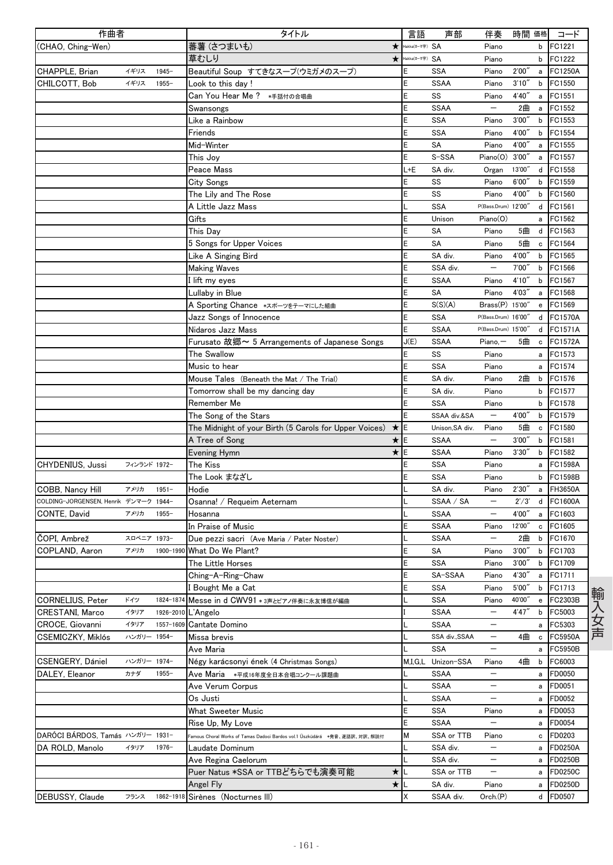| 作曲者                                   |              |           | タイトル                                                                      | 言語             | 声部                 | 伴奏                                | 時間 価格  |   | コード            |
|---------------------------------------|--------------|-----------|---------------------------------------------------------------------------|----------------|--------------------|-----------------------------------|--------|---|----------------|
| (CHAO, Ching-Wen)                     |              |           | 蕃薯 (さつまいも)<br>$\star$                                                     | Hakka(ローマ字) SA |                    | Piano                             |        | b | FC1221         |
|                                       |              |           | 草むしり<br>$\star$                                                           | Hakka(ローマ字) SA |                    | Piano                             |        | b | FC1222         |
| CHAPPLE, Brian                        | イギリス         | $1945 -$  | Beautiful Soup すてきなスープ(ウミガメのスープ)                                          | Ε              | SSA                | Piano                             | 2'00'  | a | <b>FC1250A</b> |
| CHILCOTT, Bob                         | イギリス         | $1955 -$  | Look to this day !                                                        | E              | <b>SSAA</b>        | Piano                             | 3'10'' | b | FC1550         |
|                                       |              |           | Can You Hear Me ? *手話付の合唱曲                                                | E              | SS                 | Piano                             | 4'40'' | a | FC1551         |
|                                       |              |           | Swansongs                                                                 | E              | <b>SSAA</b>        |                                   | 2曲     | a | FC1552         |
|                                       |              |           | Like a Rainbow                                                            | E              | SSA                | Piano                             | 3'00'  | b | FC1553         |
|                                       |              |           | Friends                                                                   | E              | <b>SSA</b>         | Piano                             | 4'00'  | b | FC1554         |
|                                       |              |           | Mid-Winter                                                                | E              | SA                 | Piano                             | 4'00'  | a | FC1555         |
|                                       |              |           | This Joy                                                                  | E              | S-SSA              | Piano(0)                          | 3'00'' | a | FC1557         |
|                                       |              |           | Peace Mass                                                                | L+E            | SA div.            |                                   | 13'00" | d | FC1558         |
|                                       |              |           |                                                                           | E              | SS                 | Organ<br>Piano                    | 6'00'' | b | FC1559         |
|                                       |              |           | <b>City Songs</b>                                                         | E              |                    |                                   |        |   |                |
|                                       |              |           | The Lily and The Rose                                                     |                | SS                 | Piano                             | 4'00"  | b | FC1560         |
|                                       |              |           | A Little Jazz Mass                                                        | L              | SSA                | P(Bass.Drum) 12'00"               |        | d | FC1561         |
|                                       |              |           | Gifts                                                                     | E              | Unison             | Piano(O)                          |        | a | FC1562         |
|                                       |              |           | This Day                                                                  | E              | SA                 | Piano                             | 5曲     | d | FC1563         |
|                                       |              |           | 5 Songs for Upper Voices                                                  | E              | SA                 | Piano                             | 5曲     | c | FC1564         |
|                                       |              |           | Like A Singing Bird                                                       | E              | SA div.            | Piano                             | 4'00'  | b | FC1565         |
|                                       |              |           | <b>Making Waves</b>                                                       | E              | SSA div.           |                                   | 7'00'  | b | FC1566         |
|                                       |              |           | I lift my eyes                                                            | E              | <b>SSAA</b>        | Piano                             | 4'10'' | b | FC1567         |
|                                       |              |           | Lullaby in Blue                                                           | E              | SA                 | Piano                             | 4'03'' | a | FC1568         |
|                                       |              |           | A Sporting Chance *スポーツをテーマにした組曲                                          | E              | S(S)(A)            | Brass(P) 15'00"                   |        | e | FC1569         |
|                                       |              |           | Jazz Songs of Innocence                                                   | E              | <b>SSA</b>         | P(Bass.Drum) 16'00"               |        |   | d FC1570A      |
|                                       |              |           | Nidaros Jazz Mass                                                         | E              | <b>SSAA</b>        | P(Bass.Drum) 15'00"               |        | d | FC1571A        |
|                                       |              |           | Furusato 故郷~ 5 Arrangements of Japanese Songs                             | J(E)           | <b>SSAA</b>        | $Piano, -$                        | 5曲     | c | FC1572A        |
|                                       |              |           | The Swallow                                                               | E              | SS                 | Piano                             |        | a | FC1573         |
|                                       |              |           | Music to hear                                                             | E              | <b>SSA</b>         | Piano                             |        | a | FC1574         |
|                                       |              |           | Mouse Tales (Beneath the Mat / The Trial)                                 | E              | SA div.            | Piano                             | 2曲     | b | FC1576         |
|                                       |              |           | Tomorrow shall be my dancing day                                          | E              | SA div.            | Piano                             |        | b | FC1577         |
|                                       |              |           | Remember Me                                                               | E              | <b>SSA</b>         | Piano                             |        | b | FC1578         |
|                                       |              |           |                                                                           | E              | SSAA div.&SA       | $\overline{\phantom{m}}$          | 4'00'' | b | FC1579         |
|                                       |              |           | The Song of the Stars                                                     |                |                    |                                   |        |   |                |
|                                       |              |           | The Midnight of your Birth (5 Carols for Upper Voices)<br>$\star$         | E              | Unison, SA div.    | Piano<br>$\overline{\phantom{m}}$ | 5曲     | c | FC1580         |
|                                       |              |           | ★lE<br>A Tree of Song                                                     |                | <b>SSAA</b>        |                                   | 3'00'' | b | FC1581         |
|                                       |              |           | $\star$<br>Evening Hymn                                                   | E              | <b>SSAA</b>        | Piano                             | 3'30'' | b | FC1582         |
| CHYDENIUS, Jussi                      | フィンランド 1972- |           | The Kiss                                                                  | E              | SSA                | Piano                             |        | a | FC1598A        |
|                                       |              |           | The Look まなざし                                                             | E              | SSA                | Piano                             |        | b | FC1598B        |
| COBB, Nancy Hill                      | アメリカ         | $1951 -$  | Hodie                                                                     |                | SA div.            | Piano                             | 2'30'' | a | FH3650A        |
| COLDING-JORGENSEN, Henrik デンマーク 1944- |              |           | Osanna! / Requeim Aeternam                                                |                | SSAA / SA          | $\overline{\phantom{m}}$          | 2'/3'  | d | FC1600A        |
| CONTE, David                          | アメリカ         | $1955 -$  | Hosanna                                                                   |                | <b>SSAA</b>        | $\overline{\phantom{m}}$          | 4'00'' | a | FC1603         |
|                                       |              |           | In Praise of Music                                                        | E              | <b>SSAA</b>        | Piano                             | 12'00" | c | FC1605         |
| ČOPI, Ambrež                          | スロベニア 1973-  |           | Due pezzi sacri (Ave Maria / Pater Noster)                                |                | <b>SSAA</b>        | $\qquad \qquad -$                 | 2曲     | b | FC1670         |
| COPLAND, Aaron                        | アメリカ         |           | 1900-1990 What Do We Plant?                                               | E              | SA                 | Piano                             | 3'00'' | b | FC1703         |
|                                       |              |           | The Little Horses                                                         | E              | SSA                | Piano                             | 3,00   | b | FC1709         |
|                                       |              |           | Ching-A-Ring-Chaw                                                         | E              | SA-SSAA            | Piano                             | 4'30"  | a | FC1711         |
|                                       |              |           | Bought Me a Cat                                                           | E              | <b>SSA</b>         | Piano                             | 5'00'' | b | FC1713         |
| <b>CORNELIUS, Peter</b>               | ドイツ          | 1824-1874 | Messe in d CWV91 * 3声とピアノ伴奏に永友博信が編曲                                       |                | <b>SSA</b>         | Piano                             | 40'00" | e | FC2303B        |
| <b>CRESTANI, Marco</b>                | イタリア         | 1926-2010 | L'Angelo                                                                  |                | <b>SSAA</b>        |                                   | 4'47'' | b | FC5003         |
| CROCE, Giovanni                       | イタリア         | 1557-1609 | Cantate Domino                                                            |                | <b>SSAA</b>        |                                   |        | a | FC5303         |
| CSEMICZKY, Miklós                     | ハンガリー 1954-  |           | Missa brevis                                                              |                | SSA div., SSAA     | $\overline{\phantom{m}}$          | 4曲     | c | FC5950A        |
|                                       |              |           | Ave Maria                                                                 |                | <b>SSA</b>         | $\overline{\phantom{m}}$          |        | а | FC5950B        |
| CSENGERY, Dániel                      | ハンガリー 1974-  |           | Négy karácsonyi ének (4 Christmas Songs)                                  |                | M,I,G,L Unizon-SSA | Piano                             | 4曲     | b | FC6003         |
| DALEY, Eleanor                        | カナダ          | $1955 -$  | Ave Maria →平成16年度全日本合唱コンクール課題曲                                            |                | <b>SSAA</b>        | $\overline{\phantom{m}}$          |        |   | FD0050         |
|                                       |              |           |                                                                           |                |                    | $\overline{\phantom{m}}$          |        | а |                |
|                                       |              |           | Ave Verum Corpus                                                          |                | <b>SSAA</b>        |                                   |        | a | FD0051         |
|                                       |              |           | Os Justi                                                                  | L              | <b>SSAA</b>        | $\overline{\phantom{0}}$          |        | a | FD0052         |
|                                       |              |           | What Sweeter Music                                                        | E              | <b>SSA</b>         | Piano                             |        | a | FD0053         |
|                                       |              |           | Rise Up, My Love                                                          | E              | <b>SSAA</b>        | $\qquad \qquad -$                 |        | a | FD0054         |
| DARÓCI BÁRDOS, Tamás ハンガリー 1931-      |              |           | Famous Choral Works of Tamas Dadoci Bardos vol.1 Üszküdárá *発音、逐語訳、対訳、解説付 | M              | SSA or TTB         | Piano                             |        | c | FD0203         |
| DA ROLD, Manolo                       | イタリア         | $1976 -$  | Laudate Dominum                                                           |                | SSA div.           |                                   |        | a | <b>FD0250A</b> |
|                                       |              |           | Ave Regina Caelorum                                                       |                | SSA div.           |                                   |        | а | FD0250B        |
|                                       |              |           | Puer Natus *SSA or TTBどちらでも演奏可能<br>$\star$                                |                | SSA or TTB         | $\overline{\phantom{0}}$          |        | a | <b>FD0250C</b> |
|                                       |              |           | $\star$<br>Angel Fly                                                      |                | SA div.            | Piano                             |        | а | FD0250D        |
| DEBUSSY, Claude                       | フランス         | 1862-1918 | Sirènes (Nocturnes III)                                                   | Χ              | SSAA div.          | Orch.(P)                          |        | d | FD0507         |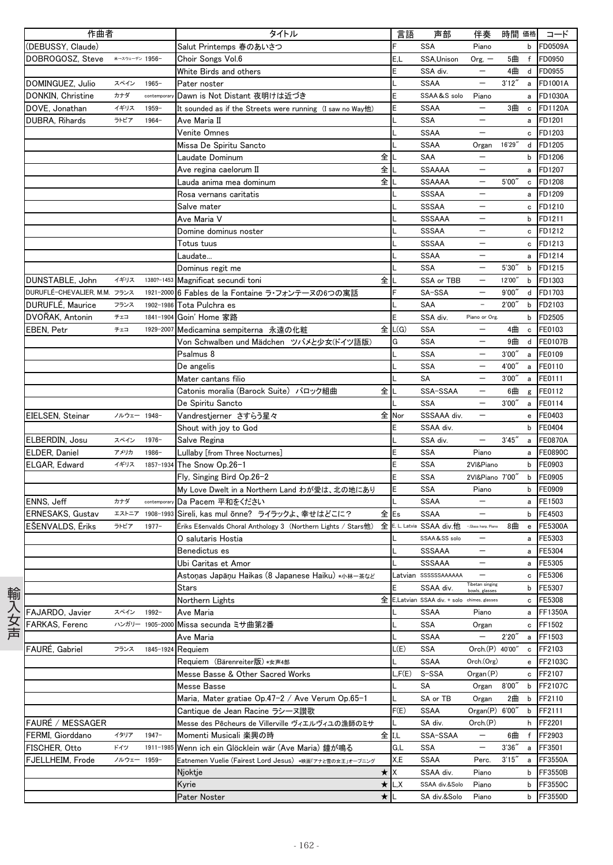| 作曲者                          |                |                 | タイトル                                                               | 言語     | 声部                                          | 伴奏                       | 時間 価格  |              | コード            |
|------------------------------|----------------|-----------------|--------------------------------------------------------------------|--------|---------------------------------------------|--------------------------|--------|--------------|----------------|
| (DEBUSSY, Claude)            |                |                 | Salut Printemps 春のあいさつ                                             | F      | <b>SSA</b>                                  | Piano                    |        | b            | <b>FD0509A</b> |
| DOBROGOSZ, Steve             | *→スウェーデン 1956- |                 | Choir Songs Vol.6                                                  | E,L    | SSA, Unison                                 | $Org, -$                 | 5曲     | f            | FD0950         |
|                              |                |                 | White Birds and others                                             | E      | SSA div.                                    |                          | 4曲     |              | d FD0955       |
| DOMINGUEZ, Julio             | スペイン           | $1965 -$        | Pater noster                                                       |        | <b>SSAA</b>                                 | $\overline{\phantom{0}}$ | 3'12'' | $\mathsf{a}$ | FD1001A        |
| DONKIN, Christine            | カナダ            | contemporar     | Dawn is Not Distant 夜明けは近づき                                        | E      | SSAA&S solo                                 | Piano                    |        | a            | FD1030A        |
| DOVE, Jonathan               | イギリス           | $1959 -$        | It sounded as if the Streets were running (I saw no Way他)          | E      | <b>SSAA</b>                                 | $\qquad \qquad -$        | 3曲     | c            | <b>FD1120A</b> |
| DUBRA, Rihards               | ラトビア           | 1964-           | Ave Maria II                                                       |        | <b>SSA</b>                                  |                          |        | a            | FD1201         |
|                              |                |                 | Venite Omnes                                                       |        | <b>SSAA</b>                                 |                          |        | c            | FD1203         |
|                              |                |                 | Missa De Spiritu Sancto                                            |        | <b>SSAA</b>                                 | Organ                    | 16'29" | d            | FD1205         |
|                              |                |                 | 全<br>Laudate Dominum                                               |        | SAA                                         | $\overline{\phantom{0}}$ |        | b            | FD1206         |
|                              |                |                 | 全<br>Ave regina caelorum II                                        |        | <b>SSAAAA</b>                               |                          |        | a            | FD1207         |
|                              |                |                 | 全<br>Lauda anima mea dominum                                       |        | <b>SSAAAA</b>                               | $\qquad \qquad -$        | 5'00'' | c            | FD1208         |
|                              |                |                 | Rosa vernans caritatis                                             |        | SSSAA                                       | $\overline{\phantom{0}}$ |        | a            | FD1209         |
|                              |                |                 | Salve mater                                                        |        | SSSAA                                       |                          |        | c            | FD1210         |
|                              |                |                 | Ave Maria V                                                        |        | SSSAAA                                      |                          |        | b            | FD1211         |
|                              |                |                 | Domine dominus noster                                              |        | SSSAA                                       | $\qquad \qquad -$        |        | c            | FD1212         |
|                              |                |                 | Totus tuus                                                         |        | SSSAA                                       | —                        |        | c            | FD1213         |
|                              |                |                 | Laudate…                                                           |        | <b>SSAA</b>                                 |                          |        | a            | FD1214         |
|                              |                |                 | Dominus regit me                                                   |        | <b>SSA</b>                                  | $\qquad \qquad -$        | 5'30'' | b            | FD1215         |
| DUNSTABLE, John              | イギリス           | 1380?-1453      | 全<br>Magnificat secundi toni                                       |        | SSA or TBB                                  | $\qquad \qquad -$        | 12'00" | $\mathsf b$  | FD1303         |
| DURUFLÉ-CHEVALIER, M.M. フランス |                |                 | 1921-2000 6 Fables de la Fontaine ラ・フォンテーヌの6つの寓話                   |        | SA-SSA                                      | —                        | 9'00'' | d            | FD1703         |
| DURUFLÉ, Maurice             | フランス           | 1902-1986       | Tota Pulchra es                                                    |        | SAA                                         | $\equiv$                 | 2'00'' | $\mathsf b$  | FD2103         |
| DVOŘAK, Antonin              | チェコ            | 1841-1904       | Goin' Home 家路                                                      | E      | SSA div.                                    | Piano or Org.            |        | b            | FD2505         |
| EBEN, Petr                   | チェコ            | 1929-2007       | Medicamina sempiterna 永遠の化粧                                        | 全 L(G) | <b>SSA</b>                                  | $\qquad \qquad -$        | 4曲     | $\mathbf c$  | FE0103         |
|                              |                |                 | Von Schwalben und Mädchen ツバメと少女(ドイツ語版)                            | G      | <b>SSA</b>                                  |                          | 9曲     |              | d FE0107B      |
|                              |                |                 | Psalmus 8                                                          |        | <b>SSA</b>                                  | $\overline{\phantom{0}}$ | 3'00'' | a            | FE0109         |
|                              |                |                 | De angelis                                                         |        | <b>SSA</b>                                  | $\overline{\phantom{a}}$ | 4'00'' | a            | FE0110         |
|                              |                |                 | Mater cantans filio                                                |        | SA                                          | $\qquad \qquad -$        | 3'00'' | a            | FE0111         |
|                              |                |                 | Catonis moralia (Barock Suite) バロック組曲<br>全                         |        | SSA-SSAA                                    |                          | 6曲     | g            | FE0112         |
|                              |                |                 | De Spiritu Sancto                                                  |        | <b>SSA</b>                                  | $\overline{\phantom{0}}$ | 3'00'' | a            | FE0114         |
| EIELSEN, Steinar             | ノルウェー 1948-    |                 | 全<br>Vandrestjerner さすらう星々                                         | Nor    | SSSAAA div.                                 | $\qquad \qquad -$        |        | e            | FE0403         |
|                              |                |                 | Shout with joy to God                                              | E      | SSAA div.                                   |                          |        | b            | FE0404         |
| ELBERDIN, Josu               | スペイン           | $1976 -$        | Salve Regina                                                       |        | SSA div.                                    | $\overline{\phantom{m}}$ | 3'45'' | $\mathsf{a}$ | <b>FE0870A</b> |
| ELDER, Daniel                | アメリカ           | 1986-           | Lullaby [from Three Nocturnes]                                     | E      | <b>SSA</b>                                  | Piano                    |        | a            | <b>FE0890C</b> |
| ELGAR, Edward                | イギリス           | 1857-1934       | The Snow Op.26-1                                                   | E      | <b>SSA</b>                                  | 2VI&Piano                |        | $\mathsf b$  | FE0903         |
|                              |                |                 | Fly, Singing Bird Op.26-2                                          | E      | <b>SSA</b>                                  | 2VI&Piano 7'00"          |        | $\mathsf b$  | FE0905         |
|                              |                |                 | My Love Dwelt in a Northern Land わが愛は、北の地にあり                       | E      | <b>SSA</b>                                  | Piano                    |        | b            | FE0909         |
| ENNS, Jeff                   | カナダ            | contemporary    | Da Pacem 平和をください                                                   |        | <b>SSAA</b>                                 | $\qquad \qquad -$        |        | a            | FE1503         |
| ERNESAKS, Gustav             |                | エストニア 1908-1993 | Sireli, kas mul õnne? ライラックよ、幸せはどこに?                               | 全Es    | <b>SSAA</b>                                 |                          |        | b            | FE4503         |
| <b>ESENVALDS, Eriks</b>      | ラトビア           | $1977 -$        | 全<br>Eriks Ešenvalds Choral Anthology 3 (Northern Lights / Stars他) |        | E. L. Latvia SSAA div.他 -Glass harp. Piano  |                          | 8曲     | $\mathbf{e}$ | FE5300A        |
|                              |                |                 | O salutaris Hostia                                                 |        | SSAA&SS solo                                |                          |        | a            | FE5303         |
|                              |                |                 | Benedictus es                                                      |        | SSSAAA                                      | $\overline{\phantom{m}}$ |        | a            | FE5304         |
|                              |                |                 | Ubi Caritas et Amor                                                |        | SSSAAA                                      |                          |        |              | a FE5305       |
|                              |                |                 | Astoņas Japāņu Haikas (8 Japanese Haiku) *小林一茶など                   |        | Latvian SSSSSSAAAAAA                        | Tibetan singing          |        | c            | FE5306         |
|                              |                |                 | Stars                                                              |        | SSAA div.                                   | bowls, glasses           |        | b            | FE5307         |
|                              |                |                 | 全<br>Northern Lights                                               |        | E, Latvian SSAA div. + solo chimes, glasses |                          |        | c            | FE5308         |
| FAJARDO, Javier              | スペイン           | 1992-           | Ave Maria                                                          |        | <b>SSAA</b>                                 | Piano                    |        | a            | FF1350A        |
| FARKAS, Ferenc               |                | ハンガリー 1905-2000 | Missa secunda ミサ曲第2番                                               |        | SSA                                         | Organ                    |        | c            | FF1502         |
|                              |                |                 | Ave Maria                                                          |        | <b>SSAA</b>                                 | $\qquad \qquad -$        | 2'20'' | a            | FF1503         |
| FAURÉ. Gabriel               | フランス           | 1845-1924       | Requiem                                                            | L(E)   | SSA                                         | Orch.(P) 40'00"          |        | с            | FF2103         |
|                              |                |                 | Requiem (Bärenreiter版) *女声4部                                       |        | <b>SSAA</b>                                 | Orch.(Org)               |        | e            | FF2103C        |
|                              |                |                 | Messe Basse & Other Sacred Works                                   | L,F(E) | S-SSA                                       | Organ(P)                 |        | с            | FF2107         |
|                              |                |                 | Messe Basse                                                        |        | SA                                          | Organ                    | 8'00'' | b            | FF2107C        |
|                              |                |                 | Maria, Mater gratiae Op.47-2 / Ave Verum Op.65-1                   |        | SA or TB                                    | Organ                    | 2曲     | b            | FF2110         |
|                              |                |                 | Cantique de Jean Racine ラシーヌ讃歌                                     | F(E)   | SSAA                                        | Organ(P)                 | 6'00'' | b            | FF2111         |
| FAURÉ / MESSAGER             |                |                 | Messe des Pêcheurs de Villerville ヴィエルヴィユの漁師のミサ                    |        | SA div.                                     | Orch.(P)                 |        | h            | FF2201         |
| FERMI, Giorddano             | イタリア           | $1947 -$        | Momenti Musicali 楽興の時                                              | 全 II.L | SSA-SSAA                                    | $\qquad \qquad -$        | 6曲     | f            | FF2903         |
| FISCHER, Otto                | ドイツ            | 1911-1985       | Wenn ich ein Glöcklein wär (Ave Maria) 鐘が鳴る                        | G,L    | SSA                                         | $\qquad \qquad -$        | 3'36'' | a            | FF3501         |
| FJELLHEIM, Frode             | ノルウェー 1959-    |                 | Eatnemen Vuelie (Fairest Lord Jesus) *映画「アナと雪の女王」オープニング            | X,E    | <b>SSAA</b>                                 | Perc.                    | 3'15'' | а            | FF3550A        |
|                              |                |                 | ★<br>Njoktje                                                       | X      | SSAA div.                                   | Piano                    |        | b            | FF3550B        |
|                              |                |                 | Kyrie<br>$\star$                                                   | L,X    | SSAA div.&Solo                              | Piano                    |        | b            | FF3550C        |
|                              |                |                 | ★<br>Pater Noster                                                  |        | SA div.&Solo                                | Piano                    |        | b            | FF3550D        |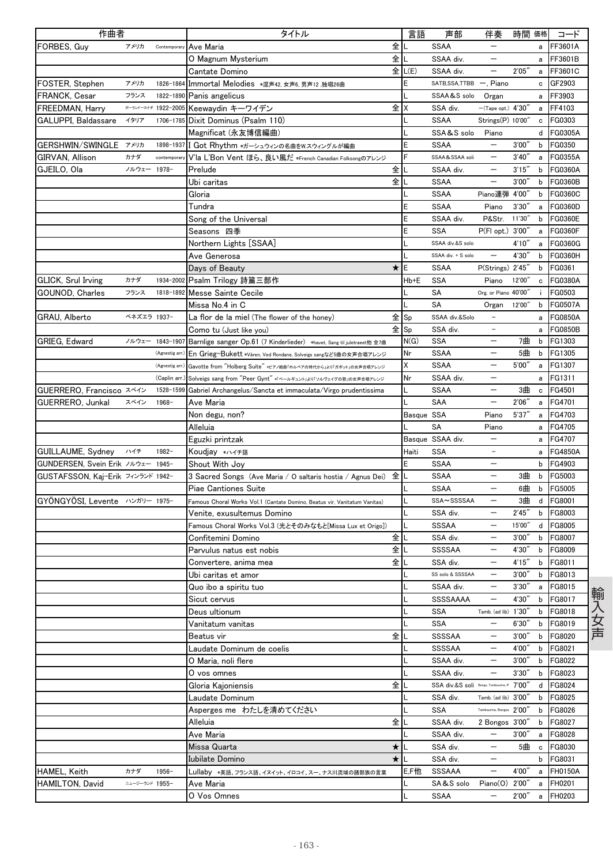| 作曲者                               |                |                     | タイトル                                                                      |         | 言語         | 声部                                         | 伴奏                       | 時間 価格  |              | コード            |
|-----------------------------------|----------------|---------------------|---------------------------------------------------------------------------|---------|------------|--------------------------------------------|--------------------------|--------|--------------|----------------|
| FORBES. Guv                       | アメリカ           | Contemporary        | Ave Maria                                                                 | 全       |            | <b>SSAA</b>                                |                          |        | a            | FF3601A        |
|                                   |                |                     | O Magnum Mysterium                                                        | 全       |            | SSAA div.                                  |                          |        | a            | FF3601B        |
|                                   |                |                     | Cantate Domino                                                            |         | 全 L(E)     | SSAA div.                                  |                          | 2'05'' | a            | FF3601C        |
| FOSTER, Stephen                   | アメリカ           |                     | 1826-1864 Immortal Melodies *混声42, 女声6, 男声12, 独唱26曲                       |         |            | SATB, SSA, TTBB -, Piano                   |                          |        | c            | GF2903         |
| FRANCK, Cesar                     | フランス           | 1822-1890           | Panis angelicus                                                           |         |            | SSAA&S solo                                | Organ                    |        | a            | FF3903         |
| FREEDMAN, Harry                   |                | ポーランドーカナダ 1922-2005 | Keewaydin キーワイデン                                                          | 全       | х          | SSA div.                                   | $-($ Tape opt.) $4'30'$  |        | a            | FF4103         |
| GALUPPI, Baldassare               | イタリア           | 1706-1785           | Dixit Dominus (Psalm 110)                                                 |         |            | <b>SSAA</b>                                | Strings(P) 10'00"        |        | c            | FG0303         |
|                                   |                |                     | Magnificat (永友博信編曲)                                                       |         |            | SSA&S solo                                 | Piano                    |        | d            | FG0305A        |
| GERSHWIN/SWINGLE アメリカ             |                |                     | 1898-1937 I Got Rhythm *ガーシュウィンの名曲をW.スウィングルが編曲                            |         | E          | <b>SSAA</b>                                | $\overline{\phantom{m}}$ | 3'00'' | b            | FG0350         |
| GIRVAN, Allison                   | カナダ            | contemporary        | V'la L'Bon Vent ほら、良い風だ *French Canadian Folksongのアレンジ                    |         |            | SSAA&SSAA soli                             |                          | 3'40'' | a            | FG0355A        |
| GJEILO, Ola                       | ノルウェー 1978-    |                     | Prelude                                                                   | 全       |            | SSAA div.                                  | $\overline{\phantom{m}}$ | 3'15'' | b            | FG0360A        |
|                                   |                |                     | Ubi caritas                                                               | 全儿      |            | <b>SSAA</b>                                | $\qquad \qquad -$        | 3'00'' | b            | FG0360B        |
|                                   |                |                     | Gloria                                                                    |         |            | SSAA                                       | Piano連弾 4'00"            |        | b            | FG0360C        |
|                                   |                |                     | Tundra                                                                    |         | Ε          | <b>SSAA</b>                                | Piano                    | 3'30'  | a            | FG0360D        |
|                                   |                |                     | Song of the Universal                                                     |         | Ë          | SSAA div.                                  | P&Str.                   | 11'30" | b            | FG0360E        |
|                                   |                |                     | Seasons 四季                                                                |         | E          | <b>SSA</b>                                 | P(Fl opt.) 3'00"         |        | a            | FG0360F        |
|                                   |                |                     | Northern Lights [SSAA]                                                    |         |            | SSAA div.&S solo                           |                          | 4'10'' | a            | FG0360G        |
|                                   |                |                     | Ave Generosa                                                              |         |            | SSAA div. + S solo                         |                          | 4'30"  | b            | FG0360H        |
|                                   |                |                     | Days of Beauty                                                            | $\star$ | IΕ         | SSAA                                       | P(Strings) 2'45"         |        | b            | FG0361         |
| <b>GLICK, Srul Irving</b>         | カナダ            | 1934-2002           | Psalm Trilogy 詩篇三部作                                                       |         | Hb+E       | <b>SSA</b>                                 | Piano                    | 12'00" | c            | FG0380A        |
| GOUNOD, Charles                   | フランス           |                     | 1818-1892 Messe Sainte Cecile                                             |         |            | SA                                         | Org. or Piano 40'00"     |        | i.           | FG0503         |
|                                   |                |                     | Missa No.4 in C                                                           |         |            | SA                                         | Organ                    | 12'00" | b            | <b>FG0507A</b> |
| GRAU, Alberto                     | ベネズエラ 1937-    |                     | La flor de la miel (The flower of the honey)                              | 全Sp     |            | SSAA div.&Solo                             |                          |        | a            | FG0850A        |
|                                   |                |                     | Como tu (Just like you)                                                   | 全Sp     |            | SSA div.                                   |                          |        | a            | <b>FG0850B</b> |
| GRIEG, Edward                     | ノルウェー          | 1843-1907           | Barnlige sanger Op.61 (7 Kinderlieder) *havet, Sang til juletraeet他全7曲    |         | N(G)       | <b>SSA</b>                                 |                          | 7曲     | b            | FG1303         |
|                                   |                | (Agnestig arr.      | En Grieg-Bukett *Våren, Ved Rondane, Solveigs sangなど5曲の女声合唱アレンジ           |         | Nr         | <b>SSAA</b>                                | $\overline{\phantom{m}}$ | 5曲     | b            | FG1305         |
|                                   |                | (Agnestig arr.      | Gavotte from "Holberg Suite" *ビアノ組曲「ホルベアの時代から」より「ガボット」の女声合唱アレンジ           |         | X          | <b>SSAA</b>                                | $\overline{\phantom{m}}$ | 5'00'' | a            | FG1307         |
|                                   |                | (Caplin arr.        | Solveigs sang from "Peer Gynt" *「ペールギュント」より「ソルヴェイグの歌」の女声合唱アレンジ            |         | Nr         | SSAA div.                                  |                          |        | a            | FG1311         |
| GUERRERO, Francisco スペイン          |                | 1528-1599           | Gabriel Archangelus/Sancta et immaculata/Virgo prudentissima              |         |            | <b>SSAA</b>                                |                          | 3曲     | c            | FG4501         |
| GUERRERO, Junkal                  | スペイン           | $1968 -$            | Ave Maria                                                                 |         |            | SAA                                        | $\qquad \qquad -$        | 2'06'' | a            | FG4701         |
|                                   |                |                     | Non degu, non?                                                            |         | Basque SSA |                                            | Piano                    | 5'37'' | a            | FG4703         |
|                                   |                |                     | Alleluia                                                                  |         |            | SA                                         | Piano                    |        | a            | FG4705         |
|                                   |                |                     | Eguzki printzak                                                           |         |            | Basque SSAA div.                           | $\overline{\phantom{0}}$ |        | a            | FG4707         |
| GUILLAUME, Sydney                 | ハイチ            | $1982 -$            | Koudjay *ハイチ語                                                             |         | Haiti      | <b>SSA</b>                                 | $\overline{\phantom{a}}$ |        | a            | FG4850A        |
| GUNDERSEN, Svein Erik ノルウェー 1945- |                |                     | Shout With Joy                                                            |         | E          | <b>SSAA</b>                                |                          |        | b            | FG4903         |
| GUSTAFSSON, Kaj-Erik フィンランド 1942- |                |                     | 3 Sacred Songs (Ave Maria / O saltaris hostia / Agnus Dei)                | 全       |            | <b>SSAA</b>                                |                          | 3曲     | b            | FG5003         |
|                                   |                |                     | Piae Cantiones Suite                                                      |         |            | <b>SSAA</b>                                | $\qquad \qquad -$        | 6曲     | b            | FG5005         |
| GYÖNGYÖSI, Levente ハンガリー 1975-    |                |                     | Famous Choral Works Vol.1 (Cantate Domino, Beatus vir, Vanitatum Vanitas) |         |            | SSA~SSSSAA                                 | $\overline{\phantom{m}}$ | 3曲     | d            | FG8001         |
|                                   |                |                     | Venite, exusultemus Domino                                                |         |            | SSA div.                                   |                          | 2'45'  | b            | FG8003         |
|                                   |                |                     | Famous Choral Works Vol.3 (光とそのみなもと[Missa Lux et Origo])                  |         |            | <b>SSSAA</b>                               | $\overline{\phantom{0}}$ | 15'00" | d            | FG8005         |
|                                   |                |                     | Confitemini Domino                                                        | 全       |            | SSA div.                                   | $\overline{\phantom{m}}$ | 3'00'' | b            | FG8007         |
|                                   |                |                     | Parvulus natus est nobis                                                  | 全       |            | <b>SSSSAA</b>                              | $\overline{\phantom{0}}$ | 4'30"  | b            | FG8009         |
|                                   |                |                     | Convertere, anima mea                                                     | 全∥∟     |            | SSA div.                                   |                          | 4'15'' |              | b FG8011       |
|                                   |                |                     | Ubi caritas et amor                                                       |         |            | SS solo & SSSSAA                           | $\overline{\phantom{m}}$ | 3'00'' | b            | FG8013         |
|                                   |                |                     | Quo ibo a spiritu tuo                                                     |         |            | SSAA div.                                  | $\qquad \qquad -$        | 3'30'' | a            | FG8015         |
|                                   |                |                     | Sicut cervus                                                              |         |            | SSSSAAAA                                   | $\qquad \qquad -$        | 4'30'' | b            | FG8017         |
|                                   |                |                     | Deus ultionum                                                             |         |            | SSA                                        | Tamb. (ad lib) 1'30"     |        | b            | FG8018         |
|                                   |                |                     | Vanitatum vanitas                                                         |         |            | <b>SSA</b>                                 | $\overline{\phantom{m}}$ | 6'30'' | b            | FG8019         |
|                                   |                |                     | Beatus vir                                                                | 全       |            | <b>SSSSAA</b>                              | $\overline{\phantom{m}}$ | 3'00'' | b            | FG8020         |
|                                   |                |                     | Laudate Dominum de coelis                                                 |         |            | SSSSAA                                     |                          | 4'00"  | b            | FG8021         |
|                                   |                |                     | O Maria, noli flere                                                       |         |            | SSAA div.                                  |                          | 3'00'' | b            | FG8022         |
|                                   |                |                     | O vos omnes                                                               |         |            | SSAA div.                                  | $\qquad \qquad -$        | 3'30'' | b            | FG8023         |
|                                   |                |                     | Gloria Kajoniensis                                                        | 全       |            | SSA div.&S soli Bongo, Tombourine, P 7'00" |                          |        | d            | FG8024         |
|                                   |                |                     | Laudate Dominum                                                           |         |            | SSA div.                                   | Tamb. (ad lib) 3'00"     |        | b            | FG8025         |
|                                   |                |                     | Asperges me わたしを清めてください                                                   |         |            | SSA                                        | Tambourine, Bongos 2'00" |        | b            | FG8026         |
|                                   |                |                     | Alleluia                                                                  | 全       |            | SSAA div.                                  | 2 Bongos 3'00"           |        | b            | FG8027         |
|                                   |                |                     | Ave Maria                                                                 |         |            | SSAA div.                                  |                          | 3'00'' | a            | FG8028         |
|                                   |                |                     | Missa Quarta                                                              | $\star$ |            | SSA div.                                   | $\overline{\phantom{m}}$ | 5曲     | $\mathtt{c}$ | FG8030         |
|                                   |                |                     | Iubilate Domino                                                           | $\star$ |            | SSA div.                                   | $\overline{\phantom{m}}$ |        | b            | FG8031         |
| HAMEL, Keith                      | カナダ            | $1956 -$            | Lullaby *英語、フランス語、イヌイット、イロコイ、スー、ナス川流域の諸部族の言葉                              |         | E,F他       | SSSAAA                                     | $\qquad \qquad -$        | 4'00"  | a            | <b>FH0150A</b> |
| HAMILTON, David                   | ニュージーランド 1955- |                     | Ave Maria                                                                 |         |            | SA&S solo                                  | Piano(0) 2'00"           |        | a            | FH0201         |
|                                   |                |                     | O Vos Omnes                                                               |         |            | SSAA                                       | $\overline{\phantom{m}}$ | 2'00'' | a            | FH0203         |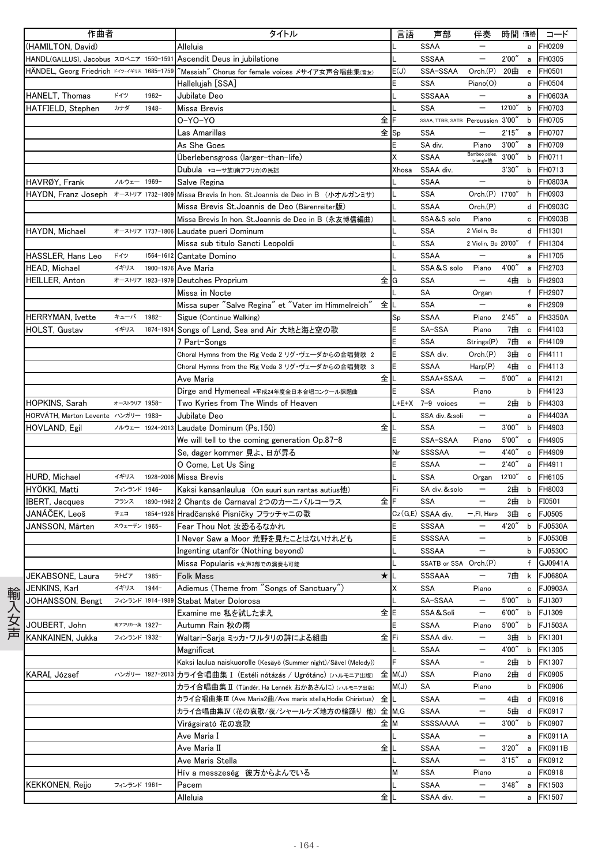| 作曲者                                        | タイトル                                                             | 言語     | 声部                                | 伴奏                         | 時間 価格  |              | コード            |
|--------------------------------------------|------------------------------------------------------------------|--------|-----------------------------------|----------------------------|--------|--------------|----------------|
| (HAMILTON, David)                          | Alleluia                                                         |        | <b>SSAA</b>                       |                            |        | a            | FH0209         |
| HANDL(GALLUS), Jacobus スロベニア 1550-1591     | Ascendit Deus in jubilatione                                     |        | SSSAA                             |                            | 2'00'' | a            | FH0305         |
| HÄNDEL, Georg Friedrich F49-4#02 1685-1759 | "Messiah" Chorus for female voices メサイア女声合唱曲集( <sub>音友)</sub>    | E(J)   | SSA-SSAA                          | Orch(P)                    | 20曲    | $\mathbf{e}$ | FH0501         |
|                                            | Hallelujah [SSA]                                                 | Ë      | <b>SSA</b>                        | Piano(O)                   |        | a            | FH0504         |
| ドイツ<br>HANELT, Thomas<br>$1962 -$          | Jubilate Deo                                                     |        | <b>SSSAAA</b>                     |                            |        | a            | FH0603A        |
| HATFIELD, Stephen<br>カナダ<br>$1948 -$       | Missa Brevis                                                     |        | <b>SSA</b>                        |                            | 12'00" | b            | FH0703         |
|                                            | 全<br>0-Y0-Y0                                                     |        | SSAA, TTBB, SATB Percussion 3'00" |                            |        | b            | FH0705         |
|                                            | 全Sp<br>Las Amarillas                                             |        | <b>SSA</b>                        | $\overline{\phantom{0}}$   | 2'15'' | a            | FH0707         |
|                                            | As She Goes                                                      |        | SA div.                           | Piano                      | 3'00'' | $\mathsf{a}$ | FH0709         |
|                                            | Überlebensgross (larger-than-life)                               | X      | <b>SSAA</b>                       | Bamboo poles,<br>triangle他 | 3'00'' | b            | FH0711         |
|                                            | Dubula *コーサ族(南アフリカ)の民謡                                           | Xhosa  | SSAA div.                         |                            | 3'30'' | b            | FH0713         |
| HAVRØY, Frank<br>ノルウェー 1969-               | Salve Regina                                                     |        | <b>SSAA</b>                       |                            |        | b            | FH0803A        |
| HAYDN, Franz Joseph オーストリア 1732-1809       | Missa Brevis In hon. St.Joannis de Deo in B (小オルガンミサ)            |        | SSA                               | Orch.(P) 17'00"            |        | h            | FH0903         |
|                                            | Missa Brevis St.Joannis de Deo (Bärenreiter版)                    |        | <b>SSAA</b>                       | Orch.(P)                   |        |              | d FH0903C      |
|                                            | Missa Brevis In hon. St.Joannis de Deo in B (永友博信編曲)             |        | SSA&S solo                        | Piano                      |        | c            | FH0903B        |
| HAYDN, Michael<br>オーストリア 1737-1806         | Laudate pueri Dominum                                            |        | <b>SSA</b>                        | 2 Violin, Bc               |        |              | d FH1301       |
|                                            | Missa sub titulo Sancti Leopoldi                                 |        | <b>SSA</b>                        | 2 Violin, Bc 20'00"        |        |              | f FH1304       |
| HASSLER, Hans Leo<br>ドイツ<br>1564-1612      | Cantate Domino                                                   |        | <b>SSAA</b>                       |                            |        |              | a FH1705       |
| <b>HEAD, Michael</b><br>イギリス<br>1900-1976  | Ave Maria                                                        |        | SSA&S solo                        | Piano                      | 4'00"  | a            | FH2703         |
| HEILLER, Anton<br>オーストリア 1923-1979         | 全<br>Deutches Proprium                                           | G      | <b>SSA</b>                        | $\overline{\phantom{0}}$   | 4曲     | b            | FH2903         |
|                                            | Missa in Nocte                                                   |        | SA                                | Organ                      |        |              | f FH2907       |
|                                            | Missa super "Salve Regina" et "Vater im Himmelreich"<br>全        |        | <b>SSA</b>                        |                            |        | e            | FH2909         |
| <b>HERRYMAN.</b> Ivette<br>キューバ<br>1982-   | Sigue (Continue Walking)                                         | Sp     | <b>SSAA</b>                       | Piano                      | 2'45'' | a            | FH3350A        |
| <b>HOLST. Gustav</b><br>イギリス<br>1874-1934  | Songs of Land, Sea and Air 大地と海と空の歌                              | E      | SA-SSA                            | Piano                      | 7曲     | c            | FH4103         |
|                                            | 7 Part-Songs                                                     | E      | <b>SSA</b>                        | Strings(P)                 | 7曲     | e            | FH4109         |
|                                            | Choral Hymns from the Rig Veda 2 リグ・ヴェーダからの合唱賛歌 2                | Ë      | SSA div.                          | Orch.(P)                   | 3曲     | c            | FH4111         |
|                                            | Choral Hymns from the Rig Veda 3 リグ・ヴェーダからの合唱賛歌 3                | E      | <b>SSAA</b>                       | Harp(P)                    | 4曲     | c            | FH4113         |
|                                            | 全<br>Ave Maria                                                   | L      | SSAA+SSAA                         | $\overline{\phantom{0}}$   | 5'00'' | a            | FH4121         |
|                                            | Dirge and Hymeneal *平成24年度全日本合唱コンクール課題曲                          | E      | SSA                               | Piano                      |        | b            | FH4123         |
| HOPKINS, Sarah<br>オーストラリア 1958-            | Two Kyries from The Winds of Heaven                              | L+E+X  | 7-9 voices                        | $\overline{\phantom{0}}$   | 2曲     | b            | FH4303         |
| HORVÁTH, Marton Levente ハンガリー 1983-        | Jubilate Deo                                                     |        | SSA div. & soli                   | $\overline{\phantom{m}}$   |        | a            | FH4403A        |
| HOVLAND, Egil<br>ノルウェー 1924-2013           | Laudate Dominum (Ps.150)<br>全                                    |        | <b>SSA</b>                        | $\overline{\phantom{m}}$   | 3'00'' | b            | FH4903         |
|                                            | We will tell to the coming generation Op.87-8                    | E      | SSA-SSAA                          | Piano                      | 5'00'' | c            | FH4905         |
|                                            | Se, dager kommer 見よ、日が昇る                                         | Nr     | SSSSAA                            |                            | 4'40'' | c            | FH4909         |
|                                            | O Come, Let Us Sing                                              | Ë      | <b>SSAA</b>                       | $\overline{\phantom{m}}$   | 2'40'  | a            | FH4911         |
| イギリス<br><b>HURD, Michael</b>               | 1928-2006 Missa Brevis                                           |        | <b>SSA</b>                        | Organ                      | 12'00" | c            | FH6105         |
| HYÖKKI, Matti<br>フィンランド 1946-              | Kaksi kansanlaulua (On suuri sun rantas autius他)                 | Fi     | SA div. & solo                    | $\qquad \qquad -$          | 2曲     | b            | FH8003         |
| <b>IBERT, Jacques</b><br>フランス<br>1890-1962 | 全<br>2 Chants de Carnaval 2つのカーニバルコーラス                           | F      | <b>SSA</b>                        | $\overline{\phantom{m}}$   | 2曲     | b            | FI0501         |
| JANÁČEK, Leoš<br>チェコ<br>1854-1928          | Hradčanské Pisníčky フラッチャニの歌                                     |        | Cz(G,E) SSAA div.                 | $-$ , $F$ I, Harp          | 3曲     | c            | FJ0505         |
| JANSSON, Mårten<br>スウェーデン 1965-            | Fear Thou Not 汝恐るるなかれ                                            | E      | SSSAA                             |                            | 4'20"  | b            | <b>FJ0530A</b> |
|                                            | I Never Saw a Moor 荒野を見たことはないけれども                                | E      | SSSSAA                            | $\qquad \qquad -$          |        | b            | FJ0530B        |
|                                            | Ingenting utanför (Nothing beyond)                               |        | SSSAA                             | $\overline{\phantom{m}}$   |        | b            | FJ0530C        |
|                                            | Missa Popularis *女声3部での演奏も可能                                     |        | SSATB or SSA Orch.(P)             |                            |        |              | f GJ0941A      |
| JEKABSONE, Laura<br>ラトビア<br>$1985 -$       | $\star$<br>Folk Mass                                             |        | SSSAAA                            | $\qquad \qquad -$          | 7曲     | k            | <b>FJ0680A</b> |
| JENKINS, Karl<br>イギリス<br>1944-             | Adiemus (Theme from "Songs of Sanctuary")                        | Χ      | <b>SSA</b>                        | Piano                      |        | c            | FJ0903A        |
| JOHANSSON, Bengt<br>フィンランド 1914-1989       | Stabat Mater Dolorosa                                            |        | SA-SSAA                           | $\qquad \qquad -$          | 5'00'' | b            | FJ1307         |
|                                            | 全E<br>Examine me 私を試したまえ                                         |        | SSA&Soli                          | $\overline{\phantom{m}}$   | 6'00'' | b            | FJ1309         |
| 南アフリカー英 1927-<br>JOUBERT, John             | Autumn Rain 秋の雨                                                  | E      | <b>SSAA</b>                       | Piano                      | 5'00'' | b            | <b>FJ1503A</b> |
| KANKAINEN, Jukka<br>フィンランド 1932-           | 全lFi<br>Waltari-Sarja ミッカ・ワルタリの詩による組曲                            |        | SSAA div.                         | $\qquad \qquad -$          | 3曲     | b            | FK1301         |
|                                            | Magnificat                                                       |        | <b>SSAA</b>                       | $\qquad \qquad -$          | 4'00'' | b            | FK1305         |
|                                            | Kaksi laulua naiskuorolle (Kesäyö (Summer night)/Sävel (Melody)) |        | SSAA                              |                            | 2曲     | b            | FK1307         |
| KARAI, József<br>ハンガリー 1927-2013           | カライ合唱曲集 I (Estéli nótázás / Ugrótánc) (ハルモニア出版)                  | 全 M(J) | <b>SSA</b>                        | Piano                      | 2曲     | d            | <b>FK0905</b>  |
|                                            | カライ合唱曲集 II(Tündér, Ha Lennék おかあさんに) (ハルモニア出版)                   | M(J)   | SA                                | Piano                      |        | b            | <b>FK0906</b>  |
|                                            | 全<br>カライ合唱曲集Ⅲ (Ave Maria2曲/Ave maris stella,Hodie Chiristus)     | L      | SSAA                              |                            | 4曲     | d            | FK0916         |
|                                            | カライ合唱曲集IV(花の哀歌/夜/シャールケズ地方の輪踊り 他)                                 | 全 M.G  | <b>SSAA</b>                       |                            | 5曲     | d            | FK0917         |
|                                            | Virágsirató 花の哀歌<br>全M                                           |        | SSSSAAAA                          | $\qquad \qquad -$          | 3'00'' | b            | <b>FK0907</b>  |
|                                            | Ave Maria I                                                      |        | <b>SSAA</b>                       |                            |        | а            | <b>FK0911A</b> |
|                                            | 全<br>Ave Maria II                                                |        | SSAA                              | $\qquad \qquad -$          | 3'20'' | a            | <b>FK0911B</b> |
|                                            | Ave Maris Stella                                                 |        | <b>SSAA</b>                       | $\qquad \qquad -$          | 3'15'' | a            | FK0912         |
|                                            | Hív a messzeség 彼方からよんでいる                                        | м      | SSA                               | Piano                      |        | а            | FK0918         |
| <b>KEKKONEN, Reijo</b><br>フィンランド 1961-     | Pacem                                                            |        | SSAA                              | $\qquad \qquad -$          | 3'48'' | а            | FK1503         |
|                                            | 全<br>Alleluia                                                    |        | SSAA div.                         |                            |        | a            | FK1507         |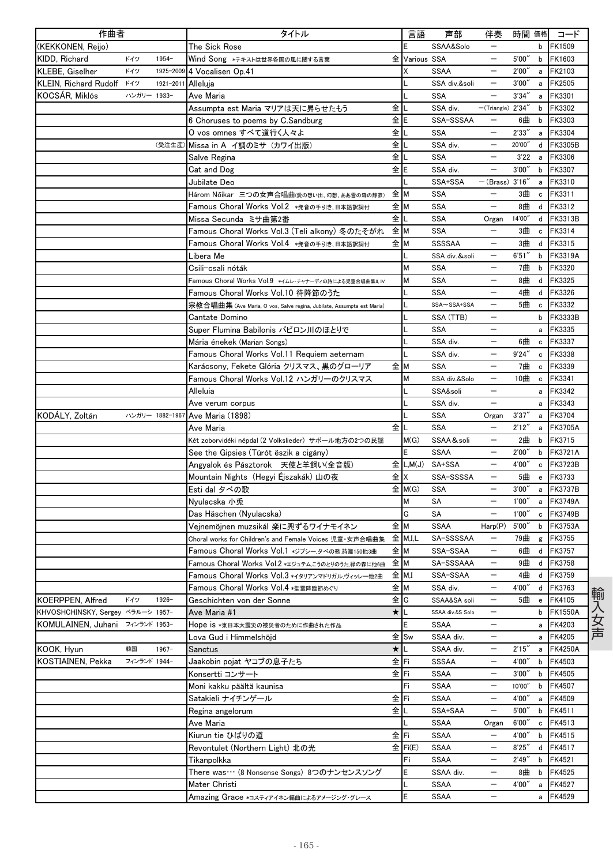| 作曲者                                                     |              |                 | タイトル                                                                  |         | 言語          | 声部                               | 伴奏                       | 時間 価格  |              | コード                      |
|---------------------------------------------------------|--------------|-----------------|-----------------------------------------------------------------------|---------|-------------|----------------------------------|--------------------------|--------|--------------|--------------------------|
| (KEKKONEN, Reijo)                                       |              |                 | The Sick Rose                                                         |         | E           | SSAA&Solo                        |                          |        | b            | FK1509                   |
| KIDD. Richard                                           | ドイツ          | 1954-           | Wind Song *テキストは世界各国の風に関する言葉                                          | 全       | Various SSA |                                  | $\overline{\phantom{m}}$ | 5'00"  | b            | FK1603                   |
| KLEBE, Giselher                                         | ドイツ          |                 | 1925-2009 4 Vocalisen Op.41                                           |         |             | <b>SSAA</b>                      |                          | 2'00'' | a            | FK2103                   |
| KLEIN, Richard Rudolf K1y                               |              | 1921-2011       | Alleluja                                                              |         |             | SSA div.&soli                    | $\overline{\phantom{0}}$ | 3'00'' | a            | FK2505                   |
| KOCSÁR, Miklós                                          | ハンガリー 1933-  |                 | Ave Maria                                                             |         |             | <b>SSA</b>                       | $\overline{\phantom{0}}$ | 3'34'' | a            | FK3301                   |
|                                                         |              |                 | Assumpta est Maria マリアは天に昇らせたもう                                       | 全       |             | SSA div.                         | $-($ Triangle $)$ 2'34"  |        | b            | FK3302                   |
|                                                         |              |                 | 6 Choruses to poems by C.Sandburg                                     | 全       |             | SSA-SSSAA                        |                          | 6曲     | b            | FK3303                   |
|                                                         |              |                 | O vos omnes すべて道行く人々よ                                                 | 全       |             | <b>SSA</b>                       | $\overline{\phantom{0}}$ | 2'33'' | $\mathsf{a}$ | FK3304                   |
|                                                         |              | (受注生産)          | Missa in A イ調のミサ (カワイ出版)                                              | 全       |             | SSA div.                         | $\overline{\phantom{m}}$ | 20'00" | d            | FK3305B                  |
|                                                         |              |                 | Salve Regina                                                          | 全       |             | SSA                              |                          | 3'22   | a            | <b>FK3306</b>            |
|                                                         |              |                 | Cat and Dog                                                           | 全       |             | SSA div.                         |                          | 3'00'' | b            | FK3307                   |
|                                                         |              |                 | Jubilate Deo                                                          |         |             | SSA+SSA                          | $-(Brass)$ 3'16"         |        | a            | FK3310                   |
|                                                         |              |                 | Három Nőikar 三つの女声合唱曲(愛の想い出、幻想、ああ雪の森の静寂)                              | 全 M     |             | <b>SSA</b>                       |                          | 3曲     | c            | FK3311                   |
|                                                         |              |                 | Famous Choral Works Vol.2 *発音の手引き、日本語訳詞付                              | 全M      |             | <b>SSA</b>                       | $\qquad \qquad -$        | 8曲     | d            | FK3312                   |
|                                                         |              |                 | Missa Secunda ミサ曲第2番                                                  | 全       |             | SSA                              | Organ                    | 14'00" | d            | FK3313B                  |
|                                                         |              |                 | Famous Choral Works Vol.3 (Teli alkony) 冬のたそがれ                        | 全 M     |             | SSA                              | $\qquad \qquad -$        | 3曲     | c            | FK3314                   |
|                                                         |              |                 | Famous Choral Works Vol.4 *発音の手引き、日本語訳詞付                              | 全M      |             | SSSSAA                           | $\overline{\phantom{m}}$ | 3曲     | d            | FK3315                   |
|                                                         |              |                 | Libera Me                                                             |         |             | SSA div. & soli                  |                          | 6'51'' | b            | FK3319A                  |
|                                                         |              |                 | Csili-csali nóták                                                     |         | Μ           | SSA                              |                          | 7曲     | b            | FK3320                   |
|                                                         |              |                 | Famous Choral Works Vol.9 *イムレ・チャナーディの詩による児童合唱曲集II.IV                 |         | М           | <b>SSA</b>                       | $\overline{\phantom{m}}$ | 8曲     | d            | FK3325                   |
|                                                         |              |                 | Famous Choral Works Vol.10 待降節のうた                                     |         |             | <b>SSA</b>                       | $\qquad \qquad -$        | 4曲     | d            | FK3326                   |
|                                                         |              |                 | 宗教合唱曲集 (Ave Maria, O vos, Salve regina, Jubilate, Assumpta est Maria) |         |             | SSA~SSA+SSA                      |                          | 5曲     | $\mathtt{c}$ | FK3332                   |
|                                                         |              |                 | Cantate Domino                                                        |         |             | SSA (TTB)                        | $\qquad \qquad -$        |        | b            | FK3333B                  |
|                                                         |              |                 | Super Flumina Babilonis バビロン川のほとりで                                    |         |             | SSA                              |                          |        | a            | FK3335                   |
|                                                         |              |                 | Mária énekek (Marian Songs)                                           |         |             | SSA div.                         |                          | 6曲     | $\mathtt{c}$ | FK3337                   |
|                                                         |              |                 | Famous Choral Works Vol.11 Requiem aeternam                           |         |             | SSA div.                         |                          | 9'24'' | c            | FK3338                   |
|                                                         |              |                 | Karácsony, Fekete Glória クリスマス、黒のグローリア                                | 全M      |             | <b>SSA</b>                       | $\qquad \qquad -$        | 7曲     | c            | FK3339                   |
|                                                         |              |                 | Famous Choral Works Vol.12 ハンガリーのクリスマス                                |         | м           | SSA div.&Solo                    | $\overline{\phantom{m}}$ | 10曲    | $\mathbf c$  | FK3341                   |
|                                                         |              |                 | Alleluia                                                              |         |             | SSA&soli                         |                          |        | a            | FK3342                   |
|                                                         |              |                 | Ave verum corpus                                                      |         |             | SSA div.                         |                          |        | a            | FK3343                   |
| KODÁLY, Zoltán                                          |              | ハンガリー 1882-1967 | Ave Maria (1898)                                                      |         |             | <b>SSA</b>                       | Organ                    | 3'37'' | a            | FK3704                   |
|                                                         |              |                 | Ave Maria                                                             | 全       |             | <b>SSA</b>                       | $\qquad \qquad -$        | 2'12'' | a            | <b>FK3705A</b>           |
|                                                         |              |                 | Két zoborvidéki népdal (2 Volkslieder) サボール地方の2つの民謡                   |         | M(G)        | SSAA&soli                        |                          | 2曲     | b            | FK3715                   |
|                                                         |              |                 | See the Gipsies (Túrót ëszik a cigány)                                |         | E           | <b>SSAA</b>                      | $\qquad \qquad -$        | 2'00'' | b            | <b>FK3721A</b>           |
|                                                         |              |                 | Angyalok és Pásztorok 天使と羊飼い(全音版)                                     | 全       | L, M(J)     | SA+SSA                           | $\qquad \qquad -$        | 4'00'' | c            | FK3723B                  |
|                                                         |              |                 | Mountain Nights(Hegyi Éjszakák)山の夜                                    | 全 X     |             | SSA-SSSSA                        |                          | 5曲     | $\mathbf{e}$ | FK3733                   |
|                                                         |              |                 |                                                                       |         | 全 M(G)      | <b>SSA</b>                       | $\overline{\phantom{0}}$ | 3'00'' | a            | <b>FK3737B</b>           |
|                                                         |              |                 | Esti dal タベの歌<br>Nyulacska 小兎                                         |         | м           | SA                               | $\qquad \qquad -$        | 1'00'' | a            | <b>FK3749A</b>           |
|                                                         |              |                 | Das Häschen (Nyulacska)                                               |         | G           | SA                               | $\overline{\phantom{m}}$ | 1'00'' | c            | <b>FK3749B</b>           |
|                                                         |              |                 | Vejnemöjnen muzsikál 楽に興ずるワイナモイネン                                     | 全M      |             |                                  | Harp(P)                  | 5'00'' | $\mathsf{b}$ |                          |
|                                                         |              |                 |                                                                       |         | 全 M.I.L     | SSAA<br>SA-SSSSAA                | $\overline{\phantom{m}}$ | 79曲    |              | FK3753A<br>FK3755        |
|                                                         |              |                 | Choral works for Children's and Female Voices 児童·女声合唱曲集               |         |             |                                  | $\qquad \qquad -$        |        | g            |                          |
|                                                         |              |                 | Famous Choral Works Vol.1 *ジプシータベの歌.詩篇150他3曲                          | 全 M     |             | SSA-SSAA                         |                          | 6曲     | d            | FK3757                   |
|                                                         |              |                 | Famous Choral Works Vol.2 *エジュテム,こうのとりのうた.緑の森に他6曲                     | 全 M     |             | SA-SSSAAA                        | $\overline{\phantom{m}}$ | 9曲     |              | d FK3758                 |
|                                                         |              |                 | Famous Choral Works Vol.3 *イタリアンマドリガル,ヴィッレー他2曲                        | 全 M,I   |             | SSA-SSAA                         | $\qquad \qquad -$        | 4曲     |              | d FK3759                 |
|                                                         |              |                 | Famous Choral Works Vol.4 *聖霊降臨節めぐり                                   | 全M      |             | SSA div.                         | $\qquad \qquad -$        | 4'00"  | d            | FK3763                   |
| KOERPPEN, Alfred                                        | ドイツ          | $1926 -$        | Geschichten von der Sonne                                             | 全IG     |             | SSAA&SA soli<br>SSAA div.&S Solo |                          | 5曲     | e            | FK4105                   |
| KHVOSHCHINSKY, Sergey ベラルーシ 1957-<br>KOMULAINEN, Juhani | フィンランド 1953- |                 | Ave Maria #1                                                          | $\star$ |             |                                  | —<br>$\qquad \qquad -$   |        | b            | <b>FK1550A</b><br>FK4203 |
|                                                         |              |                 | Hope is *東日本大震災の被災者のために作曲された作品                                        |         |             | <b>SSAA</b><br>SSAA div.         | $\qquad \qquad -$        |        | a            |                          |
|                                                         |              |                 | Lova Gud i Himmelshöjd                                                |         | 全 Sw        |                                  |                          |        | a            | <b>FK4205</b>            |
| KOOK, Hyun<br>KOSTIAINEN, Pekka                         | 韓国           | $1967 -$        | Sanctus                                                               | $\star$ |             | SSAA div.                        | $\qquad \qquad -$        | 2'15'' | a            | <b>FK4250A</b>           |
|                                                         | フィンランド 1944- |                 | Jaakobin pojat ヤコブの息子たち                                               | 全下i     |             | SSSAA                            | $\overline{\phantom{m}}$ | 4'00"  | b            | FK4503                   |
|                                                         |              |                 | Konsertti コンサート                                                       | 全下i     |             | SSAA                             |                          | 3'00'' | b            | <b>FK4505</b>            |
|                                                         |              |                 | Moni kakku päältä kaunisa                                             |         | Fi          | SSAA                             | $\overline{\phantom{a}}$ | 10'00" | b            | FK4507                   |
|                                                         |              |                 | Satakieli ナイチンゲール                                                     | 全       | Fi          | SSAA                             | $\overline{\phantom{m}}$ | 4'00"  | a            | FK4509                   |
|                                                         |              |                 | Regina angelorum                                                      | 全       |             | SSA+SAA                          | $\overline{\phantom{m}}$ | 5'00'' | b            | FK4511                   |
|                                                         |              |                 | Ave Maria                                                             |         |             | SSAA                             | Organ                    | 6'00'' | c            | FK4513                   |
|                                                         |              |                 | Kiurun tie ひばりの道                                                      | 全下i     |             | <b>SSAA</b>                      | $\overline{\phantom{a}}$ | 4'00"  | b            | FK4515                   |
|                                                         |              |                 | Revontulet (Northern Light) 北の光                                       |         | 全 Fi(E)     | SSAA                             | $\overline{\phantom{m}}$ | 8'25'' | d            | FK4517                   |
|                                                         |              |                 | Tikanpolkka                                                           |         | Fi          | <b>SSAA</b>                      | $\overline{\phantom{m}}$ | 2'49'' | b            | FK4521                   |
|                                                         |              |                 | There was… (8 Nonsense Songs) 8つのナンセンスソング                             |         | E           | SSAA div.                        | $\overline{\phantom{m}}$ | 8曲     | b            | <b>FK4525</b>            |
|                                                         |              |                 | Mater Christi                                                         |         |             | SSAA                             | $\overline{\phantom{m}}$ | 4'00"  | a            | FK4527                   |
|                                                         |              |                 | Amazing Grace *コスティアイネン編曲によるアメージング・グレース                               |         | E           | SSAA                             |                          |        | a            | FK4529                   |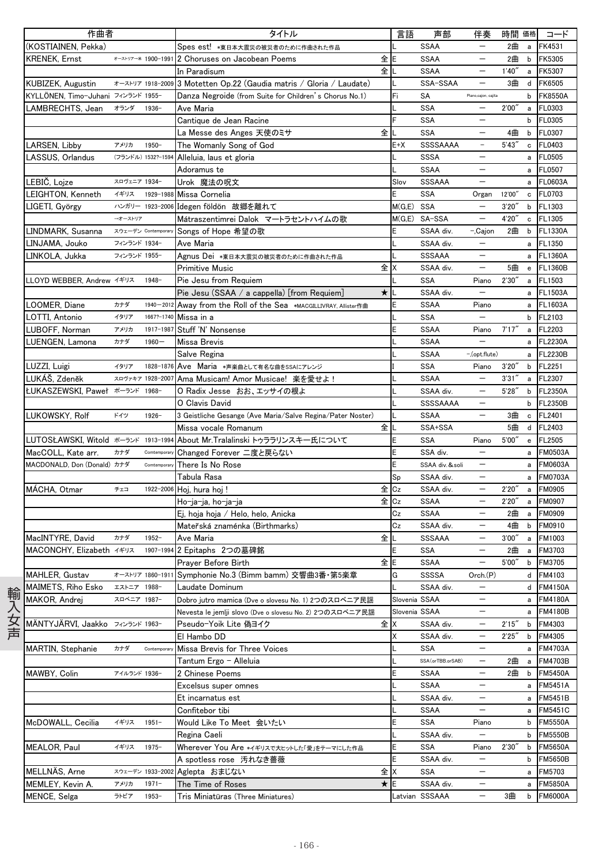| 作曲者                                  |              |                     | タイトル                                                       |                | 言語           | 声部                | 伴奏                       | 時間 価格  |                | コード            |
|--------------------------------------|--------------|---------------------|------------------------------------------------------------|----------------|--------------|-------------------|--------------------------|--------|----------------|----------------|
| (KOSTIAINEN, Pekka)                  |              |                     | Spes est! *東日本大震災の被災者のために作曲された作品                           |                |              | <b>SSAA</b>       | $\overline{\phantom{0}}$ | 2曲     | $\mathsf{a}$   | FK4531         |
| <b>KRENEK, Ernst</b>                 |              | オーストリアー米 1900-1991  | 2 Choruses on Jacobean Poems                               | 全E             |              | <b>SSAA</b>       | $\qquad \qquad -$        | 2曲     | b              | FK5305         |
|                                      |              |                     | In Paradisum                                               | 全              |              | <b>SSAA</b>       | $\overline{\phantom{0}}$ | 1'40'' | $\mathsf{a}$   | FK5307         |
| KUBIZEK, Augustin                    |              | オーストリア 1918-2009    | 3 Motetten Op.22 (Gaudia matris / Gloria / Laudate)        | L              |              | SSA-SSAA          | $\overline{\phantom{0}}$ | 3曲     | d              | <b>FK6505</b>  |
| KYLLÖNEN, Timo-Juhani フィンランド 1955-   |              |                     | Danza Negroide (from Suite for Children's Chorus No.1)     | Fi             |              | SA                | Piano,cajon, cajita      |        | b              | <b>FK8550A</b> |
| LAMBRECHTS, Jean                     | オランダ         | $1936 -$            | Ave Maria                                                  |                |              | <b>SSA</b>        | $\overline{\phantom{m}}$ | 2'00'' | a              | FL0303         |
|                                      |              |                     | Cantique de Jean Racine                                    | F              |              | SSA               |                          |        | $\mathsf b$    | FL0305         |
|                                      |              |                     | 全<br>La Messe des Anges 天使のミサ                              |                |              | <b>SSA</b>        | $\overline{\phantom{0}}$ | 4曲     | b              | FL0307         |
| LARSEN, Libby                        | アメリカ         | 1950-               | The Womanly Song of God                                    |                | $E+X$        | <b>SSSSAAAA</b>   | $\equiv$                 | 5'43'' | c              | FL0403         |
| LASSUS, Orlandus                     |              | (フランドル) 1532?-1594  | Alleluia, laus et gloria                                   |                |              | <b>SSSA</b>       |                          |        | a              | FL0505         |
|                                      |              |                     | Adoramus te                                                |                |              | <b>SSAA</b>       |                          |        | a              | FL0507         |
| LEBIČ, Lojze                         | スロヴェニア 1934- |                     | Urok 魔法の呪文                                                 |                | Slov         | SSSAAA            | $\equiv$                 |        | a              | <b>FL0603A</b> |
| LEIGHTON, Kenneth                    | イギリス         | 1929-1988           | Missa Cornelia                                             | E              |              | <b>SSA</b>        | Organ                    | 12'00" | c              | FL0703         |
| LIGETI, György                       |              |                     | ハンガリー 1923-2006 Idegen földön 故郷を離れて                       |                | $M(G,E)$ SSA |                   | $\overline{\phantom{0}}$ | 3'20'' | b              | FL1303         |
|                                      | →オーストリア      |                     | Mátraszentimrei Dalok マートラセントハイムの歌                         |                |              | M(G,E) SA-SSA     | $\equiv$                 | 4'20"  | c              | FL1305         |
| LINDMARK, Susanna                    |              | スウェーデン Contemporary | Songs of Hope 希望の歌                                         | E              |              | SSAA div.         | -,Cajon                  | 2曲     | b              | <b>FL1330A</b> |
| LINJAMA, Jouko                       | フィンランド 1934- |                     | Ave Maria                                                  |                |              | SSAA div.         |                          |        | a              | FL1350         |
| LINKOLA, Jukka                       | フィンランド 1955- |                     | Agnus Dei *東日本大震災の被災者のために作曲された作品                           |                |              | SSSAAA            |                          |        | a              | <b>FL1360A</b> |
|                                      |              |                     | Primitive Music                                            | 全X             |              | SSAA div.         | $\overline{\phantom{m}}$ | 5曲     | $\mathsf{e}\,$ | <b>FL1360B</b> |
| LLOYD WEBBER, Andrew イギリス            |              | $1948 -$            | Pie Jesu from Requiem                                      |                |              | <b>SSA</b>        | Piano                    | 2'30'' | a              | FL1503         |
|                                      |              |                     | Pie Jesu (SSAA / a cappella) [from Requiem]                | ★ IL           |              | SSAA div.         |                          |        | a              | FL1503A        |
| LOOMER, Diane                        | カナダ          | $1940 - 2012$       | Away from the Roll of the Sea *MACGILLIVRAY, Allister作曲    | E              |              | <b>SSAA</b>       | Piano                    |        | a              | FL1603A        |
| LOTTI, Antonio                       | イタリア         |                     | 1667?-1740 Missa in a                                      |                |              | <b>SSA</b>        | $\overline{\phantom{0}}$ |        | b              | FL2103         |
| LUBOFF, Norman                       | アメリカ         | 1917-1987           | Stuff 'N' Nonsense                                         | E              |              | <b>SSAA</b>       | Piano                    | 7'17'' | $\mathsf{a}$   | FL2203         |
| LUENGEN, Lamona                      | カナダ          | $1960 -$            | Missa Brevis                                               |                |              | SSAA              | $\overline{\phantom{0}}$ |        | a              | <b>FL2230A</b> |
|                                      |              |                     | Salve Regina                                               |                |              | <b>SSAA</b>       | -,(opt.flute)            |        | a              | <b>FL2230B</b> |
| LUZZI, Luigi                         | イタリア         | 1828-1876           | Ave Maria *声楽曲として有名な曲をSSAにアレンジ                             |                |              | <b>SSA</b>        | Piano                    | 3'20'  | $\mathsf b$    | FL2251         |
| LUKÁŠ, Zdeněk                        |              | スロヴァキア 1928-2007    | Ama Musicam! Amor Musicae! 楽を愛せよ!                          |                |              | <b>SSAA</b>       |                          | 3'31'' | a              | FL2307         |
| <b>ŁUKASZEWSKI Paweł ポーランド 1968-</b> |              |                     | O Radix Jesse おお、エッサイの根よ                                   |                |              | SSAA div.         |                          | 5'28'' | $\mathsf b$    | <b>FL2350A</b> |
|                                      |              |                     | O Clavis David                                             |                |              | SSSSAAAA          | $\overline{\phantom{0}}$ |        | b              | <b>FL2350B</b> |
| LUKOWSKY, Rolf                       | ドイツ          | $1926 -$            | 3 Geistliche Gesange (Ave Maria/Salve Regina/Pater Noster) |                |              | <b>SSAA</b>       | $\qquad \qquad -$        | 3曲     | $\mathtt{c}$   | FL2401         |
|                                      |              |                     | Missa vocale Romanum                                       | 全儿             |              | SSA+SSA           |                          | 5曲     | d              | FL2403         |
| LUTOSŁAWSKI, Witold ポーランド 1913-1994  |              |                     | About Mr.Tralalinski トゥララリンスキー氏について                        | E              |              | <b>SSA</b>        | Piano                    | 5'00'' | $\mathsf{e}\,$ | FL2505         |
| MacCOLL, Kate arr.                   | カナダ          | Comtemporary        | Changed Forever 二度と戻らない                                    | E              |              | SSA div.          | $\overline{\phantom{0}}$ |        | a              | <b>FM0503A</b> |
| MACDONALD, Don (Donald) カナダ          |              | Comtemporar         | There Is No Rose                                           | E              |              | SSAA div. &soli   | $\qquad \qquad -$        |        | a              | <b>FM0603A</b> |
|                                      |              |                     | Tabula Rasa                                                | Sp             |              | SSAA div.         |                          |        | a              | <b>FM0703A</b> |
| MÁCHA, Otmar                         | チェコ          | 1922-2006           | 全<br>Hoj, hura hoj!                                        | C <sub>Z</sub> |              | SSAA div.         | $\overline{\phantom{0}}$ | 2'20'' | $\mathsf{a}$   | <b>FM0905</b>  |
|                                      |              |                     | Ho−ja−ja, ho−ja−ja                                         | 全ICz           |              | <b>SSAA</b>       | $\overline{\phantom{m}}$ | 2'20'' | a              | FM0907         |
|                                      |              |                     | Ej, hoja hoja / Helo, helo, Anicka                         | Cz             |              | <b>SSAA</b>       | —                        | 2曲     | $\mathsf{a}$   | FM0909         |
|                                      |              |                     | Mateřská znaménka (Birthmarks)                             | Cz             |              | SSAA div.         |                          | 4曲     | $\mathsf b$    | FM0910         |
| MacINTYRE, David                     | カナダ          | $1952 -$            | Ave Maria                                                  | 全儿             |              | SSSAAA            | $\qquad \qquad -$        | 3'00'' | a              | FM1003         |
| MACONCHY, Elizabeth イギリス             |              | 1907-1994           | 2 Epitaphs 2つの墓碑銘                                          | E              |              | SSA               | $\qquad \qquad -$        | 2曲     | $\mathsf{a}$   | FM3703         |
|                                      |              |                     | Prayer Before Birth                                        | 全旧             |              | SSAA              | -                        | 5'00   |                | b FM3705       |
| <b>MAHLER, Gustav</b>                |              | オーストリア 1860-1911    | Symphonie No.3 (Bimm bamm) 交響曲3番 第5楽章                      | G              |              | <b>SSSSA</b>      | Orch.(P)                 |        |                | d FM4103       |
| MAIMETS, Riho Esko                   | エストニア 1988-  |                     | Laudate Dominum                                            |                |              | SSAA div.         |                          |        |                | d FM4150A      |
| MAKOR. Andrei                        | スロベニア 1987-  |                     | Dobro jutro mamica (Dve o slovesu No. 1) 2つのスロベニア民謡        |                |              | Slovenia SSAA     | $\overline{\phantom{m}}$ |        | a              | <b>FM4180A</b> |
|                                      |              |                     | Nevesta le jemlji slovo (Dve o slovesu No. 2) 2つのスロベニア民謡   |                |              | Slovenia SSAA     |                          |        | a              | <b>FM4180B</b> |
| MÄNTYJÄRVI, Jaakko フィンランド 1963-      |              |                     | Pseudo-Yoik Lite 偽ヨイク                                      | 全 X            |              | SSAA div.         |                          | 2'15'' | b              | FM4303         |
|                                      |              |                     | El Hambo DD                                                | Χ              |              | SSAA div.         | $\qquad \qquad -$        | 2'25'' | b              | FM4305         |
| <b>MARTIN, Stephanie</b>             | カナダ          | Contemporar         | Missa Brevis for Three Voices                              |                |              | <b>SSA</b>        | -                        |        | a              | <b>FM4703A</b> |
|                                      |              |                     | Tantum Ergo - Alleluia                                     |                |              | SSA (orTBB.orSAB) | $\qquad \qquad -$        | 2曲     | а              | FM4703B        |
| MAWBY, Colin                         | アイルランド 1936- |                     | 2 Chinese Poems                                            | E              |              | SSAA              | $\qquad \qquad -$        | 2曲     | b              | <b>FM5450A</b> |
|                                      |              |                     | Excelsus super omnes                                       | L              |              | SSAA              | $\qquad \qquad -$        |        | a              | <b>FM5451A</b> |
|                                      |              |                     | Et incarnatus est                                          | L              |              | SSAA div.         | -                        |        | a              | <b>FM5451B</b> |
|                                      |              |                     | Confitebor tibi                                            |                |              | <b>SSAA</b>       |                          |        | a              | <b>FM5451C</b> |
| McDOWALL, Cecilia                    | イギリス         | $1951 -$            | Would Like To Meet 会いたい                                    | E              |              | <b>SSA</b>        | Piano                    |        | b              | <b>FM5550A</b> |
|                                      |              |                     | Regina Caeli                                               |                |              | SSAA div.         |                          |        | b              | <b>FM5550B</b> |
| MEALOR, Paul                         | イギリス         | $1975 -$            | Wherever You Are *イギリスで大ヒットした「愛」をテーマにした作品                  | E              |              | SSA               | Piano                    | 2'30'' | b              | <b>FM5650A</b> |
|                                      |              |                     | A spotless rose 汚れなき薔薇                                     | E              |              | SSAA div.         | $\overline{\phantom{0}}$ |        | b              | <b>FM5650B</b> |
| MELLNÄS, Arne                        |              | スウェーデン 1933-2002    | Aglepta おまじない                                              | 全   X          |              | SSA               | —                        |        | a              | FM5703         |
| MEMLEY, Kevin A.                     | アメリカ         | $1971 -$            | The Time of Roses<br>★                                     | ΙE             |              | SSAA div.         | $\qquad \qquad -$        |        | а              | <b>FM5850A</b> |
| MENCE, Selga                         | ラトビア         | $1953 -$            | Tris Miniatūras (Three Miniatures)                         |                |              | Latvian SSSAAA    | $\qquad \qquad -$        | 3曲     | b              | <b>FM6000A</b> |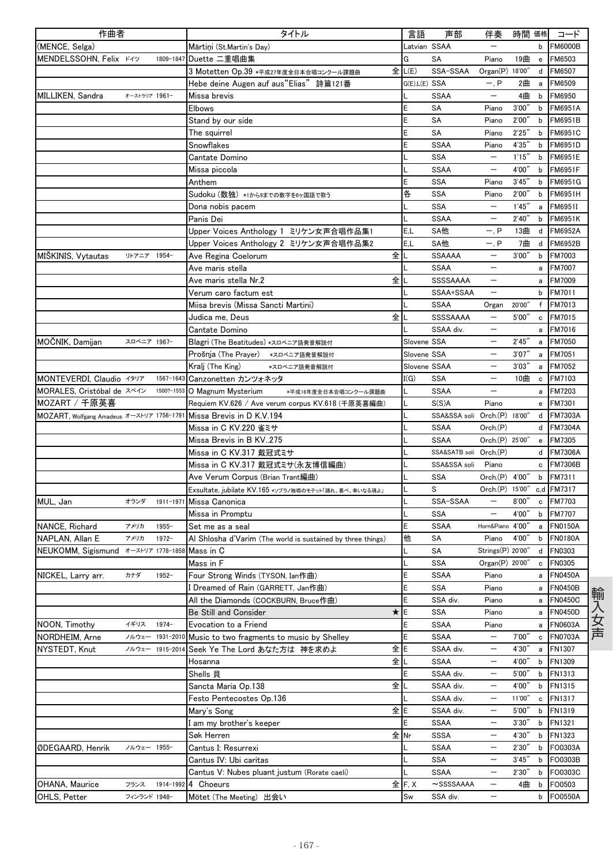| 作曲者                                           |               |                 | タイトル                                                        | 言語                        | 声部                           | 伴奏                       | 時間 価格  |                                   | コード            |
|-----------------------------------------------|---------------|-----------------|-------------------------------------------------------------|---------------------------|------------------------------|--------------------------|--------|-----------------------------------|----------------|
| (MENCE, Selga)                                |               |                 | Mārtiņi (St.Martin's Day)                                   | Latvian SSAA              |                              |                          |        | b                                 | <b>FM6000B</b> |
| MENDELSSOHN, Felix K49                        |               | 1809-1847       | Duette 二重唱曲集                                                | G                         | SA                           | Piano                    | 19曲    | $\mathsf{e}% _{t}\left( t\right)$ | FM6503         |
|                                               |               |                 | 全<br>3 Motetten Op.39 *平成27年度全日本合唱コンクール課題曲                  | L(E)                      | SSA-SSAA                     | Organ(P) 18'00"          |        | d                                 | FM6507         |
|                                               |               |                 | Hebe deine Augen auf aus"Elias" 詩篇121番                      | G(E),L(E) SSA             |                              | $-$ , $P$                | 2曲     | $\mathsf{a}$                      | FM6509         |
| MILLIKEN, Sandra                              | オーストラリア 1961- |                 | Missa brevis                                                |                           | <b>SSAA</b>                  | $\overline{\phantom{m}}$ | 4曲     | b                                 | FM6950         |
|                                               |               |                 | <b>Elbows</b>                                               | E                         | SA                           | Piano                    | 3'00'' | b                                 | <b>FM6951A</b> |
|                                               |               |                 | Stand by our side                                           | E                         | SA                           | Piano                    | 2'00'' | b                                 | FM6951B        |
|                                               |               |                 | The squirrel                                                | E                         | SA                           | Piano                    | 2'25'' | b                                 | FM6951C        |
|                                               |               |                 | Snowflakes                                                  | E                         | <b>SSAA</b>                  | Piano                    | 4'35'' | b                                 | FM6951D        |
|                                               |               |                 | Cantate Domino                                              |                           | <b>SSA</b>                   |                          | 1'15'' | b                                 | FM6951E        |
|                                               |               |                 | Missa piccola                                               |                           | <b>SSAA</b>                  |                          | 4'00"  | b                                 | <b>FM6951F</b> |
|                                               |               |                 | Anthem                                                      | E                         | <b>SSA</b>                   | Piano                    | 3'45'' | b                                 | <b>FM6951G</b> |
|                                               |               |                 | Sudoku (数独) *1から9までの数字を6ヶ国語で歌う                              | 各                         | SSA                          | Piano                    | 2'00'' | b                                 | FM6951H        |
|                                               |               |                 | Dona nobis pacem                                            |                           | SSA                          |                          | 1'45'' | a                                 | FM6951I        |
|                                               |               |                 | Panis Dei                                                   |                           | <b>SSAA</b>                  | $\overline{\phantom{0}}$ | 2'40'' | b                                 | FM6951K        |
|                                               |               |                 | Upper Voices Anthology 1 ミリケン女声合唱作品集1                       | E.L                       | SA他                          | $-$ , $P$                | 13曲    | d                                 | <b>FM6952A</b> |
|                                               |               |                 | Upper Voices Anthology 2 ミリケン女声合唱作品集2                       | E.L                       | SA他                          | $-, P$                   | 7曲     | d                                 | FM6952B        |
| <b>MISKINIS, Vytautas</b>                     | リトアニア         | 1954-           | 全<br>Ave Regina Coelorum                                    |                           | SSAAAA                       |                          | 3'00'' | b                                 | FM7003         |
|                                               |               |                 | Ave maris stella                                            |                           | <b>SSAA</b>                  | $\overline{\phantom{0}}$ |        | a                                 | FM7007         |
|                                               |               |                 | 全<br>Ave maris stella Nr.2                                  |                           | <b>SSSSAAAA</b>              | $\overline{\phantom{m}}$ |        | a                                 | FM7009         |
|                                               |               |                 | Verum caro factum est                                       |                           | SSAA+SSAA                    | $\overline{\phantom{m}}$ |        | b                                 | FM7011         |
|                                               |               |                 | Miisa brevis (Missa Sancti Martini)                         |                           | <b>SSAA</b>                  | Organ                    | 20'00" | f                                 | <b>FM7013</b>  |
|                                               |               |                 | 全<br>Judica me, Deus                                        |                           | SSSSAAAA                     | $\qquad \qquad -$        | 5'00'' | c                                 | FM7015         |
|                                               |               |                 | Cantate Domino                                              |                           | SSAA div.                    |                          |        | a                                 | FM7016         |
| MOCNIK, Damijan                               | スロベニア 1967-   |                 | Blagri (The Beatitudes) *スロベニア語発音解説付                        | Slovene SSA               |                              |                          | 2'45'' | a                                 | <b>FM7050</b>  |
|                                               |               |                 | Prošnja (The Prayer) *スロベニア語発音解説付                           | Slovene SSA               |                              | $\overline{\phantom{m}}$ | 3'07'' | a                                 | FM7051         |
|                                               |               |                 | Kralj (The King)<br>*スロベニア語発音解説付                            | Slovene SSAA              |                              | $\qquad \qquad -$        | 3'03'' | a                                 | FM7052         |
| MONTEVERDI, Claudio イタリア                      |               | 1567-1643       | Canzonetten カンツォネッタ                                         | I(G)                      | SSA                          | $\overline{\phantom{m}}$ | 10曲    | $\mathbf c$                       | FM7103         |
| MORALES, Cristóbal de スペイン                    |               | 1500?-1553      | O Magnum Mysterium<br>*平成16年度全日本合唱コンクール課題曲                  |                           | <b>SSAA</b>                  |                          |        | a                                 | FM7203         |
| MOZART / 千原英喜                                 |               |                 | Requiem KV.626 / Ave verum corpus KV.618 (千原英喜編曲)           |                           | S(S)A                        | Piano                    |        | e                                 | FM7301         |
| MOZART, Wolfgang Amadeus オーストリア 1756-1791     |               |                 | Missa Brevis in D K.V.194                                   |                           | SSA&SSA soli Orch.(P) 18'00" |                          |        | d                                 | <b>FM7303A</b> |
|                                               |               |                 | Missa in C KV.220 雀ミサ                                       |                           | <b>SSAA</b>                  | Orch.(P)                 |        | d                                 | <b>FM7304A</b> |
|                                               |               |                 | Missa Brevis in B KV275                                     |                           | <b>SSAA</b>                  | Orch.(P) 25'00"          |        | $\mathsf{e}\,$                    | FM7305         |
|                                               |               |                 | Missa in C KV.317 戴冠式ミサ                                     |                           | SSA&SATB soli Orch.(P)       |                          |        | d                                 | <b>FM7306A</b> |
|                                               |               |                 | Missa in C KV.317 戴冠式ミサ(永友博信編曲)                             |                           | SSA&SSA soli                 | Piano                    |        | c                                 | <b>FM7306B</b> |
|                                               |               |                 | Ave Verum Corpus (Brian Trant編曲)                            |                           | <b>SSA</b>                   | Orch.(P) 4'00"           |        | b                                 | FM7311         |
|                                               |               |                 | Exsultate, jubilate KV.165 *ソプラノ独唱のモテット「踊れ、喜べ、幸いなる魂よ」       |                           | S                            | Orch(P)                  | 15'00" |                                   | c,d FM7317     |
| MUL, Jan                                      | オランダ          |                 | 1911-1971 Missa Canonica                                    |                           | SSA-SSAA                     | $\qquad \qquad -$        | 8'00'' | c                                 | FM7703         |
|                                               |               |                 | Missa in Promptu                                            |                           | <b>SSA</b>                   | $\overline{\phantom{m}}$ | 4'00"  | b                                 | FM7707         |
| NANCE, Richard                                | アメリカ          | $1955 -$        | Set me as a seal                                            | E                         | <b>SSAA</b>                  | Horn&Piano 4'00"         |        | a                                 | <b>FN0150A</b> |
| NAPLAN, Allan E                               | アメリカ          | $1972 -$        | Al Shlosha d'Varim (The world is sustained by three things) | 他                         | SA                           | Piano                    | 4'00"  | b                                 | <b>FN0180A</b> |
| NEUKOMM, Sigismund オーストリア 1778-1858 Mass in C |               |                 |                                                             |                           | SΑ                           | Strings(P) 20'00"        |        | d                                 | FN0303         |
|                                               |               |                 | Mass in F                                                   |                           | SSA                          | Organ(P) 20'00           |        | c                                 | <b>FN0305</b>  |
| NICKEL, Larry arr.                            | カナダ           | $1952 -$        | Four Strong Winds (TYSON, Ian作曲)                            | E                         | SSAA                         | Piano                    |        | a                                 | <b>FN0450A</b> |
|                                               |               |                 | I Dreamed of Rain (GARRETT, Jan作曲)                          | E                         | SSA                          | Piano                    |        | a                                 | <b>FN0450B</b> |
|                                               |               |                 | All the Diamonds (COCKBURN, Bruce作曲)                        | E                         | SSA div.                     | Piano                    |        | a                                 | <b>FN0450C</b> |
|                                               |               |                 | ★lE<br>Be Still and Consider                                |                           | SSA                          | Piano                    |        | a                                 | <b>FN0450D</b> |
| NOON, Timothy                                 | イギリス          | $1974-$         | Evocation to a Friend                                       | E                         | <b>SSAA</b>                  | Piano                    |        | a                                 | <b>FN0603A</b> |
| NORDHEIM, Arne                                | ノルウェー         | 1931-2010       | Music to two fragments to music by Shelley                  | E                         | <b>SSAA</b>                  | $\qquad \qquad -$        | 7'00'' | c                                 | <b>FN0703A</b> |
| NYSTEDT, Knut                                 |               | ノルウェー 1915-2014 | 全 E<br>Seek Ye The Lord あなた方は 神を求めよ                         |                           | SSAA div.                    | $\overline{\phantom{m}}$ | 4'30'' | a                                 | FN1307         |
|                                               |               |                 | 全<br>Hosanna                                                |                           | SSAA                         |                          | 4'00"  | b                                 | FN1309         |
|                                               |               |                 | Shells 貝                                                    |                           | SSAA div.                    | $\qquad \qquad -$        | 5'00'' | b                                 | FN1313         |
|                                               |               |                 | Sancta Maria Op.138<br>全                                    |                           | SSAA div.                    | $\overline{\phantom{m}}$ | 4'00"  | b                                 | FN1315         |
|                                               |               |                 | Festo Pentecostes Op.136                                    |                           | SSAA div.                    | $\qquad \qquad -$        | 11'00" | c                                 | FN1317         |
|                                               |               |                 | 全E<br>Mary's Song                                           |                           | SSAA div.                    |                          | 5'00'' | b                                 | FN1319         |
|                                               |               |                 | I am my brother's keeper                                    |                           | <b>SSAA</b>                  | $\qquad \qquad -$        | 3'30'' | b                                 | FN1321         |
|                                               |               |                 | 全 Nr<br>Søk Herren                                          |                           | <b>SSSA</b>                  | $\overline{\phantom{a}}$ | 4'30"  | b                                 | FN1323         |
| ØDEGAARD, Henrik                              | ノルウェー 1955-   |                 | Cantus I: Resurrexi                                         |                           | SSAA                         | $\overline{\phantom{m}}$ | 2'30'' | b                                 | FO0303A        |
|                                               |               |                 | Cantus IV: Ubi caritas                                      |                           | <b>SSA</b>                   | $\overline{\phantom{m}}$ | 3'45'' | b                                 | FO0303B        |
|                                               |               |                 | Cantus V: Nubes pluant justum (Rorate caeli)                |                           | <b>SSAA</b>                  | $\overline{\phantom{m}}$ | 2'30'' | b                                 | FO0303C        |
| OHANA, Maurice                                | フランス          | 1914-1992       | 4 Choeurs                                                   | $\hat{\mathbf{\pm}}$ F, X | $\sim$ SSSSAAAA              | $\overline{\phantom{a}}$ | 4曲     | b                                 | FO0503         |
| OHLS, Petter                                  | フィンランド 1948-  |                 | Mötet (The Meeting) 出会い                                     | Sw                        | SSA div.                     | -                        |        | b                                 | FO0550A        |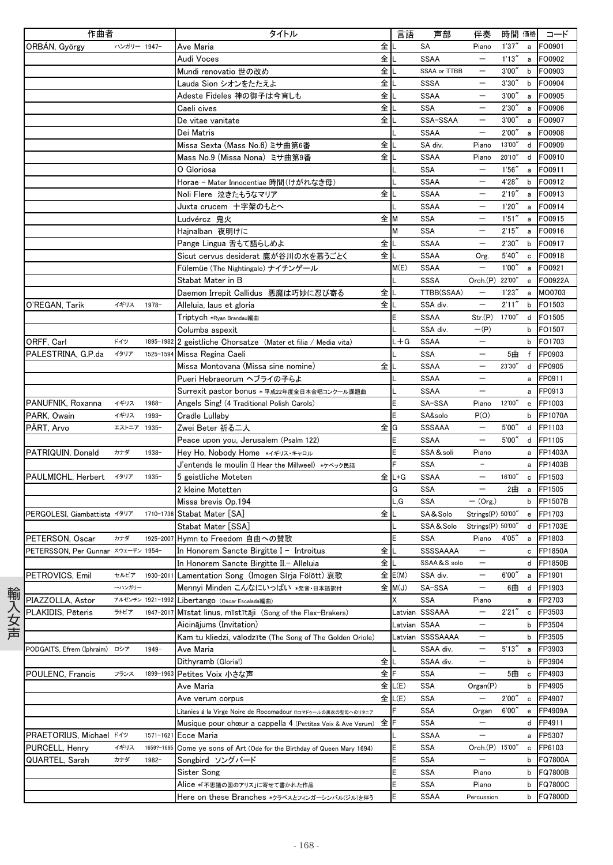| 作曲者                                |             |                  | タイトル                                                           |    | 言語           | 声部               | 伴奏                       | 時間 価格  |              | コード            |
|------------------------------------|-------------|------------------|----------------------------------------------------------------|----|--------------|------------------|--------------------------|--------|--------------|----------------|
| ORBAN, György                      | ハンガリー 1947- |                  | Ave Maria                                                      | 全  |              | SA               | Piano                    | 1'37'' | a            | FO0901         |
|                                    |             |                  | Audi Voces                                                     | 全  |              | <b>SSAA</b>      | $\overline{\phantom{m}}$ | 1'13'' | a            | FO0902         |
|                                    |             |                  | Mundi renovatio 世の改め                                           | 全  |              | SSAA or TTBB     | $\qquad \qquad -$        | 3'00'' | b            | FO0903         |
|                                    |             |                  | Lauda Sion シオンをたたえよ                                            | 全  |              | <b>SSSA</b>      | $\overline{\phantom{0}}$ | 3'30'' | $\mathsf{b}$ | FO0904         |
|                                    |             |                  | Adeste Fideles 神の御子は今宵しも                                       | 全  |              | <b>SSAA</b>      | $\overline{\phantom{m}}$ | 3'00'' | a            | FO0905         |
|                                    |             |                  | Caeli cives                                                    | 全  |              | <b>SSA</b>       | $\overline{\phantom{0}}$ | 2'30'' | a            | FO0906         |
|                                    |             |                  | De vitae vanitate                                              | 全  |              | SSA-SSAA         |                          | 3'00'' | a            | FO0907         |
|                                    |             |                  |                                                                |    |              |                  | $\overline{\phantom{m}}$ |        |              |                |
|                                    |             |                  | Dei Matris                                                     |    |              | <b>SSAA</b>      |                          | 2'00'' | a            | FO0908         |
|                                    |             |                  | Missa Sexta (Mass No.6) ミサ曲第6番                                 | 全  |              | SA div.          | Piano                    | 13'00" | d            | FO0909         |
|                                    |             |                  | Mass No.9 (Missa Nona) ミサ曲第9番                                  | 全  |              | <b>SSAA</b>      | Piano                    | 20'10" | d            | FO0910         |
|                                    |             |                  | O Gloriosa                                                     |    |              | <b>SSA</b>       |                          | 1'56'' | a            | FO0911         |
|                                    |             |                  | Horae - Mater Innocentiae 時間 (けがれなき母)                          |    |              | <b>SSAA</b>      | $\equiv$                 | 4'28"  | b            | FO0912         |
|                                    |             |                  | Noli Flere 泣きたもうなマリア                                           | 全  |              | <b>SSAA</b>      | $\overline{\phantom{0}}$ | 2'19'' | a            | FO0913         |
|                                    |             |                  | Juxta crucem 十字架のもとへ                                           |    |              | <b>SSAA</b>      |                          | 1'20'' | a            | FO0914         |
|                                    |             |                  | Ludvércz 鬼火                                                    | 全  | M            | <b>SSA</b>       | $\overline{\phantom{0}}$ | 1'51'' | a            | FO0915         |
|                                    |             |                  | Hajnalban 夜明けに                                                 |    | м            | <b>SSA</b>       | $\overline{\phantom{m}}$ | 2'15'' | a            | FO0916         |
|                                    |             |                  | Pange Lingua 舌もて語らしめよ                                          | 全  |              | <b>SSAA</b>      | $\overline{\phantom{m}}$ | 2'30'' | b            | FO0917         |
|                                    |             |                  | Sicut cervus desiderat 鹿が谷川の水を慕うごとく                            | 全  | L            | <b>SSAA</b>      | Org.                     | 5'40'' | c            | FO0918         |
|                                    |             |                  | Fülemüe (The Nightingale) ナイチンゲール                              |    | M(E)         | <b>SSAA</b>      |                          | 1'00'' | a            | FO0921         |
|                                    |             |                  | Stabat Mater in B                                              |    |              | <b>SSSA</b>      | Orch.(P) 22'00"          |        | e            | FO0922A        |
|                                    |             |                  | Daemon Irrepit Callidus 悪魔は巧妙に忍び寄る                             | 全  |              | TTBB(SSAA)       | $\qquad \qquad -$        | 1'23'' | a            | MO0703         |
| O'REGAN, Tarik                     | イギリス        | $1978 -$         | Alleluia, laus et gloria                                       | 全  |              | SSA div.         |                          | 2'11'' | b            | FO1503         |
|                                    |             |                  |                                                                |    | E            | <b>SSAA</b>      | Str(P)                   | 17'00" | d            | FO1505         |
|                                    |             |                  | Triptych *Ryan Brandau編曲                                       |    |              |                  |                          |        |              |                |
|                                    |             |                  | Columba aspexit                                                |    |              | SSA div.         | $-(P)$                   |        | b            | FO1507         |
| ORFF, Carl                         | ドイツ         |                  | 1895-1982 2 geistliche Chorsatze (Mater et filia / Media vita) |    | $L + G$      | <b>SSAA</b>      | $\qquad \qquad -$        |        | b            | FO1703         |
| PALESTRINA, G.P.da                 | イタリア        | 1525-1594        | Missa Regina Caeli                                             |    |              | <b>SSA</b>       | $\overline{\phantom{m}}$ | 5曲     | f            | FP0903         |
|                                    |             |                  | Missa Montovana (Missa sine nomine)                            | 全  |              | <b>SSAA</b>      | $\overline{\phantom{m}}$ | 23'30" | d            | FP0905         |
|                                    |             |                  | Pueri Hebraeorum ヘブライの子らよ                                      |    |              | <b>SSAA</b>      | $\overline{\phantom{m}}$ |        | a            | FP0911         |
|                                    |             |                  | Surrexit pastor bonus * 平成22年度全日本合唱コンクール課題曲                    |    |              | <b>SSAA</b>      |                          |        | a            | FP0913         |
| PANUFNIK, Roxanna                  | イギリス        | 1968-            | Angels Sing! (4 Traditional Polish Carols)                     |    |              | SA-SSA           | Piano                    | 12'00" | $\mathbf{e}$ | FP1003         |
| PARK, Owain                        | イギリス        | $1993 -$         | Cradle Lullaby                                                 |    | E            | SA&solo          | P(O)                     |        | b            | FP1070A        |
| PART, Arvo                         | エストニア 1935- |                  | Zwei Beter 祈る二人                                                | 全  | G            | SSSAAA           | $\overline{\phantom{m}}$ | 5'00'' | d            | FP1103         |
|                                    |             |                  | Peace upon you, Jerusalem (Psalm 122)                          |    | E            | <b>SSAA</b>      | $\overline{\phantom{m}}$ | 5'00'' | d            | FP1105         |
| PATRIQUIN, Donald                  | カナダ         | $1938 -$         | Hey Ho, Nobody Home */*リス・キャロル                                 |    | Ë            | SSA &soli        | Piano                    |        | a            | FP1403A        |
|                                    |             |                  | J'entends le moulin (I Hear the Millweel) *ケベック民謡              |    | F            | <b>SSA</b>       | $\overline{\phantom{a}}$ |        | a            | FP1403B        |
| PAULMICHL, Herbert                 | イタリア        | $1935 -$         | 5 geistliche Moteten                                           | 全  | $L + G$      | <b>SSAA</b>      | $\qquad \qquad -$        | 16'00" | c            | FP1503         |
|                                    |             |                  | 2 kleine Motetten                                              |    | G            | SSA              | $\qquad \qquad -$        | 2曲     | $\mathbf{a}$ | FP1505         |
|                                    |             |                  |                                                                |    | L.G          | <b>SSA</b>       | $-$ (Org.)               |        | b            | FP1507B        |
|                                    |             |                  | Missa brevis Op.194                                            |    |              |                  |                          |        |              |                |
| PERGOLESI. Giambattista イタリア       |             |                  | 1710-1736 Stabat Mater [SA]                                    | 全  |              | SA&Solo          | Strings(P) 50'00"        |        | e            | FP1703         |
|                                    |             |                  | Stabat Mater [SSA]                                             |    |              | SSA&Solo         | Strings(P) 50'00"        |        | d            | FP1703E        |
| PETERSON, Oscar                    | カナダ         |                  | 1925-2007 Hymn to Freedom 自由への賛歌                               |    |              | <b>SSA</b>       | Piano                    | 4'05"  | a            | FP1803         |
| PETERSSON, Per Gunnar スウェーデン 1954- |             |                  | In Honorem Sancte Birgitte I - Introitus                       | 全  |              | SSSSAAAA         | $\overline{\phantom{0}}$ |        | c            | FP1850A        |
|                                    |             |                  | In Honorem Sancte Birgitte II.- Alleluia                       | 全に |              | SSAA&S solo      | $\qquad \qquad -$        |        |              | d FP1850B      |
| PETROVICS, Emil                    | セルビア        | 1930-2011        | Lamentation Song (Imogen Sírja Fölött) 哀歌                      |    | 全 E(M)       | SSA div.         |                          | 6'00'' | a            | FP1901         |
|                                    | →ハンガリー      |                  | Mennyi Minden こんなにいっぱい *発音・日本語訳付                               |    | 全 M(J)       | SA-SSA           | $\qquad \qquad -$        | 6曲     | d            | FP1903         |
| PIAZZOLLA, Astor                   |             | アルゼンチン 1921-1992 | Libertango (Oscar Escalada編曲)                                  |    | Χ            | <b>SSA</b>       | Piano                    |        | a            | FP2703         |
| PLAKIDIS, Pēteris                  | ラトビア        | 1947-2017        | Mīstat linus, mīstītāji (Song of the Flax-Brakers)             |    |              | Latvian SSSAAA   | $\qquad \qquad -$        | 2'21'' | c            | FP3503         |
|                                    |             |                  | Aicināiums (Invitation)                                        |    | Latvian SSAA |                  |                          |        | b            | FP3504         |
|                                    |             |                  | Kam tu kliedzi, vālodzīte (The Song of The Golden Oriole)      |    |              | Latvian SSSSAAAA | $\qquad \qquad -$        |        | b            | FP3505         |
| PODGAITS, Efrem (Iphraim)          | ロシア         | $1949 -$         | Ave Maria                                                      |    |              | SSAA div.        | $\qquad \qquad -$        | 5'13'' | a            | FP3903         |
|                                    |             |                  | Dithyramb (Gloria!)                                            | 全  | L            | SSAA div.        |                          |        | b            | FP3904         |
| POULENC, Francis                   | フランス        | 1899-1963        | Petites Voix 小さな声                                              | 全  | F            | SSA              |                          | 5曲     | c            | FP4903         |
|                                    |             |                  |                                                                |    |              |                  |                          |        |              |                |
|                                    |             |                  | Ave Maria                                                      |    | 全 L(E)       | SSA              | Organ(P)                 |        | b            | FP4905         |
|                                    |             |                  | Ave verum corpus                                               | 全  | L(E)         | SSA              |                          | 2'00'' | c            | FP4907         |
|                                    |             |                  | Litanies á la Virge Noire de Rocomadour ロコマドゥールの黒衣の聖母へのリタニア    |    |              | SSA              | Organ                    | 6'00'' | e            | <b>FP4909A</b> |
|                                    |             |                  | Musique pour chœur a cappella 4 (Pettites Voix & Ave Verum)    | 全  | F            | <b>SSA</b>       | $\overline{\phantom{0}}$ |        | d            | FP4911         |
| PRAETORIUS, Michael ドイツ            |             | 1571-1621        | Ecce Maria                                                     |    |              | <b>SSAA</b>      | $\overline{\phantom{m}}$ |        | a            | FP5307         |
| PURCELL, Henry                     | イギリス        | 1659?-1695       | Come ye sons of Art (Ode for the Birthday of Queen Mary 1694)  |    | E            | SSA              | Orch.(P) 15'00"          |        | c            | FP6103         |
| QUARTEL, Sarah                     | カナダ         | $1982 -$         | Songbird ソングバード                                                |    | E            | <b>SSA</b>       |                          |        | b            | FQ7800A        |
|                                    |             |                  | Sister Song                                                    |    | E            | <b>SSA</b>       | Piano                    |        | b            | FQ7800B        |
|                                    |             |                  | Alice ∗「不思議の国のアリス」に寄せて書かれた作品                                   |    | E            | SSA              | Piano                    |        | b            | FQ7800C        |
|                                    |             |                  | Here on these Branches *クラベスとフィンガーシンバル(ジル)を伴う                  |    | E            | <b>SSAA</b>      | Percussion               |        | b            | FQ7800D        |
|                                    |             |                  |                                                                |    |              |                  |                          |        |              |                |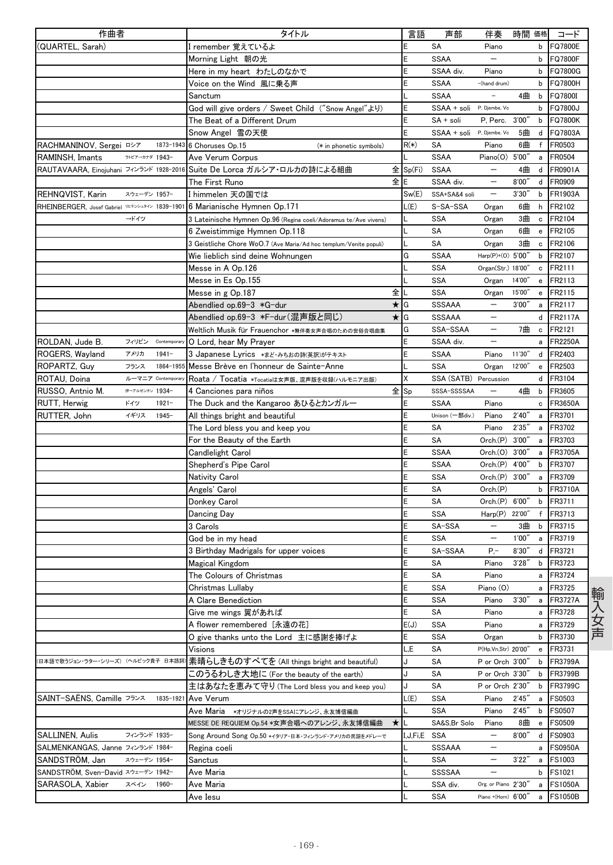| 作曲者                                            | タイトル                                                                                        | 言語           | 声部                        | 伴奏                       | 時間 価格  |              | コード                              |
|------------------------------------------------|---------------------------------------------------------------------------------------------|--------------|---------------------------|--------------------------|--------|--------------|----------------------------------|
| (QUARTEL, Sarah)                               | I remember 覚えているよ                                                                           | Ε            | SA                        | Piano                    |        | b            | <b>FQ7800E</b>                   |
|                                                | Morning Light 朝の光                                                                           | E            | <b>SSAA</b>               |                          |        | b            | <b>FQ7800F</b>                   |
|                                                | Here in my heart わたしのなかで                                                                    | E            | SSAA div.                 | Piano                    |        | b            | <b>FQ7800G</b>                   |
|                                                | Voice on the Wind 風に乗る声                                                                     | E            | <b>SSAA</b>               | -(hand drum)             |        | b            | FQ7800H                          |
|                                                | Sanctum                                                                                     |              | <b>SSAA</b>               |                          | 4曲     | b            | FQ7800I                          |
|                                                | God will give orders / Sweet Child ("Snow Angel"より)                                         | E            | SSAA + soli P. Djembe, Vo |                          |        | b            | FQ7800J                          |
|                                                | The Beat of a Different Drum                                                                | E            | SA + soli                 | P. Perc.                 | 3'00'' | b            | <b>FQ7800K</b>                   |
|                                                | Snow Angel 雪の天使                                                                             | E            | SSAA + soli               | P, Djembe, Vc            | 5曲     | d            | FQ7803A                          |
| RACHMANINOV, Sergei ロシア                        | 1873-1943 6 Choruses Op.15<br>(* in phonetic symbols)                                       | $R(*)$       | SA                        | Piano                    | 6曲     | f            | FR0503                           |
| ラトビアーカナダ 1943-<br>RAMINSH, Imants              | Ave Verum Corpus                                                                            |              | <b>SSAA</b>               | Piano(0)                 | 5'00'  | a            | FR0504                           |
| RAUTAVAARA, Einojuhani フィンランド 1928-2016        | Suite De Lorca ガルシア・ロルカの詩による組曲                                                              | 全 Sp(Fi)     | <b>SSAA</b>               |                          | 4曲     |              | d FR0901A                        |
|                                                | 全<br>The First Runo                                                                         | E            | SSAA div.                 | $\qquad \qquad -$        | 8'00'  | d            | FR0909                           |
| REHNQVIST, Karin<br>スウェーデン 1957-               | I himmelen 天の国では                                                                            | Sw(E)        | SSA+SA&4 soli             | $\qquad \qquad -$        | 3'30'  | b            | FR1903A                          |
| RHEINBERGER, Josef Gabriel VE7>シュタイン 1839-1901 | 6 Marianische Hymnen Op.171                                                                 | L(E)         | S-SA-SSA                  | Organ                    | 6曲     | h            | FR2102                           |
| →ドイツ                                           | 3 Lateinische Hymnen Op.96 (Regina coeli/Adoramus te/Ave vivens)                            |              | <b>SSA</b>                | Organ                    | 3曲     | c            | FR2104                           |
|                                                | 6 Zweistimmige Hymnen Op.118                                                                |              | SA                        | Organ                    | 6曲     | $\mathbf{e}$ | FR2105                           |
|                                                | 3 Geistliche Chore WoO.7 (Ave Maria/Ad hoc templum/Venite populi)                           |              | SA                        | Organ                    | 3曲     | c            | FR2106                           |
|                                                | Wie lieblich sind deine Wohnungen                                                           | G            | <b>SSAA</b>               | Harp(P)+(0) 5'00"        |        | b            | FR2107                           |
|                                                | Messe in A Op.126                                                                           |              | <b>SSA</b>                | Organ(Str.) 18'00"       |        | c            | FR2111                           |
|                                                | Messe in Es Op.155                                                                          |              | SSA                       | Organ                    | 14'00" | e            | FR2113                           |
|                                                | 全<br>Messe in g Op.187                                                                      |              | <b>SSA</b>                | Organ                    | 15'00" | e            | FR2115                           |
|                                                | $\star$ G<br>Abendlied op.69-3 *G-dur                                                       |              | <b>SSSAAA</b>             |                          | 3'00'  | a            | FR2117                           |
|                                                | Abendlied op.69-3 *F-dur(混声版と同じ)<br>$\star$ IG                                              |              | SSSAAA                    | $\qquad \qquad -$        |        | d            | FR2117A                          |
|                                                | Weltlich Musik für Frauenchor *無伴奏女声合唱のための世俗合唱曲集                                            | G            | SSA-SSAA                  | $\overline{\phantom{m}}$ | 7曲     | c            | FR2121                           |
| ROLDAN, Jude B.<br>フィリピン<br>Contemporary       | O Lord, hear My Prayer                                                                      | E            | SSAA div.                 |                          |        | a            | <b>FR2250A</b>                   |
| ROGERS, Wavland<br>アメリカ<br>$1941 -$            | 3 Japanese Lyrics *まど・みちおの詩(英訳)がテキスト                                                        | E            | <b>SSAA</b>               | Piano                    | 11'30" | d            | FR2403                           |
| ROPARTZ, Guy<br>フランス<br>1864-1955              | Messe Brève en l'honneur de Sainte-Anne                                                     |              | SSA                       | Organ                    | 12'00" | e            | FR2503                           |
| ルーマニア Contemporary<br>ROTAU, Doina             | Roata / Tocatia *Tocatiaは女声版、混声版を収録(ハルモニア出版)                                                | Χ            | SSA (SATB) Percussion     |                          |        | d            | FR3104                           |
| 伊→アルゼンチン 1934-<br>RUSSO, Antnio M.             | 全sp<br>4 Canciones para niños                                                               |              | SSSA-SSSSAA               | $\qquad \qquad -$        | 4曲     | b            | FR3605                           |
| ドイツ<br>RUTT, Herwig<br>$1921 -$                | The Duck and the Kangaroo あひるとカンガルー                                                         | E            | <b>SSAA</b>               | Piano                    |        | c            | FR3650A                          |
| イギリス<br>$1945 -$<br>RUTTER, John               | All things bright and beautiful                                                             | E            | Unison (一部div.)           | Piano                    | 2'40'  | a            | FR3701                           |
|                                                | The Lord bless you and keep you                                                             | E            | SA                        | Piano                    | 2'35'' | a            | FR3702                           |
|                                                | For the Beauty of the Earth                                                                 | E            | SΑ                        | Orch(P)                  | 3'00'' | a            | FR3703                           |
|                                                | Candlelight Carol                                                                           | E            | <b>SSAA</b>               | Orch. (O)                | 3'00'' | a            | FR3705A                          |
|                                                | Shepherd's Pipe Carol                                                                       | E            | <b>SSAA</b>               | Orch.(P)                 | 4'00'' | b            | FR3707                           |
|                                                | Nativity Carol                                                                              | E            | SSA                       | Orch.(P)                 | 3'00'' | a            | FR3709                           |
|                                                | Angels' Carol                                                                               | E            | SΑ                        | Orch(P)                  |        | b            | <b>FR3710A</b>                   |
|                                                | Donkey Carol                                                                                | E            | SA                        | Orch.(P)                 | 6'00'' | b            | FR3711                           |
|                                                | Dancing Day                                                                                 | E            | SSA                       | Harp(P) 22'00"           |        | f            | FR3713                           |
|                                                | 3 Carols                                                                                    | E            | SA-SSA                    | $\overline{\phantom{0}}$ | 3曲     | b            | FR3715                           |
|                                                |                                                                                             | E            | <b>SSA</b>                | $\qquad \qquad -$        | 1'00'  | a            | FR3719                           |
|                                                | God be in my head<br>3 Birthday Madrigals for upper voices                                  | E            | SA-SSAA                   | $P, -$                   | 8'30'' | d            | FR3721                           |
|                                                |                                                                                             |              |                           |                          | 3'28'' |              | b FR3723                         |
|                                                | Magical Kingdom<br>The Colours of Christmas                                                 | E<br>E       | SА<br>SΑ                  | Piano<br>Piano           |        |              | FR3724                           |
|                                                | Christmas Lullaby                                                                           | E            | <b>SSA</b>                | Piano (O)                |        | a            | FR3725                           |
|                                                | A Clare Benediction                                                                         | E            | SSA                       | Piano                    | 3'30'' | a<br>a       | FR3727A                          |
|                                                | Give me wings 翼があれば                                                                         | E            | SA                        | Piano                    |        | a            | FR3728                           |
|                                                | A flower remembered[永遠の花]                                                                   | E(J)         | <b>SSA</b>                | Piano                    |        | a            | FR3729                           |
|                                                | O give thanks unto the Lord 主に感謝を捧げよ                                                        | E            | SSA                       | Organ                    |        | b            | FR3730                           |
|                                                | Visions                                                                                     | L,E          | SA                        | P(Hp, Vn, Str) 20'00"    |        | $\mathbf{e}$ | FR3731                           |
| 【日本語で歌うジョン・ラター・シリーズ) (ヘルビック貴子 日本語詞)            | 素晴らしきものすべてを (All things bright and beautiful)                                               | J            | SA                        | P or Orch 3'00"          |        | b            | FR3799A                          |
|                                                | このうるわしき大地に (For the beauty of the earth)                                                    | J            | SA                        | P or Orch 3'30"          |        | b            | FR3799B                          |
|                                                | 主はあなたを恵みて守り (The Lord bless you and keep you)                                               | J            | SA                        | P or Orch 2'30"          |        | b            | FR3799C                          |
| SAINT-SAËNS, Camille フランス<br>1835-1921         | Ave Verum                                                                                   | L(E)         | SSA                       | Piano                    | 2'45'' | a            | <b>FS0503</b>                    |
|                                                |                                                                                             |              | <b>SSA</b>                | Piano                    | 2'45'' | b            | <b>FS0507</b>                    |
|                                                | Ave Maria *オリジナルの2声をSSAにアレンジ、永友博信編曲<br>MESSE DE REQUIEM Op.54 *女声合唱へのアレンジ、永友博信編曲<br>$\star$ |              | SA&S,Br Solo              | Piano                    | 8曲     | e            | <b>FS0509</b>                    |
| SALLINEN, Aulis<br>フィンランド 1935-                |                                                                                             | I,J,Fi,E SSA |                           | —                        | 8'00'' | d            | <b>FS0903</b>                    |
| SALMENKANGAS, Janne フィンランド 1984-               | Song Around Song Op.50 *イタリア・日本・フィンランド・アメリカの民謡をバレーで                                         |              | SSSAAA                    |                          |        |              | <b>FS0950A</b>                   |
| SANDSTROM, Jan<br>スウェーデン 1954-                 | Regina coeli<br>Sanctus                                                                     |              | SSA                       | $\qquad \qquad -$        | 3'22'' | a<br>a       | <b>FS1003</b>                    |
| SANDSTRÖM, Sven-David スウェーデン 1942-             |                                                                                             |              | SSSSAA                    | $\overline{\phantom{m}}$ |        | b            | <b>FS1021</b>                    |
| SARASOLA, Xabier<br>スペイン                       | Ave Maria                                                                                   |              |                           |                          |        |              |                                  |
| 1960-                                          | Ave Maria                                                                                   |              | SSA div.<br><b>SSA</b>    | Org. or Piano 2'30"      |        | a            | <b>FS1050A</b><br><b>FS1050B</b> |
|                                                | Ave Iesu                                                                                    |              |                           | Piano +(Horn) 6'00"      |        | a            |                                  |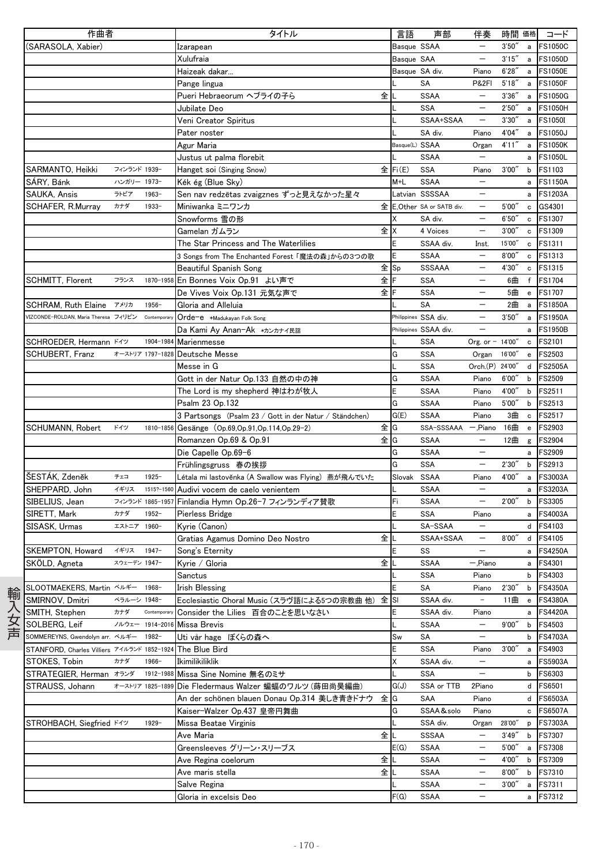|     | 作曲者                                         |              |                  | タイトル                                                   |               | 言語             | 声部                        | 伴奏                       | 時間 価格  |              | コード            |
|-----|---------------------------------------------|--------------|------------------|--------------------------------------------------------|---------------|----------------|---------------------------|--------------------------|--------|--------------|----------------|
|     | (SARASOLA, Xabier)                          |              |                  | Izarapean                                              |               | Basque SSAA    |                           | $\overline{\phantom{m}}$ | 3'50'' | a            | <b>FS1050C</b> |
|     |                                             |              |                  | Xulufraia                                              |               | Basque SAA     |                           | $\qquad \qquad -$        | 3'15'' | a            | <b>FS1050D</b> |
|     |                                             |              |                  | Haizeak dakar                                          |               | Basque SA div. |                           | Piano                    | 6'28'' |              | a FS1050E      |
|     |                                             |              |                  | Pange lingua                                           |               |                | SA                        | <b>P&amp;2FI</b>         | 5'18'' | $\mathbf{a}$ | <b>FS1050F</b> |
|     |                                             |              |                  | Pueri Hebraeorum へブライの子ら                               | 全儿            |                | <b>SSAA</b>               | $\overline{\phantom{m}}$ | 3'36'' | a            | <b>FS1050G</b> |
|     |                                             |              |                  | Jubilate Deo                                           |               |                | <b>SSA</b>                |                          | 2'50'' |              | a FS1050H      |
|     |                                             |              |                  | Veni Creator Spiritus                                  |               |                | SSAA+SSAA                 | $\overline{\phantom{m}}$ | 3'30'' |              | a FS1050I      |
|     |                                             |              |                  | Pater noster                                           |               |                | SA div.                   | Piano                    | 4'04"  |              | a FS1050J      |
|     |                                             |              |                  | Agur Maria                                             |               | Basque(L) SSAA |                           | Organ                    | 4'11'' |              | a FS1050K      |
|     |                                             |              |                  | Justus ut palma florebit                               |               |                | <b>SSAA</b>               | $\qquad \qquad -$        |        | $\mathsf{a}$ | <b>FS1050L</b> |
|     | SARMANTO, Heikki                            | フィンランド 1939- |                  | Hanget soi (Singing Snow)                              |               | 全 Fi(E)        | SSA                       | Piano                    | 3'00'' | $\mathsf b$  | <b>FS1103</b>  |
|     | SÁRY, Bánk                                  | ハンガリー 1973-  |                  | Kék ég (Blue Sky)                                      |               | $M + L$        | <b>SSAA</b>               | $\overline{\phantom{m}}$ |        | a            | <b>FS1150A</b> |
|     | SAUKA, Ansis                                | ラトビア         | $1963 -$         | Sen nav redzētas zvaigznes ずっと見えなかった星々                 |               |                | Latvian SSSSAA            | $\overline{\phantom{m}}$ |        | a            | <b>FS1203A</b> |
|     | SCHAFER, R.Murray                           | カナダ          | $1933 -$         | Miniwanka ミニワンカ                                        |               |                | 全 E,Other SA or SATB div. | $\qquad \qquad -$        | 5'00'' | $\mathbf c$  | GS4301         |
|     |                                             |              |                  | Snowforms 雪の形                                          |               | X              | SA div.                   | $\overline{\phantom{0}}$ | 6'50'' | $\mathbf c$  | FS1307         |
|     |                                             |              |                  | Gamelan ガムラン                                           | 全IX           |                | 4 Voices                  | $\overline{\phantom{m}}$ | 3'00'' | $\mathbf c$  | FS1309         |
|     |                                             |              |                  | The Star Princess and The Waterlilies                  |               | E              | SSAA div.                 | Inst.                    | 15'00" |              | c FS1311       |
|     |                                             |              |                  | 3 Songs from The Enchanted Forest「魔法の森」からの3つの歌         |               | E              | <b>SSAA</b>               |                          | 8'00'' |              | c FS1313       |
|     |                                             |              |                  | Beautiful Spanish Song                                 | 全sp           |                | SSSAAA                    | $\overline{\phantom{0}}$ | 4'30"  |              | c FS1315       |
|     | SCHMITT, Florent                            | フランス         |                  | 1870-1958 En Bonnes Voix Op.91 よい声で                    | 全F            |                | <b>SSA</b>                | $\overline{\phantom{0}}$ | 6曲     | f            | <b>FS1704</b>  |
|     |                                             |              |                  | De Vives Voix Op.131 元気な声で                             | 全下            |                | <b>SSA</b>                |                          | 5曲     |              | e FS1707       |
|     | SCHRAM, Ruth Elaine アメリカ                    |              | $1956 -$         | Gloria and Alleluia                                    |               |                | <b>SA</b>                 |                          | 2曲     | a            | <b>FS1850A</b> |
|     | VIZCONDE-ROLDAN, Maria Theresa フィリピン        |              | Contemporary     | Orde-e *Madukayan Folk Song                            |               |                | Philippines SSA div.      | $\qquad \qquad -$        | 3'50'' | a            | <b>FS1950A</b> |
|     |                                             |              |                  | Da Kami Ay Anan-Ak *カンカナイ民謡                            |               |                | Philippines SSAA div.     | $\overline{\phantom{0}}$ |        | a            | <b>FS1950B</b> |
|     | SCHROEDER, Hermann K4Y                      |              |                  | 1904-1984 Marienmesse                                  |               |                | <b>SSA</b>                | Org. or $- 14'00''$      |        | $\mathbf c$  | <b>FS2101</b>  |
|     | SCHUBERT, Franz                             |              |                  | オーストリア 1797-1828 Deutsche Messe                        |               | G              | <b>SSA</b>                | Organ                    | 16'00" | $\mathbf{e}$ | FS2503         |
|     |                                             |              |                  | Messe in G                                             |               |                | <b>SSA</b>                | Orch.(P) 24'00"          |        | d            | <b>FS2505A</b> |
|     |                                             |              |                  | Gott in der Natur Op.133 自然の中の神                        |               | G              | <b>SSAA</b>               | Piano                    | 6'00'' | $\mathsf b$  | <b>FS2509</b>  |
|     |                                             |              |                  | The Lord is my shepherd 神はわが牧人                         |               | E              | <b>SSAA</b>               | Piano                    | 4'00"  | $\mathsf b$  | FS2511         |
|     |                                             |              |                  | Psalm 23 Op.132                                        |               | G              | <b>SSAA</b>               | Piano                    | 5'00"  | $\mathsf b$  | FS2513         |
|     |                                             |              |                  | 3 Partsongs (Psalm 23 / Gott in der Natur / Ständchen) |               | G(E)           | <b>SSAA</b>               | Piano                    | 3曲     | $\mathtt{c}$ | FS2517         |
|     | SCHUMANN, Robert                            | ドイツ          |                  | 1810-1856 Gesänge (Op.69, Op.91, Op.114, Op.29-2)      | 全lG           |                | SSA-SSSAAA                | 一,Piano 16曲              |        | $\mathbf{e}$ | FS2903         |
|     |                                             |              |                  | Romanzen Op.69 & Op.91                                 | $\hat{\pm}$ G |                | <b>SSAA</b>               | $\overline{\phantom{m}}$ | 12曲    | $\mathsf g$  | FS2904         |
|     |                                             |              |                  | Die Capelle Op.69-6                                    |               | G              | <b>SSAA</b>               | $\overline{\phantom{m}}$ |        | a            | FS2909         |
|     |                                             |              |                  | Frühlingsgruss 春の挨拶                                    |               | G              | <b>SSA</b>                | $\qquad \qquad -$        | 2'30'' | b            | FS2913         |
|     | ŠESTÁK, Zdeněk                              | チェコ          | $1925 -$         | Létala mi lastověnka (A Swallow was Flying) 燕が飛んでいた    |               | Slovak SSAA    |                           | Piano                    | 4'00"  | a            | <b>FS3003A</b> |
|     | SHEPPARD, John                              | イギリス         | 1515?-1560       | Audivi vocem de caelo venientem                        |               |                | <b>SSAA</b>               | $\equiv$                 |        | a            | <b>FS3203A</b> |
|     | SIBELIUS, Jean                              |              |                  | フィンランド 1865-1957 Finlandia Hymn Op.26-7 フィンランディア賛歌     |               | Fi             | <b>SSAA</b>               | $\qquad \qquad -$        | 2'00"  | $\mathsf b$  | FS3305         |
|     | SIRETT, Mark                                | カナダ          | $1952 -$         | Pierless Bridge                                        |               | E              | <b>SSA</b>                | Piano                    |        |              | a FS4003A      |
|     | SISASK, Urmas                               | エストニア 1960-  |                  | Kyrie (Canon)                                          |               |                | SA-SSAA                   | $\equiv$                 |        |              | d FS4103       |
|     |                                             |              |                  | Gratias Agamus Domino Deo Nostro                       | 全             |                | SSAA+SSAA                 | $\qquad \qquad -$        | 8'00'' |              | d FS4105       |
|     | SKEMPTON, Howard                            | イギリス         | $1947 -$         | Song's Eternity                                        |               | E              | SS                        | $\overline{\phantom{m}}$ |        | a            | <b>FS4250A</b> |
|     | SKOLD, Agneta                               | スウェーデン 1947- |                  | Kyrie ∕ Gloria                                         | 全儿            |                | SSAA                      | -,Piano                  |        |              | a FS4301       |
|     |                                             |              |                  | Sanctus                                                |               |                | <b>SSA</b>                | Piano                    |        | b            | FS4303         |
|     | SLOOTMAEKERS, Martin ベルギー                   |              | 1968-            | <b>Irish Blessing</b>                                  |               | E              | SA                        | Piano                    | 2'30'' | b            | <b>FS4350A</b> |
| 輸   | SMIRNOV, Dmitri                             | ベラルーシ 1948-  |                  | Ecclesiastic Choral Music (スラヴ語による5つの宗教曲他) 全 SI        |               |                | SSAA div.                 |                          | 11曲    | $\mathbf{e}$ | <b>FS4380A</b> |
| 入女声 | SMITH, Stephen                              | カナダ          | Contemporary     | Consider the Lilies 百合のことを思いなさい                        |               | Ε              | SSAA div.                 | Piano                    |        | a            | <b>FS4420A</b> |
|     | SOLBERG, Leif                               |              |                  | ノルウェー 1914-2016 Missa Brevis                           |               |                | SSAA                      | $\overline{\phantom{0}}$ | 9'00'' | b            | FS4503         |
|     | SOMMEREYNS, Gwendolyn arr. ベルギー             |              | 1982-            | Uti vår hage ぼくらの森へ                                    |               | Sw             | SA                        | $\qquad \qquad -$        |        | b            | <b>FS4703A</b> |
|     | STANFORD, Charles Villiers アイルランド 1852-1924 |              |                  | The Blue Bird                                          |               | E              | <b>SSA</b>                | Piano                    | 3'00'' | a            | FS4903         |
|     | STOKES, Tobin                               | カナダ          | 1966-            | Ikimilikiliklik                                        |               | Χ              | SSAA div.                 | $\qquad \qquad -$        |        | а            | FS5903A        |
|     | STRATEGIER, Herman オランダ                     |              | 1912-1988        | Missa Sine Nomine 無名のミサ                                |               |                | <b>SSA</b>                | $\overline{\phantom{0}}$ |        | b            | FS6303         |
|     | STRAUSS, Johann                             |              | オーストリア 1825-1899 | Die Fledermaus Walzer 蝙蝠のワルツ (蒔田尚昊編曲)                  |               | G(J)           | SSA or TTB                | 2Piano                   |        | d            | FS6501         |
|     |                                             |              |                  | An der schönen blauen Donau Op.314 美しき青きドナウ            | 全IG           |                | SAA                       | Piano                    |        | d            | FS6503A        |
|     |                                             |              |                  | Kaiser-Walzer Op.437 皇帝円舞曲                             |               | G              | SSAA&solo                 | Piano                    |        | c            | <b>FS6507A</b> |
|     | STROHBACH, Siegfried ドイツ                    |              | $1929 -$         | Missa Beatae Virginis                                  |               |                | SSA div.                  | Organ                    | 28'00" | p            | <b>FS7303A</b> |
|     |                                             |              |                  | Ave Maria                                              | 全             |                | SSSAA                     | $\overline{\phantom{m}}$ | 3'49'' | b            | <b>FS7307</b>  |
|     |                                             |              |                  | Greensleeves グリーン・スリーブス                                |               | E(G)           | <b>SSAA</b>               | $\overline{\phantom{m}}$ | 5'00'' | a            | <b>FS7308</b>  |
|     |                                             |              |                  | Ave Regina coelorum                                    | 全             |                | <b>SSAA</b>               | $\overline{\phantom{m}}$ | 4'00"  | b            | FS7309         |
|     |                                             |              |                  | Ave maris stella                                       | 全儿            |                | <b>SSAA</b>               | $\qquad \qquad -$        | 8'00'' | b            | FS7310         |
|     |                                             |              |                  | Salve Regina                                           |               |                | <b>SSAA</b>               | $\qquad \qquad -$        | 3'00'' | a            | FS7311         |
|     |                                             |              |                  | Gloria in excelsis Deo                                 |               | F(G)           | SSAA                      |                          |        | a            | FS7312         |
|     |                                             |              |                  |                                                        |               |                |                           |                          |        |              |                |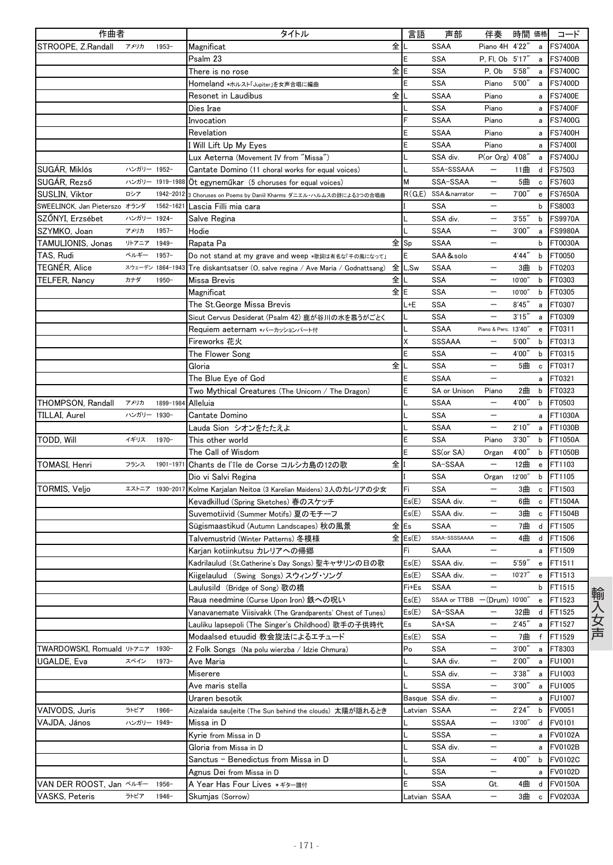| 作曲者                           |             |                  | タイトル                                                               | 言語                         | 声部                   | 伴奏                       | 時間 価格  |              | コード            |
|-------------------------------|-------------|------------------|--------------------------------------------------------------------|----------------------------|----------------------|--------------------------|--------|--------------|----------------|
| STROOPE, Z.Randall            | アメリカ        | $1953 -$         | 全<br>Magnificat                                                    |                            | <b>SSAA</b>          | Piano 4H 4'22"           |        | a            | <b>FS7400A</b> |
|                               |             |                  | Psalm 23                                                           |                            | SSA                  | P. Fl. Ob 5'17"          |        | a            | <b>FS7400B</b> |
|                               |             |                  | 全<br>There is no rose                                              | E                          | <b>SSA</b>           | P, Ob                    | 5'58'' | a            | <b>FS7400C</b> |
|                               |             |                  | Homeland *ホルスト「Jupiter」を女声合唱に編曲                                    |                            | <b>SSA</b>           | Piano                    | 5'00'' | a            | <b>FS7400D</b> |
|                               |             |                  | 全<br>Resonet in Laudibus                                           |                            | <b>SSAA</b>          | Piano                    |        | a            | <b>FS7400E</b> |
|                               |             |                  | Dies Irae                                                          |                            | <b>SSA</b>           | Piano                    |        | a            | <b>FS7400F</b> |
|                               |             |                  | Invocation                                                         |                            | <b>SSAA</b>          | Piano                    |        | a            | <b>FS7400G</b> |
|                               |             |                  | Revelation                                                         |                            | <b>SSAA</b>          | Piano                    |        | a            | <b>FS7400H</b> |
|                               |             |                  | I Will Lift Up My Eyes                                             | E                          | <b>SSAA</b>          | Piano                    |        | a            | <b>FS7400I</b> |
|                               |             |                  | Lux Aeterna (Movement IV from "Missa")                             |                            | SSA div.             | P(or Org) 4'08"          |        | a            | <b>FS7400J</b> |
| SUGÁR, Miklós                 | ハンガリー 1952- |                  | Cantate Domino (11 choral works for equal voices)                  |                            | SSA-SSSAAA           | $\overline{\phantom{0}}$ | 11曲    | d            | FS7503         |
| SUGÁR, Rezső                  |             | ハンガリー 1919-1988  | Ot egyneműkar (5 choruses for equal voices)                        | М                          | SSA-SSAA             | $\qquad \qquad -$        | 5曲     | c            | FS7603         |
| SUSLIN, Viktor                | ロシア         | 1942-2012        | 3 Choruses on Poems by Daniil Kharms ダニエル・ハルムスの詩による3つの合唱曲          |                            | R(G,E) SSA&narrator  | $\overline{\phantom{m}}$ | 7'00'  | e            | <b>FS7650A</b> |
| SWEELINCK, Jan Pieterszo オランダ |             | 1562-1621        | Lascia Filli mia cara                                              |                            | <b>SSA</b>           |                          |        | b            | FS8003         |
| SZŐNYI, Erzsébet              | ハンガリー 1924- |                  | Salve Regina                                                       |                            | SSA div.             | $\overline{\phantom{m}}$ | 3'55'  | b            | <b>FS9970A</b> |
| SZYMKO, Joan                  | アメリカ        | $1957-$          | Hodie                                                              |                            | <b>SSAA</b>          | $\overline{\phantom{m}}$ | 3'00'' | a            | <b>FS9980A</b> |
| TAMULIONIS, Jonas             | リトアニア       | 1949-            | Rapata Pa                                                          | 全sp                        | <b>SSAA</b>          |                          |        | b            | FT0030A        |
| TAS, Rudi                     | ベルギー        | $1957 -$         | Do not stand at my grave and weep *歌詞は有名な「千の風になって」                 | E                          | SAA&solo             |                          | 4'44'' | $\mathsf b$  | FT0050         |
| TEGNÉR, Alice                 |             | スウェーデン 1864-1943 | 全<br>Tre diskantsatser (O, salve regina / Ave Maria / Godnattsang) | L,Sw                       | <b>SSAA</b>          | $\overline{\phantom{0}}$ | 3曲     | b            | FT0203         |
| TELFER, Nancy                 | カナダ         | 1950-            | 全<br>Missa Brevis                                                  |                            | <b>SSA</b>           | $\overline{\phantom{m}}$ | 10'00" | b            | FT0303         |
|                               |             |                  | Magnificat                                                         | 全IE                        | <b>SSA</b>           |                          | 10'00" | b            | FT0305         |
|                               |             |                  | The St.George Missa Brevis                                         | L+E                        | SSA                  | $\overline{\phantom{0}}$ | 8'45'' | a            | FT0307         |
|                               |             |                  | Sicut Cervus Desiderat (Psalm 42) 鹿が谷川の水を慕うがごとく                    |                            | <b>SSA</b>           | $\overline{\phantom{m}}$ | 3'15'' | a            | FT0309         |
|                               |             |                  | Requiem aeternam *パーカッションパート付                                      |                            | <b>SSAA</b>          | Piano & Perc. 13'40"     |        | e            | FT0311         |
|                               |             |                  | Fireworks 花火                                                       | x                          | SSSAAA               |                          | 5'00'' | $\mathsf{b}$ | FT0313         |
|                               |             |                  | The Flower Song                                                    |                            | <b>SSA</b>           | $\qquad \qquad -$        | 4'00"  | b            | FT0315         |
|                               |             |                  | 全<br>Gloria                                                        |                            | <b>SSA</b>           |                          | 5曲     | $\mathbf c$  | FT0317         |
|                               |             |                  | The Blue Eye of God                                                | F                          | <b>SSAA</b>          |                          |        | a            | FT0321         |
|                               |             |                  | Two Mythical Creatures (The Unicorn / The Dragon)                  |                            | SA or Unison         | Piano                    | 2曲     | b            | FT0323         |
| THOMPSON, Randall             | アメリカ        | 1899-1984        | Alleluia                                                           |                            | <b>SSAA</b>          | $\overline{\phantom{m}}$ | 4'00'' | b            | FT0503         |
| TILLAI, Aurel                 | ハンガリー 1930- |                  | Cantate Domino                                                     |                            | <b>SSA</b>           | $\overline{\phantom{m}}$ |        | a            | FT1030A        |
|                               |             |                  | Lauda Sion シオンをたたえよ                                                |                            | <b>SSAA</b>          |                          | 2'10'' | a            | FT1030B        |
| TODD, Will                    | イギリス        | 1970-            | This other world                                                   | E                          | SSA                  | Piano                    | 3'30'' | b            | FT1050A        |
|                               |             |                  | The Call of Wisdom                                                 |                            | SS(or SA)            | Organ                    | 4'00"  | b            | FT1050B        |
| TOMASI, Henri                 | フランス        | 1901-1971        | 全<br>Chants de l'île de Corse コルシカ島の12の歌                           |                            | SA-SSAA              |                          | 12曲    | e            | FT1103         |
|                               |             |                  | Dio vi Salvi Regina                                                |                            | <b>SSA</b>           | Organ                    | 12'00" | b            | FT1105         |
| TORMIS, Veljo                 |             | エストニア 1930-2017  | Kolme Karjalan Neitoa (3 Karelian Maidens) 3人のカレリアの少女              | Fi                         | <b>SSA</b>           | $\qquad \qquad -$        | 3曲     | c            | FT1503         |
|                               |             |                  | Kevadkillud (Spring Sketches) 春のスケッチ                               | Es(E)                      | SSAA div.            | $\overline{\phantom{m}}$ | 6曲     | c            | FT1504A        |
|                               |             |                  | Suvemotiivid (Summer Motifs) 夏のモチーフ                                | Es(E)                      | SSAA div.            | $\overline{\phantom{0}}$ | 3曲     | $\mathbf c$  | FT1504B        |
|                               |             |                  | Sügismaastikud (Autumn Landscapes) 秋の風景                            | 全Es                        | <b>SSAA</b>          | $\overline{\phantom{0}}$ | 7曲     | d            | FT1505         |
|                               |             |                  | Talvemustrid (Winter Patterns) 冬模様                                 | $\hat{\mathbf{\pm}}$ Es(E) | SSAA-SSSSAAAA        | $\overline{\phantom{m}}$ | 4曲     | d            | FT1506         |
|                               |             |                  | Karjan kotiinkutsu カレリアへの帰郷                                        | Fi                         | SAAA                 | $\overline{\phantom{0}}$ |        | a            | FT1509         |
|                               |             |                  | Kadrilaulud(St.Catherine's Day Songs) 聖キャサリンの日の歌                   | Es(E)                      | SSAA div.            |                          | 5'59'' |              | e FT1511       |
|                               |             |                  | Kiigelaulud (Swing Songs)スウィング・ソング                                 | Es(E)                      | SSAA div.            | $\overline{\phantom{m}}$ | 10'27" | e            | FT1513         |
|                               |             |                  | Laulusild (Bridge of Song) 歌の橋                                     | Fi+Es                      | <b>SSAA</b>          |                          |        | b            | FT1515         |
|                               |             |                  | Raua needmine (Curse Upon Iron) 鉄への呪い                              | Es(E)                      | SSAA or TTBB         | $-(Drum) 10'00''$        |        | e            | FT1523         |
|                               |             |                  | Vanavanemate Viisivakk (The Grandparents' Chest of Tunes)          | Es(E)                      | SA-SSAA              |                          | 32曲    | d            | FT1525         |
|                               |             |                  | Lauliku lapsepoli (The Singer's Childhood) 歌手の子供時代                 | Es                         | SA+SA                | $\qquad \qquad -$        | 2'45'' | а            | FT1527         |
|                               |             |                  | Modaalsed etuudid 教会旋法によるエチュード                                     | Es(E)                      | SSA                  | $\qquad \qquad -$        | 7曲     | f            | FT1529         |
| TWARDOWSKI, Romuald リトアニア     |             | 1930-            | 2 Folk Songs (Na polu wierzba / Idzie Chmura)                      | Po                         | <b>SSA</b>           |                          | 3'00'' | a            | FT8303         |
| UGALDE, Eva                   | スペイン        | $1973 -$         | Ave Maria                                                          |                            | SAA div.             |                          | 2'00'' | a            | FU1001         |
|                               |             |                  | Miserere                                                           |                            | SSA div.             | $\qquad \qquad -$        | 3'38'  | a            | FU1003         |
|                               |             |                  | Ave maris stella                                                   |                            | <b>SSSA</b>          | $\qquad \qquad -$        | 3'00'' | a            | <b>FU1005</b>  |
|                               |             |                  | Uraren besotik                                                     |                            | Basque SSA div.      |                          |        | a            | <b>FU1007</b>  |
| VAIVODS, Juris                | ラトビア        | 1966-            | Aizalaida sauleite (The Sun behind the clouds) 太陽が隠れるとき            |                            | Latvian SSAA         | $\qquad \qquad -$        | 2'24'' | b            | FV0051         |
|                               | ハンガリー 1949- |                  |                                                                    |                            |                      | $\qquad \qquad -$        | 13'00" |              | FV0101         |
| VAJDA, János                  |             |                  | Missa in D<br>Kyrie from Missa in D                                |                            | <b>SSSAA</b><br>SSSA | —                        |        | d            | <b>FV0102A</b> |
|                               |             |                  |                                                                    |                            | SSA div.             |                          |        | a            | <b>FV0102B</b> |
|                               |             |                  | Gloria from Missa in D                                             |                            | <b>SSA</b>           | $\qquad \qquad -$        | 4'00"  | a            |                |
|                               |             |                  | Sanctus - Benedictus from Missa in D                               |                            | SSA                  | $\overline{\phantom{m}}$ |        | b            | <b>FV0102C</b> |
|                               |             |                  | Agnus Dei from Missa in D                                          |                            |                      |                          |        | a            | <b>FV0102D</b> |
| VAN DER ROOST, Jan ベルギー       |             | 1956-            | A Year Has Four Lives *ギター譜付                                       |                            | SSA                  | Gt.                      | 4曲     | d            | <b>FV0150A</b> |
| <b>VASKS, Peteris</b>         | ラトビア        | $1946 -$         | Skumjas (Sorrow)                                                   |                            | atvian SSAA          | $\overline{\phantom{0}}$ | 3曲     | c            | <b>FV0203A</b> |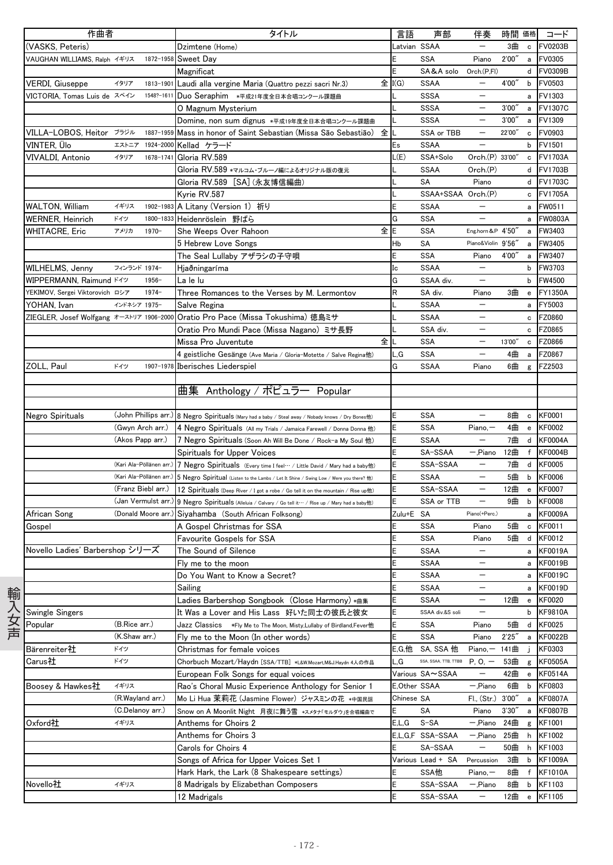| 作曲者  |                                          |                          |            | タイトル                                                                                                            | 言語           | 声部                   | 伴奏                         | 時間 価格  |                                                  | コード            |
|------|------------------------------------------|--------------------------|------------|-----------------------------------------------------------------------------------------------------------------|--------------|----------------------|----------------------------|--------|--------------------------------------------------|----------------|
|      | (VASKS, Peteris)                         |                          |            | Dzimtene (Home)                                                                                                 | Latvian SSAA |                      | $\qquad \qquad -$          | 3曲     | $\mathtt{c}$                                     | <b>FV0203B</b> |
|      | VAUGHAN WILLIAMS, Ralph イギリス             |                          | 1872-1958  | Sweet Day                                                                                                       | E            | <b>SSA</b>           | Piano                      | 2'00'' | a                                                | FV0305         |
|      |                                          |                          |            | Magnificat                                                                                                      | E            | SA&A solo            | Orch.(P.FI)                |        | d                                                | <b>FV0309B</b> |
|      | VERDI, Giuseppe                          | イタリア                     | 1813-1901  | Laudi alla vergine Maria (Quattro pezzi sacri Nr.3)                                                             | 全 I(G)       | <b>SSAA</b>          | $\overline{\phantom{0}}$   | 4'00'' | b                                                | FV0503         |
|      | VICTORIA, Tomas Luis de スペイン             |                          | 1548?-1611 | Duo Seraphim *平成21年度全日本合唱コンクール課題曲                                                                               |              | <b>SSSA</b>          | $\qquad \qquad -$          |        | a                                                | FV1303         |
|      |                                          |                          |            | O Magnum Mysterium                                                                                              |              | SSSA                 | $\qquad \qquad -$          | 3'00'  | a                                                | <b>FV1307C</b> |
|      |                                          |                          |            | Domine, non sum dignus *平成19年度全日本合唱コンクール課題曲                                                                     |              | <b>SSSA</b>          |                            | 3'00'' | a                                                | FV1309         |
|      | VILLA-LOBOS, Heitor ブラジル                 |                          |            | 1887-1959 Mass in honor of Saint Sebastian (Missa São Sebastião)<br>全                                           |              | SSA or TBB           | $\qquad \qquad -$          | 22'00" | $\mathbf c$                                      | FV0903         |
|      | VINTER, Ülo                              |                          |            | エストニア 1924-2000 Kellad ケラード                                                                                     | Es           | <b>SSAA</b>          | —                          |        | b                                                | FV1501         |
|      | VIVALDI, Antonio                         | イタリア                     |            | 1678-1741 Gloria RV.589                                                                                         | L(E)         | SSA+Solo             | Orch.(P) 33'00"            |        | c                                                | <b>FV1703A</b> |
|      |                                          |                          |            | Gloria RV.589 *マルコム・ブルーノ編によるオリジナル版の復元                                                                           |              | <b>SSAA</b>          | Orch.(P)                   |        | d                                                | <b>FV1703B</b> |
|      |                                          |                          |            | Gloria RV.589 [SA] (永友博信編曲)                                                                                     |              | <b>SA</b>            | Piano                      |        |                                                  | d FV1703C      |
|      |                                          |                          |            | Kyrie RV.587                                                                                                    |              | SSAA+SSAA Orch.(P)   |                            |        | c                                                | <b>FV1705A</b> |
|      | <b>WALTON, William</b>                   | イギリス                     |            | 1902-1983 A Litany (Version 1) 祈り                                                                               | E            | <b>SSAA</b>          |                            |        | a                                                | FW0511         |
|      | WERNER, Heinrich                         | ドイツ                      |            | 1800-1833 Heidenröslein 野ばら                                                                                     | G            | <b>SSA</b>           |                            |        | a                                                | FW0803A        |
|      | WHITACRE, Eric                           | アメリカ                     | $1970 -$   | 全IE<br>She Weeps Over Rahoon                                                                                    |              | <b>SSA</b>           | Eng.horn&P 4'50"           |        | a                                                | FW3403         |
|      |                                          |                          |            | 5 Hebrew Love Songs                                                                                             | Hb           | SA                   | Piano&Violin 9'56"         |        | a                                                | FW3405         |
|      |                                          |                          |            | The Seal Lullaby アザラシの子守唄                                                                                       | E            | <b>SSA</b>           | Piano                      | 4'00"  | a                                                | FW3407         |
|      | WILHELMS, Jenny                          | フィンランド 1974-             |            | Hjaðningaríma                                                                                                   | Ic           | <b>SSAA</b>          | $\overline{\phantom{0}}$   |        | b                                                | FW3703         |
|      | WIPPERMANN, Raimund ドイツ                  |                          | $1956 -$   | La le lu                                                                                                        | Ġ            | SSAA div.            | $\qquad \qquad -$          |        | b                                                | FW4500         |
|      | YEKIMOV, Sergei Viktorovich ロシア          |                          | $1974 -$   |                                                                                                                 | R            |                      |                            | 3曲     |                                                  |                |
|      |                                          | インドネシア 1975-             |            | Three Romances to the Verses by M. Lermontov                                                                    |              | SA div.<br>SSAA      | Piano<br>$\qquad \qquad -$ |        | $\mathbf{e}$                                     | <b>FY1350A</b> |
|      | YOHAN, Ivan                              |                          |            | Salve Regina                                                                                                    |              | <b>SSAA</b>          | $\overline{\phantom{0}}$   |        | a                                                | FY5003         |
|      | ZIEGLER, Josef Wolfgang オーストリア 1906-2000 |                          |            | Oratio Pro Pace (Missa Tokushima) 徳島ミサ                                                                          |              |                      |                            |        | c                                                | <b>FZ0860</b>  |
|      |                                          |                          |            | Oratio Pro Mundi Pace (Missa Nagano) ミサ長野                                                                       |              | SSA div.             | $\qquad \qquad -$          |        | c                                                | FZ0865         |
|      |                                          |                          |            | 全<br>Missa Pro Juventute                                                                                        | L            | <b>SSA</b>           |                            | 13'00" | $\mathtt{c}$                                     | FZ0866         |
|      |                                          |                          |            | 4 geistliche Gesänge (Ave Maria / Gloria-Motette / Salve Regina他)                                               | L,G          | <b>SSA</b>           | $\overline{\phantom{0}}$   | 4曲     | $\mathsf{a}$                                     | FZ0867         |
|      | ZOLL, Paul                               | ドイツ                      |            | 1907-1978 Iberisches Liederspiel                                                                                | G            | <b>SSAA</b>          | Piano                      | 6曲     | g                                                | FZ2503         |
|      |                                          |                          |            |                                                                                                                 |              |                      |                            |        |                                                  |                |
|      |                                          |                          |            | 曲集 Anthology / ポピュラー Popular                                                                                    |              |                      |                            |        |                                                  |                |
|      |                                          |                          |            |                                                                                                                 |              |                      |                            |        |                                                  |                |
|      | Negro Spirituals                         | (John Phillips arr.)     |            | 8 Negro Spirituals (Mary had a baby / Steal away / Nobady knows / Dry Bones他)                                   | E            | <b>SSA</b>           | —                          | 8曲     | $\mathbf c$                                      | KF0001         |
|      |                                          | (Gwyn Arch arr.)         |            | 4 Negro Spirituals (All my Trials / Jamaica Farewell / Donna Donna 他)                                           | E            | <b>SSA</b>           | $Piano, -$                 | 4曲     | $\mathsf{e}\,$                                   | <b>KF0002</b>  |
|      |                                          | (Akos Papp arr.)         |            | 7 Negro Spirituals (Soon Ah Will Be Done / Rock-a My Soul 他)                                                    | E            | <b>SSAA</b>          | $\overline{\phantom{0}}$   | 7曲     | d                                                | <b>KF0004A</b> |
|      |                                          |                          |            | Spirituals for Upper Voices                                                                                     | E            | SA-SSAA              | - Piano                    | 12曲    | $\mathsf{f}$                                     | <b>KF0004B</b> |
|      |                                          | (Kari Ala-Pöllänen arr.) |            | 7 Negro Spirituals (Every time I feel… / Little David / Mary had a baby他)                                       | E            | SSA-SSAA             | $\qquad \qquad -$          | 7曲     | d                                                | KF0005         |
|      |                                          |                          |            | (Kari Ala-Pöllänen arr.) 5 Negro Spiritual (Listen to the Lambs / Let It Shine / Swing Low / Were you there? 他) | E            | <b>SSAA</b>          |                            | 5曲     | $\mathbf b$                                      | <b>KF0006</b>  |
|      |                                          | (Franz Biebl arr.)       |            | 12 Spirituals (Deep River / I got a robe / Go tell it on the mountain / Rise up他)                               | E            | SSA-SSAA             | $\qquad \qquad -$          | 12曲    | $\mathbf{e}% _{t}\left  \mathbf{v}_{t}\right $   | KF0007         |
|      |                                          | (Jan Vermulst arr.)      |            | 9 Negro Spirituals (Alleluia / Calvary / Go tell it ··· / Rise up / Mary had a baby他)                           | E            | SSA or TTB           | $\qquad \qquad -$          | 9曲     | b                                                | <b>KF0008</b>  |
|      | African Song                             | (Donald Moore arr.)      |            | Siyahamba (South African Folksong)                                                                              | Zulu+E SA    |                      | Piano(+Perc.)              |        | a                                                | KF0009A        |
|      | Gospel                                   |                          |            | A Gospel Christmas for SSA                                                                                      | E            | <b>SSA</b>           | Piano                      | 5曲     | $\mathtt{c}$                                     | KF0011         |
|      |                                          |                          |            | Favourite Gospels for SSA                                                                                       | E            | SSA                  | Piano                      | 5曲     | d                                                | KF0012         |
|      | Novello Ladies' Barbershop シリーズ          |                          |            | The Sound of Silence                                                                                            | E            | <b>SSAA</b>          | $\qquad \qquad -$          |        | a                                                | <b>KF0019A</b> |
|      |                                          |                          |            | Fly me to the moon                                                                                              | E            | SSAA                 | —                          |        |                                                  | a KF0019B      |
|      |                                          |                          |            | Do You Want to Know a Secret?                                                                                   | E            | <b>SSAA</b>          |                            |        | a                                                | <b>KF0019C</b> |
|      |                                          |                          |            | Sailing                                                                                                         | E            | <b>SSAA</b>          | $\qquad \qquad -$          |        | a                                                | <b>KF0019D</b> |
| 輸入女声 |                                          |                          |            | Ladies Barbershop Songbook(Close Harmony)*曲集                                                                    | E            | <b>SSAA</b>          | $\qquad \qquad -$          | 12曲    | e                                                | KF0020         |
|      | Swingle Singers                          |                          |            | It Was a Lover and His Lass 好いた同士の彼氏と彼女                                                                         | E            | SSAA div.&S soli     |                            |        | b                                                | <b>KF9810A</b> |
|      | Popular                                  | (B.Rice arr.)            |            | <b>Jazz Classics     *Fly Me to The Moon, Misty,Lullaby of Birdland,Fever他</b>                                  | E            | <b>SSA</b>           | Piano                      | 5曲     | d                                                | KF0025         |
|      |                                          | (K.Shaw arr.)            |            | Fly me to the Moon (In other words)                                                                             | E            | <b>SSA</b>           | Piano                      | 2'25'' | а                                                | <b>KF0022B</b> |
|      | Bärenreiter社                             | ドイツ                      |            | Christmas for female voices                                                                                     | E,G,他        | SA, SSA 他            | $Piano, -$                 | 141曲   |                                                  | KF0303         |
|      | Carus社                                   | ドイツ                      |            | Chorbuch Mozart/Haydn [SSA/TTB] *L&W.Mozart,M&J.Haydn 4人の作品                                                     | G            | SSA, SSAA, TTB, TTBB | $P, O, -$                  | 53曲    | g                                                | KF0505A        |
|      |                                          |                          |            | European Folk Songs for equal voices                                                                            |              | Various SA∼SSAA      | —                          | 42曲    | $\mathbf{e}% _{t}\left  \mathbf{1}\right\rangle$ | <b>KF0514A</b> |
|      | Boosey & Hawkes社                         | イギリス                     |            | Rao's Choral Music Experience Anthology for Senior 1                                                            | E,Other SSAA |                      | -,Piano                    | 6曲     | b                                                | KF0803         |
|      |                                          | (R.Wayland arr.)         |            | Mo Li Hua 茉莉花 (Jasmine Flower) ジャスミンの花 *中国民謡                                                                    | Chinese SA   |                      | FI., (Str.)                | 3'00'' | a                                                | <b>KF0807A</b> |
|      |                                          | (C.Delanoy arr.)         |            | Snow on A Moonlit Night 月夜に舞う雪 *スメタナ「モルダウ」を合唱編曲で                                                                | E            | SA                   | Piano                      | 3'30'' | а                                                | <b>KF0807B</b> |
|      | Oxford社                                  | イギリス                     |            | Anthems for Choirs 2                                                                                            | E.L.G        | $S-SA$               | -,Piano                    | 24曲    | g                                                | KF1001         |
|      |                                          |                          |            | Anthems for Choirs 3                                                                                            |              | E,L,G,F SSA-SSAA     | -,Piano                    | 25曲    | h                                                | KF1002         |
|      |                                          |                          |            | Carols for Choirs 4                                                                                             | E            | SA-SSAA              |                            | 50曲    | h                                                | KF1003         |
|      |                                          |                          |            | Songs of Africa for Upper Voices Set 1                                                                          |              | Various Lead + SA    | Percussion                 | 3曲     | b                                                | <b>KF1009A</b> |
|      |                                          |                          |            | Hark Hark, the Lark (8 Shakespeare settings)                                                                    | E            | SSA他                 | $Piano, -$                 | 8曲     | f                                                | <b>KF1010A</b> |
|      | Novello社                                 | イギリス                     |            | 8 Madrigals by Elizabethan Composers                                                                            | E            | SSA-SSAA             | — Piano                    | 8曲     | b                                                | KF1103         |
|      |                                          |                          |            |                                                                                                                 | E            | SSA-SSAA             |                            | 12曲    | e                                                | KF1105         |
|      |                                          |                          |            | 12 Madrigals                                                                                                    |              |                      |                            |        |                                                  |                |

- 172 -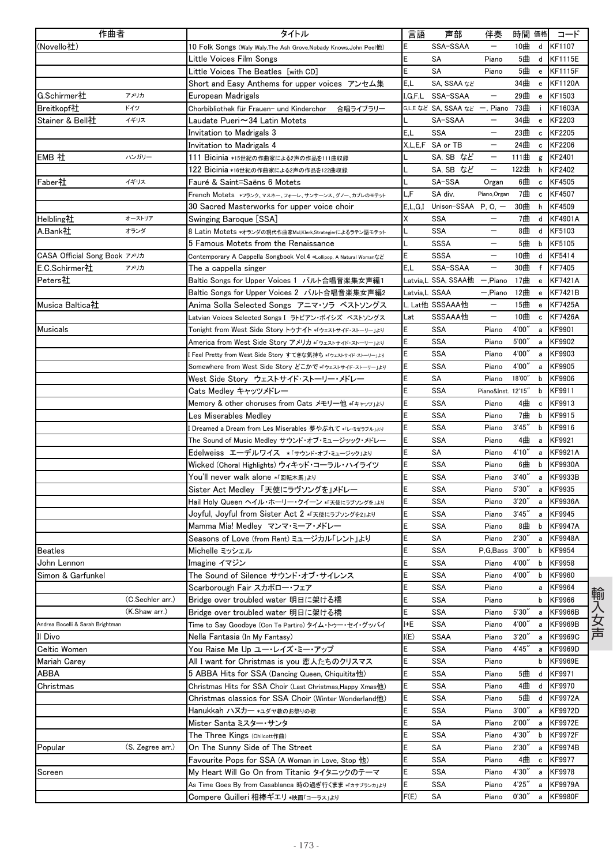| 作曲者                              |                  | タイトル                                                                | 言語            | 声部                            | 伴奏                       | 時間 価格  |        | コード            |
|----------------------------------|------------------|---------------------------------------------------------------------|---------------|-------------------------------|--------------------------|--------|--------|----------------|
| (Novello社)                       |                  | 10 Folk Songs (Waly Waly, The Ash Grove, Nobady Knows, John Peel他)  | E             | SSA-SSAA                      |                          | 10曲    | d      | KF1107         |
|                                  |                  | Little Voices Film Songs                                            | Ε             | SΑ                            | Piano                    | 5曲     | d      | <b>KF1115E</b> |
|                                  |                  | Little Voices The Beatles [with CD]                                 | E             | <b>SA</b>                     | Piano                    | 5曲     | e      | <b>KF1115F</b> |
|                                  |                  | Short and Easy Anthems for upper voices アンセム集                       | E,L           | SA, SSAA tal                  |                          | 34曲    | e      | <b>KF1120A</b> |
| G.Schirmer社                      | アメリカ             | European Madrigals                                                  | I.G.F.L       | SSA-SSAA                      | $\overline{\phantom{m}}$ | 29曲    | e      | KF1503         |
| Breitkopf社                       | ドイツ              | Chorbibliothek für Frauen- und Kinderchor<br>合唱ライブラリー               |               | G.L.E など SA, SSAA など 一, Piano |                          | 73曲    | i.     | KF1603A        |
| Stainer & Bell社                  | イギリス             | Laudate Pueri∼34 Latin Motets                                       |               | SA-SSAA                       |                          | 34曲    | e      | KF2203         |
|                                  |                  | Invitation to Madrigals 3                                           | E.L           | <b>SSA</b>                    | $\overline{\phantom{m}}$ | 23曲    | c      | KF2205         |
|                                  |                  | Invitation to Madrigals 4                                           |               | X.L.E.F SA or TB              | $\overline{\phantom{m}}$ | 24曲    | с      | KF2206         |
| EMB 社                            | ハンガリー            | 111 Bicinia *15世紀の作曲家による2声の作品を111曲収録                                |               | SA, SB など                     |                          | 111曲   | g      | KF2401         |
|                                  |                  | 122 Bicinia *16世紀の作曲家による2声の作品を122曲収録                                |               | SA, SB など                     |                          | 122曲   | h      | KF2402         |
| Faber社                           | イギリス             | Fauré & Saint=Saëns 6 Motets                                        |               | SA-SSA                        | Organ                    | 6曲     | c      | KF4505         |
|                                  |                  | French Motets *フランク、マスネー、フォーレ、サンサーンス、グノー、カプレのモテット                   | L,F           | SA div.                       | Piano, Organ             | 7曲     | c      | KF4507         |
|                                  |                  | 30 Sacred Masterworks for upper voice choir                         | E.L.G.I       | Unison-SSAA                   | $P, O, -$                | 30曲    | h      | KF4509         |
| Helbling社                        | オーストリア           | Swinging Baroque [SSA]                                              | Χ             | <b>SSA</b>                    |                          | 7曲     | d      | <b>KF4901A</b> |
| A.Bank社                          | オランダ             | 8 Latin Motets *オランダの現代作曲家Mul,Klerk,Strategierによるラテン語モテット           |               | SSA                           | $\overline{\phantom{m}}$ | 8曲     | d      | KF5103         |
|                                  |                  | 5 Famous Motets from the Renaissance                                |               | <b>SSSA</b>                   |                          | 5曲     | b      | KF5105         |
| CASA Official Song Book アメリカ     |                  | Contemporary A Cappella Songbook Vol.4 *Lollipop, A Natural Womanなど | E             | <b>SSSA</b>                   |                          | 10曲    | d      | KF5414         |
| E.C.Schirmer社                    | アメリカ             | The a cappella singer                                               | E.L           | SSA-SSAA                      |                          | 30曲    | f      | KF7405         |
| Peters社                          |                  | Baltic Songs for Upper Voices 1 バルト合唱音楽集女声編1                        |               | Latvia,L SSA, SSAA他           | $-$ ,Piano               | 17曲    | e      | <b>KF7421A</b> |
|                                  |                  | Baltic Songs for Upper Voices 2 バルト合唱音楽集女声編2                        | Latvia,L SSAA |                               | — Piano                  | 12曲    | e      | <b>KF7421B</b> |
| Musica Baltica社                  |                  | Anima Solla Selected Songs アニマ・ソラ ベストソングス                           |               | L, Lat他 SSSAAA他               |                          | 15曲    | e      | <b>KF7425A</b> |
|                                  |                  | Latvian Voices Selected Songs I ラトビアン・ボイシズ ベストソングス                  | Lat           | SSSAAA他                       | $\qquad \qquad -$        | 10曲    | с      | <b>KF7426A</b> |
| Musicals                         |                  | Tonight from West Side Story トゥナイト *「ウェストサイド・ストーリー」より               | E             | <b>SSA</b>                    | Piano                    | 4'00"  | a      | KF9901         |
|                                  |                  | America from West Side Story アメリカ *「ウェストサイド・ストーリー」より                | E             | <b>SSA</b>                    | Piano                    | 5'00'' | a      | KF9902         |
|                                  |                  | l Feel Pretty from West Side Story すてきな気持ち *「ウェストサイドストーリー」ょり        | E             | <b>SSA</b>                    | Piano                    | 4'00'  | а      | KF9903         |
|                                  |                  | Somewhere from West Side Story どこかで *「ウェストサイド・ストーリー」より              | E             | <b>SSA</b>                    | Piano                    | 4'00'  | а      | KF9905         |
|                                  |                  | West Side Story ウェストサイド・ストーリー・メドレー                                  | E             | SA                            | Piano                    | 18'00" | b      | KF9906         |
|                                  |                  | Cats Medley キャッツメドレー                                                | E             | <b>SSA</b>                    | Piano&Inst. 12'15"       |        | b      | KF9911         |
|                                  |                  |                                                                     | E             | <b>SSA</b>                    | Piano                    | 4曲     |        | KF9913         |
|                                  |                  | Memory & other choruses from Cats メモリー他 *「キャッツ」より                   | E             | <b>SSA</b>                    | Piano                    | 7曲     | c      | KF9915         |
|                                  |                  | Les Miserables Medley                                               | E             | <b>SSA</b>                    | Piano                    | 3'45'  | b<br>b | KF9916         |
|                                  |                  | I Dreamed a Dream from Les Miserables 夢やぶれて *「レ・ミゼラブル」より            | E             | SSA                           | Piano                    | 4曲     |        | KF9921         |
|                                  |                  | The Sound of Music Medley サウンド・オブ・ミュージッック・メドレー                      | E             |                               |                          | 4'10'  | а      |                |
|                                  |                  | Edelweiss エーデルワイス *「サウンドオブミュージック」ょり                                 |               | SA                            | Piano                    |        | а      | KF9921A        |
|                                  |                  | Wicked (Choral Highlights) ウィキッド・コーラル・ハイライツ                         | E             | <b>SSA</b>                    | Piano                    | 6曲     | b      | <b>KF9930A</b> |
|                                  |                  | You'll never walk alone *「回転木馬」より                                   | E<br>E        | <b>SSA</b>                    | Piano                    | 3'40'  | a      | KF9933B        |
|                                  |                  | Sister Act Medley  天使にラヴソングを」メドレー                                   |               | <b>SSA</b>                    | Piano                    | 5'30'  | a      | KF9935         |
|                                  |                  | Hail Holy Queen ヘイル・ホーリー・クイーン *「天使にラブソングを」より                        | E             | <b>SSA</b>                    | Piano                    | 3'20'  | a      | <b>KF9936A</b> |
|                                  |                  | Joyful, Joyful from Sister Act 2 *「天使にラブソングを2」より                    | Ε             | <b>SSA</b>                    | Piano                    | 3'45'' | a      | KF9945         |
|                                  |                  | Mamma Mia! Medley マンマ・ミーア・メドレー                                      | E             | <b>SSA</b>                    | Piano                    | 8曲     | b      | <b>KF9947A</b> |
|                                  |                  | Seasons of Love (from Rent) ミュージカル「レント」より                           | E             | SA                            | Piano                    | 2'30'  | a      | <b>KF9948A</b> |
| <b>Beatles</b>                   |                  | Michelle ミッシェル                                                      | E             | <b>SSA</b>                    | P, G, Bass 3'00"         |        | b      | KF9954         |
| John Lennon                      |                  | Imagine イマジン                                                        | E             | SSA                           | Piano                    | 4'00   | b      | KF9958         |
| Simon & Garfunkel                |                  | The Sound of Silence サウンド・オブ・サイレンス                                  | E             | SSA                           | Piano                    | 4'00"  | b      | KF9960         |
|                                  |                  | Scarborough Fair スカボロー・フェア                                          | E             | <b>SSA</b>                    | Piano                    |        | a      | KF9964         |
|                                  | (C.Sechler arr.) | Bridge over troubled water 明日に架ける橋                                  | E             | SSA                           | Piano                    |        | b      | KF9966         |
|                                  | (K.Shaw arr.)    | Bridge over troubled water 明日に架ける橋                                  | E             | SSA                           | Piano                    | 5'30'' | a      | KF9966B        |
| Andrea Bocelli & Sarah Brightman |                  | Time to Say Goodbye (Con Te Partiro) タイム・トゥー・セイ・グッバイ                | I+E           | <b>SSA</b>                    | Piano                    | 4'00"  | a      | KF9969B        |
| Il Divo                          |                  | Nella Fantasia (In My Fantasy)                                      | I(E)          | <b>SSAA</b>                   | Piano                    | 3'20'' | a      | <b>KF9969C</b> |
| Celtic Women                     |                  | You Raise Me Up ユー・レイズ・ミー・アップ                                       | E             | <b>SSA</b>                    | Piano                    | 4'45'' | а      | KF9969D        |
| Mariah Carey                     |                  | All I want for Christmas is you 恋人たちのクリスマス                          | E             | <b>SSA</b>                    | Piano                    |        | b      | <b>KF9969E</b> |
| ABBA                             |                  | 5 ABBA Hits for SSA (Dancing Queen, Chiquitita他)                    | E             | <b>SSA</b>                    | Piano                    | 5曲     | d      | KF9971         |
| Christmas                        |                  | Christmas Hits for SSA Choir (Last Christmas,Happy Xmas他)           | E             | <b>SSA</b>                    | Piano                    | 4曲     | d      | KF9970         |
|                                  |                  | Christmas classics for SSA Choir (Winter Wonderland他)               | E             | SSA                           | Piano                    | 5曲     |        | d KF9972A      |
|                                  |                  | Hanukkah ハヌカー *ユダヤ教のお祭りの歌                                           | E             | SSA                           | Piano                    | 3'00'' | a      | <b>KF9972D</b> |
|                                  |                  | Mister Santa ミスター・サンタ                                               | E             | SA                            | Piano                    | 2'00'' | а      | KF9972E        |
|                                  |                  | The Three Kings (Chilcott作曲)                                        | E             | <b>SSA</b>                    | Piano                    | 4'30"  | b      | <b>KF9972F</b> |
| Popular                          | (S. Zegree arr.) | On The Sunny Side of The Street                                     | E             | SA                            | Piano                    | 2'30'  | а      | KF9974B        |
|                                  |                  | Favourite Pops for SSA (A Woman in Love, Stop 他)                    | E             | SSA                           | Piano                    | 4曲     | c      | KF9977         |
| Screen                           |                  | My Heart Will Go On from Titanic タイタニックのテーマ                         | E             | <b>SSA</b>                    | Piano                    | 4'30'' | a      | KF9978         |
|                                  |                  | As Time Goes By from Casablanca 時の過ぎ行くまま *「カサブランカ」より                | E             | <b>SSA</b>                    | Piano                    | 4'25'' | а      | <b>KF9979A</b> |
|                                  |                  | Compere Guilleri 相棒ギエリ*映画「コーラス」ょり                                   | F(E)          | SA                            | Piano                    | 0'30'' | a      | <b>KF9980F</b> |